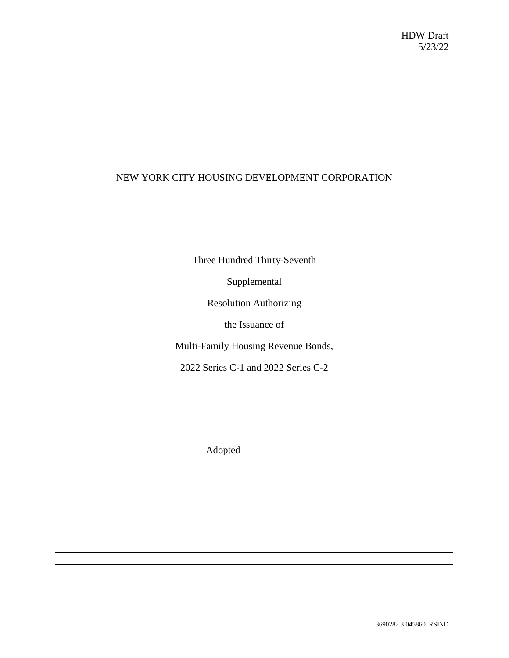## NEW YORK CITY HOUSING DEVELOPMENT CORPORATION

Three Hundred Thirty-Seventh

Supplemental

Resolution Authorizing

the Issuance of

Multi-Family Housing Revenue Bonds,

2022 Series C-1 and 2022 Series C-2

Adopted \_\_\_\_\_\_\_\_\_\_\_\_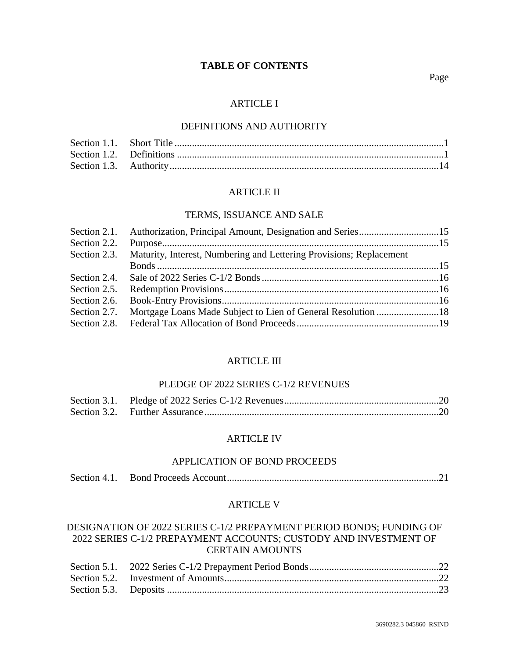## **TABLE OF CONTENTS**

#### Page

### ARTICLE I

### DEFINITIONS AND AUTHORITY

## ARTICLE II

#### TERMS, ISSUANCE AND SALE

|              | Section 2.1. Authorization, Principal Amount, Designation and Series15 |  |
|--------------|------------------------------------------------------------------------|--|
| Section 2.2. |                                                                        |  |
| Section 2.3. | Maturity, Interest, Numbering and Lettering Provisions; Replacement    |  |
|              |                                                                        |  |
| Section 2.4. |                                                                        |  |
| Section 2.5. |                                                                        |  |
| Section 2.6. |                                                                        |  |
| Section 2.7. |                                                                        |  |
|              |                                                                        |  |
|              |                                                                        |  |

## ARTICLE III

## PLEDGE OF 2022 SERIES C-1/2 REVENUES

## ARTICLE IV

### APPLICATION OF BOND PROCEEDS

|--|--|--|--|

### ARTICLE V

# DESIGNATION OF 2022 SERIES C-1/2 PREPAYMENT PERIOD BONDS; FUNDING OF 2022 SERIES C-1/2 PREPAYMENT ACCOUNTS; CUSTODY AND INVESTMENT OF CERTAIN AMOUNTS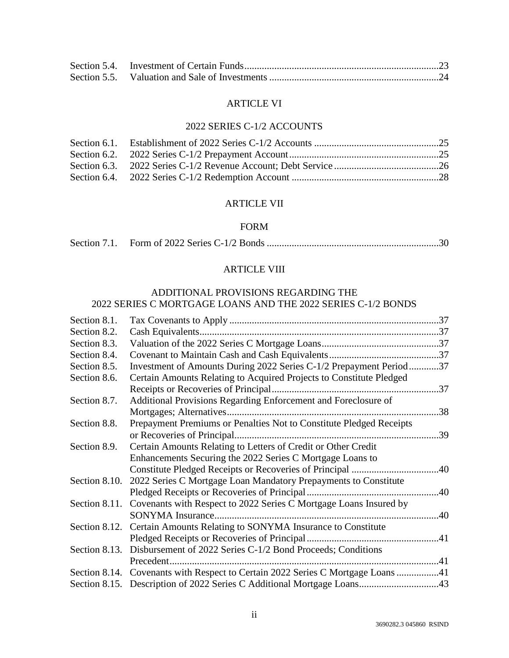# ARTICLE VI

# 2022 SERIES C-1/2 ACCOUNTS

## ARTICLE VII

#### FORM

|--|--|

# ARTICLE VIII

## ADDITIONAL PROVISIONS REGARDING THE 2022 SERIES C MORTGAGE LOANS AND THE 2022 SERIES C-1/2 BONDS

| Section 8.1.  |                                                                                 |     |
|---------------|---------------------------------------------------------------------------------|-----|
| Section 8.2.  | Cash Equivalents                                                                |     |
| Section 8.3.  |                                                                                 |     |
| Section 8.4.  |                                                                                 |     |
| Section 8.5.  | Investment of Amounts During 2022 Series C-1/2 Prepayment Period37              |     |
| Section 8.6.  | Certain Amounts Relating to Acquired Projects to Constitute Pledged             |     |
|               |                                                                                 |     |
| Section 8.7.  | Additional Provisions Regarding Enforcement and Foreclosure of                  |     |
|               |                                                                                 |     |
| Section 8.8.  | Prepayment Premiums or Penalties Not to Constitute Pledged Receipts             |     |
|               | or Recoveries of Principal.                                                     | .39 |
| Section 8.9.  | Certain Amounts Relating to Letters of Credit or Other Credit                   |     |
|               | Enhancements Securing the 2022 Series C Mortgage Loans to                       |     |
|               |                                                                                 |     |
| Section 8.10. | 2022 Series C Mortgage Loan Mandatory Prepayments to Constitute                 |     |
|               |                                                                                 |     |
| Section 8.11. | Covenants with Respect to 2022 Series C Mortgage Loans Insured by               |     |
|               |                                                                                 |     |
|               | Section 8.12. Certain Amounts Relating to SONYMA Insurance to Constitute        |     |
|               |                                                                                 |     |
|               | Section 8.13. Disbursement of 2022 Series C-1/2 Bond Proceeds; Conditions       |     |
|               | Precedent.                                                                      |     |
|               | Section 8.14. Covenants with Respect to Certain 2022 Series C Mortgage Loans 41 |     |
|               |                                                                                 |     |
|               |                                                                                 |     |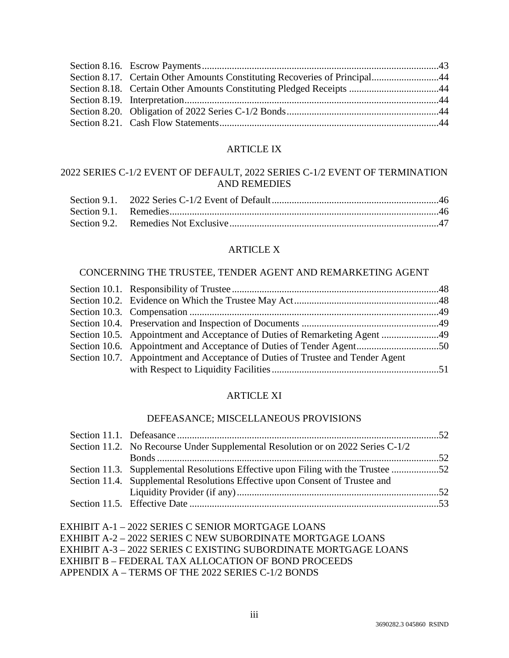| Section 8.17. Certain Other Amounts Constituting Recoveries of Principal44 |  |
|----------------------------------------------------------------------------|--|
|                                                                            |  |
|                                                                            |  |
|                                                                            |  |
|                                                                            |  |

## ARTICLE IX

# 2022 SERIES C-1/2 EVENT OF DEFAULT, 2022 SERIES C-1/2 EVENT OF TERMINATION AND REMEDIES

## ARTICLE X

## CONCERNING THE TRUSTEE, TENDER AGENT AND REMARKETING AGENT

| Section 10.5. Appointment and Acceptance of Duties of Remarketing Agent 49     |  |
|--------------------------------------------------------------------------------|--|
|                                                                                |  |
| Section 10.7. Appointment and Acceptance of Duties of Trustee and Tender Agent |  |
|                                                                                |  |

# ARTICLE XI

# DEFEASANCE; MISCELLANEOUS PROVISIONS

| Section 11.2. No Recourse Under Supplemental Resolution or on 2022 Series C-1/2 |  |
|---------------------------------------------------------------------------------|--|
|                                                                                 |  |
| Section 11.3. Supplemental Resolutions Effective upon Filing with the Trustee   |  |
| Section 11.4. Supplemental Resolutions Effective upon Consent of Trustee and    |  |
|                                                                                 |  |
|                                                                                 |  |

EXHIBIT A-1 – 2022 SERIES C SENIOR MORTGAGE LOANS EXHIBIT A-2 – 2022 SERIES C NEW SUBORDINATE MORTGAGE LOANS EXHIBIT A-3 – 2022 SERIES C EXISTING SUBORDINATE MORTGAGE LOANS EXHIBIT B – FEDERAL TAX ALLOCATION OF BOND PROCEEDS APPENDIX A – TERMS OF THE 2022 SERIES C-1/2 BONDS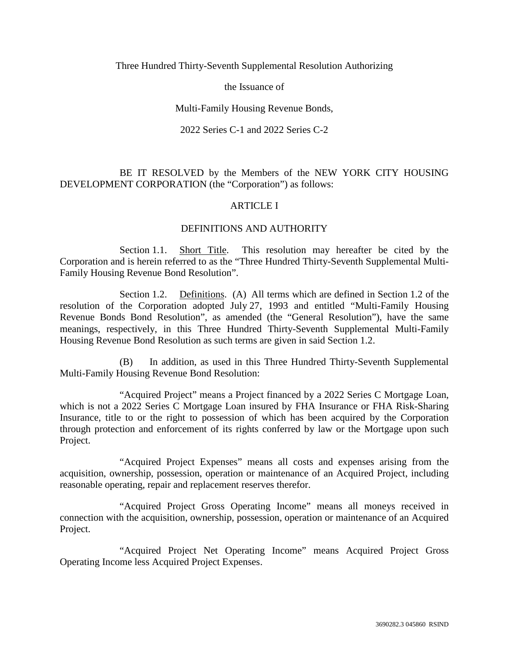Three Hundred Thirty-Seventh Supplemental Resolution Authorizing

the Issuance of

## Multi-Family Housing Revenue Bonds,

### 2022 Series C-1 and 2022 Series C-2

## BE IT RESOLVED by the Members of the NEW YORK CITY HOUSING DEVELOPMENT CORPORATION (the "Corporation") as follows:

## ARTICLE I

## DEFINITIONS AND AUTHORITY

Section 1.1. Short Title. This resolution may hereafter be cited by the Corporation and is herein referred to as the "Three Hundred Thirty-Seventh Supplemental Multi-Family Housing Revenue Bond Resolution".

Section 1.2. Definitions. (A) All terms which are defined in Section 1.2 of the resolution of the Corporation adopted July 27, 1993 and entitled "Multi-Family Housing Revenue Bonds Bond Resolution", as amended (the "General Resolution"), have the same meanings, respectively, in this Three Hundred Thirty-Seventh Supplemental Multi-Family Housing Revenue Bond Resolution as such terms are given in said Section 1.2.

(B) In addition, as used in this Three Hundred Thirty-Seventh Supplemental Multi-Family Housing Revenue Bond Resolution:

"Acquired Project" means a Project financed by a 2022 Series C Mortgage Loan, which is not a 2022 Series C Mortgage Loan insured by FHA Insurance or FHA Risk-Sharing Insurance, title to or the right to possession of which has been acquired by the Corporation through protection and enforcement of its rights conferred by law or the Mortgage upon such Project.

"Acquired Project Expenses" means all costs and expenses arising from the acquisition, ownership, possession, operation or maintenance of an Acquired Project, including reasonable operating, repair and replacement reserves therefor.

"Acquired Project Gross Operating Income" means all moneys received in connection with the acquisition, ownership, possession, operation or maintenance of an Acquired Project.

"Acquired Project Net Operating Income" means Acquired Project Gross Operating Income less Acquired Project Expenses.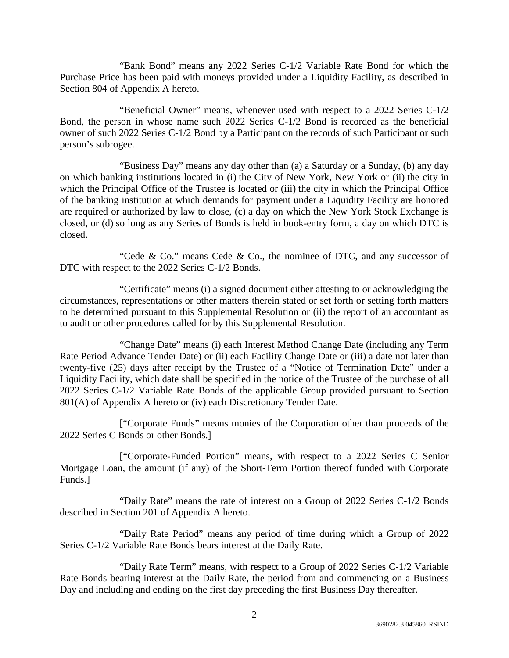"Bank Bond" means any 2022 Series C-1/2 Variable Rate Bond for which the Purchase Price has been paid with moneys provided under a Liquidity Facility, as described in Section 804 of Appendix A hereto.

"Beneficial Owner" means, whenever used with respect to a 2022 Series C-1/2 Bond, the person in whose name such 2022 Series C-1/2 Bond is recorded as the beneficial owner of such 2022 Series C-1/2 Bond by a Participant on the records of such Participant or such person's subrogee.

"Business Day" means any day other than (a) a Saturday or a Sunday, (b) any day on which banking institutions located in (i) the City of New York, New York or (ii) the city in which the Principal Office of the Trustee is located or (iii) the city in which the Principal Office of the banking institution at which demands for payment under a Liquidity Facility are honored are required or authorized by law to close, (c) a day on which the New York Stock Exchange is closed, or (d) so long as any Series of Bonds is held in book-entry form, a day on which DTC is closed.

"Cede & Co." means Cede & Co., the nominee of DTC, and any successor of DTC with respect to the 2022 Series C-1/2 Bonds.

"Certificate" means (i) a signed document either attesting to or acknowledging the circumstances, representations or other matters therein stated or set forth or setting forth matters to be determined pursuant to this Supplemental Resolution or (ii) the report of an accountant as to audit or other procedures called for by this Supplemental Resolution.

"Change Date" means (i) each Interest Method Change Date (including any Term Rate Period Advance Tender Date) or (ii) each Facility Change Date or (iii) a date not later than twenty-five (25) days after receipt by the Trustee of a "Notice of Termination Date" under a Liquidity Facility, which date shall be specified in the notice of the Trustee of the purchase of all 2022 Series C-1/2 Variable Rate Bonds of the applicable Group provided pursuant to Section 801(A) of Appendix A hereto or (iv) each Discretionary Tender Date.

["Corporate Funds" means monies of the Corporation other than proceeds of the 2022 Series C Bonds or other Bonds.]

["Corporate-Funded Portion" means, with respect to a 2022 Series C Senior Mortgage Loan, the amount (if any) of the Short-Term Portion thereof funded with Corporate Funds.]

"Daily Rate" means the rate of interest on a Group of 2022 Series C-1/2 Bonds described in Section 201 of Appendix A hereto.

"Daily Rate Period" means any period of time during which a Group of 2022 Series C-1/2 Variable Rate Bonds bears interest at the Daily Rate.

"Daily Rate Term" means, with respect to a Group of 2022 Series C-1/2 Variable Rate Bonds bearing interest at the Daily Rate, the period from and commencing on a Business Day and including and ending on the first day preceding the first Business Day thereafter.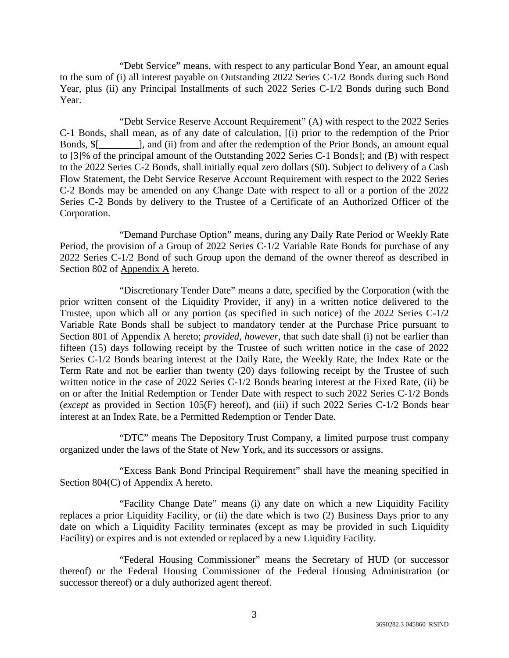"Debt Service" means, with respect to any particular Bond Year, an amount equal to the sum of (i) all interest payable on Outstanding 2022 Series C-1/2 Bonds during such Bond Year, plus (ii) any Principal Installments of such 2022 Series C-1/2 Bonds during such Bond Year.

"Debt Service Reserve Account Requirement" (A) with respect to the 2022 Series C-1 Bonds, shall mean, as of any date of calculation, [(i) prior to the redemption of the Prior Bonds, \$[\_\_\_\_\_\_\_\_], and (ii) from and after the redemption of the Prior Bonds, an amount equal to [3]% of the principal amount of the Outstanding 2022 Series C-1 Bonds]; and (B) with respect to the 2022 Series C-2 Bonds, shall initially equal zero dollars (\$0). Subject to delivery of a Cash Flow Statement, the Debt Service Reserve Account Requirement with respect to the 2022 Series C-2 Bonds may be amended on any Change Date with respect to all or a portion of the 2022 Series C-2 Bonds by delivery to the Trustee of a Certificate of an Authorized Officer of the Corporation.

"Demand Purchase Option" means, during any Daily Rate Period or Weekly Rate Period, the provision of a Group of 2022 Series C-1/2 Variable Rate Bonds for purchase of any 2022 Series C-1/2 Bond of such Group upon the demand of the owner thereof as described in Section 802 of Appendix A hereto.

"Discretionary Tender Date" means a date, specified by the Corporation (with the prior written consent of the Liquidity Provider, if any) in a written notice delivered to the Trustee, upon which all or any portion (as specified in such notice) of the 2022 Series C-1/2 Variable Rate Bonds shall be subject to mandatory tender at the Purchase Price pursuant to Section 801 of Appendix A hereto; *provided*, *however*, that such date shall (i) not be earlier than fifteen (15) days following receipt by the Trustee of such written notice in the case of 2022 Series C-1/2 Bonds bearing interest at the Daily Rate, the Weekly Rate, the Index Rate or the Term Rate and not be earlier than twenty (20) days following receipt by the Trustee of such written notice in the case of 2022 Series C-1/2 Bonds bearing interest at the Fixed Rate, (ii) be on or after the Initial Redemption or Tender Date with respect to such 2022 Series C-1/2 Bonds (*except* as provided in Section 105(F) hereof), and (iii) if such 2022 Series C-1/2 Bonds bear interest at an Index Rate, be a Permitted Redemption or Tender Date.

"DTC" means The Depository Trust Company, a limited purpose trust company organized under the laws of the State of New York, and its successors or assigns.

"Excess Bank Bond Principal Requirement" shall have the meaning specified in Section 804(C) of Appendix A hereto.

"Facility Change Date" means (i) any date on which a new Liquidity Facility replaces a prior Liquidity Facility, or (ii) the date which is two (2) Business Days prior to any date on which a Liquidity Facility terminates (except as may be provided in such Liquidity Facility) or expires and is not extended or replaced by a new Liquidity Facility.

"Federal Housing Commissioner" means the Secretary of HUD (or successor thereof) or the Federal Housing Commissioner of the Federal Housing Administration (or successor thereof) or a duly authorized agent thereof.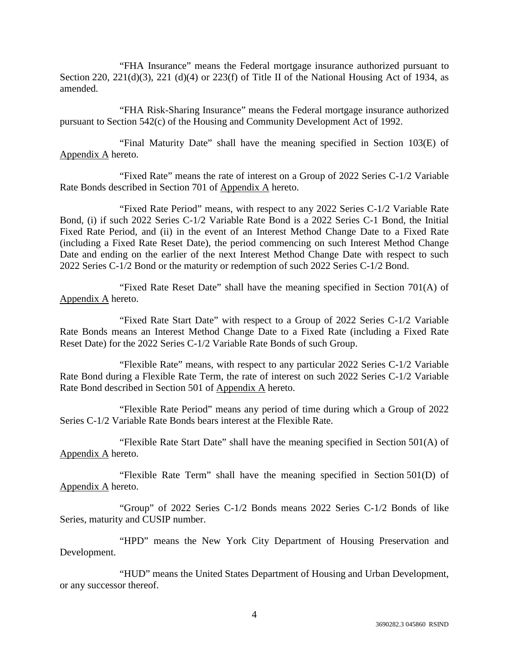"FHA Insurance" means the Federal mortgage insurance authorized pursuant to Section 220, 221(d)(3), 221 (d)(4) or 223(f) of Title II of the National Housing Act of 1934, as amended.

"FHA Risk-Sharing Insurance" means the Federal mortgage insurance authorized pursuant to Section 542(c) of the Housing and Community Development Act of 1992.

"Final Maturity Date" shall have the meaning specified in Section 103(E) of Appendix A hereto.

"Fixed Rate" means the rate of interest on a Group of 2022 Series C-1/2 Variable Rate Bonds described in Section 701 of Appendix A hereto.

"Fixed Rate Period" means, with respect to any 2022 Series C-1/2 Variable Rate Bond, (i) if such 2022 Series C-1/2 Variable Rate Bond is a 2022 Series C-1 Bond, the Initial Fixed Rate Period, and (ii) in the event of an Interest Method Change Date to a Fixed Rate (including a Fixed Rate Reset Date), the period commencing on such Interest Method Change Date and ending on the earlier of the next Interest Method Change Date with respect to such 2022 Series C-1/2 Bond or the maturity or redemption of such 2022 Series C-1/2 Bond.

"Fixed Rate Reset Date" shall have the meaning specified in Section 701(A) of Appendix A hereto.

"Fixed Rate Start Date" with respect to a Group of 2022 Series C-1/2 Variable Rate Bonds means an Interest Method Change Date to a Fixed Rate (including a Fixed Rate Reset Date) for the 2022 Series C-1/2 Variable Rate Bonds of such Group.

"Flexible Rate" means, with respect to any particular 2022 Series C-1/2 Variable Rate Bond during a Flexible Rate Term, the rate of interest on such 2022 Series C-1/2 Variable Rate Bond described in Section 501 of Appendix A hereto.

"Flexible Rate Period" means any period of time during which a Group of 2022 Series C-1/2 Variable Rate Bonds bears interest at the Flexible Rate.

"Flexible Rate Start Date" shall have the meaning specified in Section  $501(A)$  of Appendix A hereto.

"Flexible Rate Term" shall have the meaning specified in Section 501(D) of Appendix A hereto.

"Group" of 2022 Series C-1/2 Bonds means 2022 Series C-1/2 Bonds of like Series, maturity and CUSIP number.

"HPD" means the New York City Department of Housing Preservation and Development.

"HUD" means the United States Department of Housing and Urban Development, or any successor thereof.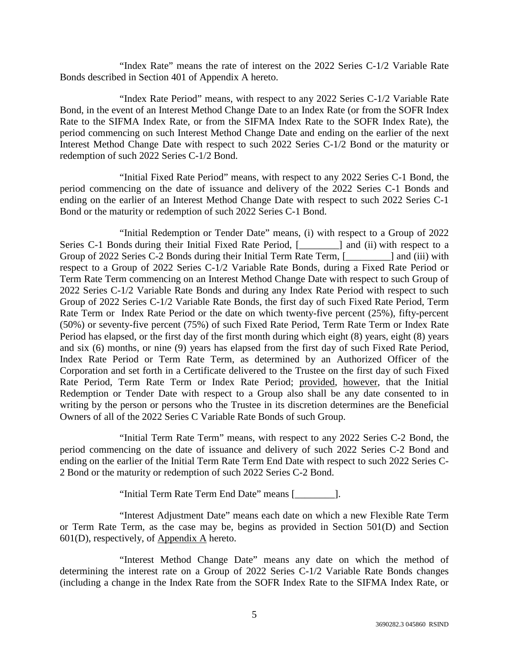"Index Rate" means the rate of interest on the 2022 Series C-1/2 Variable Rate Bonds described in Section 401 of Appendix A hereto.

"Index Rate Period" means, with respect to any 2022 Series C-1/2 Variable Rate Bond, in the event of an Interest Method Change Date to an Index Rate (or from the SOFR Index Rate to the SIFMA Index Rate, or from the SIFMA Index Rate to the SOFR Index Rate), the period commencing on such Interest Method Change Date and ending on the earlier of the next Interest Method Change Date with respect to such 2022 Series C-1/2 Bond or the maturity or redemption of such 2022 Series C-1/2 Bond.

"Initial Fixed Rate Period" means, with respect to any 2022 Series C-1 Bond, the period commencing on the date of issuance and delivery of the 2022 Series C-1 Bonds and ending on the earlier of an Interest Method Change Date with respect to such 2022 Series C-1 Bond or the maturity or redemption of such 2022 Series C-1 Bond.

"Initial Redemption or Tender Date" means, (i) with respect to a Group of 2022 Series C-1 Bonds during their Initial Fixed Rate Period, [\_\_\_\_\_\_\_\_] and (ii) with respect to a Group of 2022 Series C-2 Bonds during their Initial Term Rate Term, [\_\_\_\_\_\_\_\_\_] and (iii) with respect to a Group of 2022 Series C-1/2 Variable Rate Bonds, during a Fixed Rate Period or Term Rate Term commencing on an Interest Method Change Date with respect to such Group of 2022 Series C-1/2 Variable Rate Bonds and during any Index Rate Period with respect to such Group of 2022 Series C-1/2 Variable Rate Bonds, the first day of such Fixed Rate Period, Term Rate Term or Index Rate Period or the date on which twenty-five percent (25%), fifty-percent (50%) or seventy-five percent (75%) of such Fixed Rate Period, Term Rate Term or Index Rate Period has elapsed, or the first day of the first month during which eight (8) years, eight (8) years and six (6) months, or nine (9) years has elapsed from the first day of such Fixed Rate Period, Index Rate Period or Term Rate Term, as determined by an Authorized Officer of the Corporation and set forth in a Certificate delivered to the Trustee on the first day of such Fixed Rate Period, Term Rate Term or Index Rate Period; provided, however, that the Initial Redemption or Tender Date with respect to a Group also shall be any date consented to in writing by the person or persons who the Trustee in its discretion determines are the Beneficial Owners of all of the 2022 Series C Variable Rate Bonds of such Group.

"Initial Term Rate Term" means, with respect to any 2022 Series C-2 Bond, the period commencing on the date of issuance and delivery of such 2022 Series C-2 Bond and ending on the earlier of the Initial Term Rate Term End Date with respect to such 2022 Series C-2 Bond or the maturity or redemption of such 2022 Series C-2 Bond.

"Initial Term Rate Term End Date" means [\_\_\_\_\_\_\_\_].

"Interest Adjustment Date" means each date on which a new Flexible Rate Term or Term Rate Term, as the case may be, begins as provided in Section 501(D) and Section  $601(D)$ , respectively, of Appendix A hereto.

"Interest Method Change Date" means any date on which the method of determining the interest rate on a Group of 2022 Series C-1/2 Variable Rate Bonds changes (including a change in the Index Rate from the SOFR Index Rate to the SIFMA Index Rate, or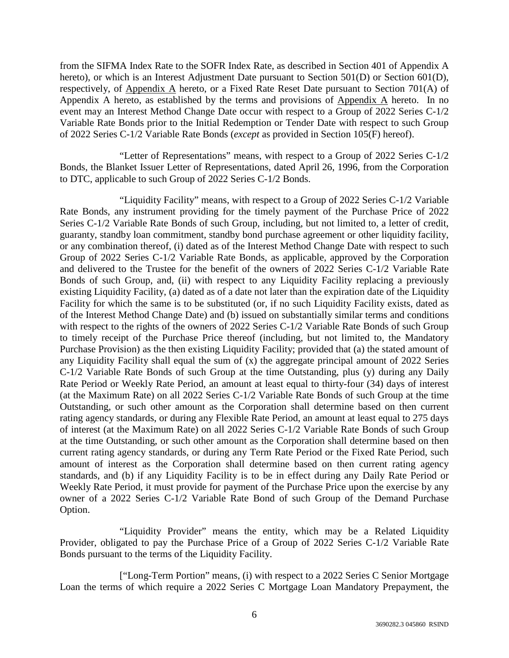from the SIFMA Index Rate to the SOFR Index Rate, as described in Section 401 of Appendix A hereto), or which is an Interest Adjustment Date pursuant to Section 501(D) or Section 601(D), respectively, of Appendix A hereto, or a Fixed Rate Reset Date pursuant to Section 701(A) of Appendix A hereto, as established by the terms and provisions of Appendix A hereto. In no event may an Interest Method Change Date occur with respect to a Group of 2022 Series C-1/2 Variable Rate Bonds prior to the Initial Redemption or Tender Date with respect to such Group of 2022 Series C-1/2 Variable Rate Bonds (*except* as provided in Section 105(F) hereof).

"Letter of Representations" means, with respect to a Group of 2022 Series C-1/2 Bonds, the Blanket Issuer Letter of Representations, dated April 26, 1996, from the Corporation to DTC, applicable to such Group of 2022 Series C-1/2 Bonds.

"Liquidity Facility" means, with respect to a Group of 2022 Series C-1/2 Variable Rate Bonds, any instrument providing for the timely payment of the Purchase Price of 2022 Series C-1/2 Variable Rate Bonds of such Group, including, but not limited to, a letter of credit, guaranty, standby loan commitment, standby bond purchase agreement or other liquidity facility, or any combination thereof, (i) dated as of the Interest Method Change Date with respect to such Group of 2022 Series C-1/2 Variable Rate Bonds, as applicable, approved by the Corporation and delivered to the Trustee for the benefit of the owners of 2022 Series C-1/2 Variable Rate Bonds of such Group, and, (ii) with respect to any Liquidity Facility replacing a previously existing Liquidity Facility, (a) dated as of a date not later than the expiration date of the Liquidity Facility for which the same is to be substituted (or, if no such Liquidity Facility exists, dated as of the Interest Method Change Date) and (b) issued on substantially similar terms and conditions with respect to the rights of the owners of 2022 Series C-1/2 Variable Rate Bonds of such Group to timely receipt of the Purchase Price thereof (including, but not limited to, the Mandatory Purchase Provision) as the then existing Liquidity Facility; provided that (a) the stated amount of any Liquidity Facility shall equal the sum of (x) the aggregate principal amount of 2022 Series C-1/2 Variable Rate Bonds of such Group at the time Outstanding, plus (y) during any Daily Rate Period or Weekly Rate Period, an amount at least equal to thirty-four (34) days of interest (at the Maximum Rate) on all 2022 Series C-1/2 Variable Rate Bonds of such Group at the time Outstanding, or such other amount as the Corporation shall determine based on then current rating agency standards, or during any Flexible Rate Period, an amount at least equal to 275 days of interest (at the Maximum Rate) on all 2022 Series C-1/2 Variable Rate Bonds of such Group at the time Outstanding, or such other amount as the Corporation shall determine based on then current rating agency standards, or during any Term Rate Period or the Fixed Rate Period, such amount of interest as the Corporation shall determine based on then current rating agency standards, and (b) if any Liquidity Facility is to be in effect during any Daily Rate Period or Weekly Rate Period, it must provide for payment of the Purchase Price upon the exercise by any owner of a 2022 Series C-1/2 Variable Rate Bond of such Group of the Demand Purchase Option.

"Liquidity Provider" means the entity, which may be a Related Liquidity Provider, obligated to pay the Purchase Price of a Group of 2022 Series C-1/2 Variable Rate Bonds pursuant to the terms of the Liquidity Facility.

["Long-Term Portion" means, (i) with respect to a 2022 Series C Senior Mortgage Loan the terms of which require a 2022 Series C Mortgage Loan Mandatory Prepayment, the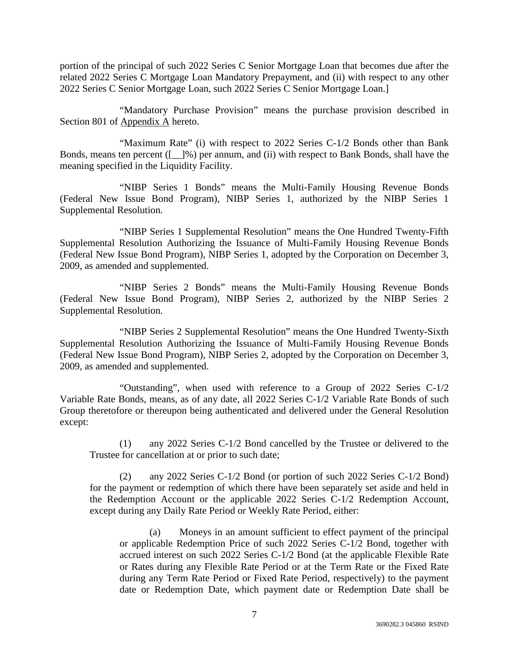portion of the principal of such 2022 Series C Senior Mortgage Loan that becomes due after the related 2022 Series C Mortgage Loan Mandatory Prepayment, and (ii) with respect to any other 2022 Series C Senior Mortgage Loan, such 2022 Series C Senior Mortgage Loan.]

"Mandatory Purchase Provision" means the purchase provision described in Section 801 of Appendix A hereto.

"Maximum Rate" (i) with respect to 2022 Series C-1/2 Bonds other than Bank Bonds, means ten percent ([\_\_]%) per annum, and (ii) with respect to Bank Bonds, shall have the meaning specified in the Liquidity Facility.

"NIBP Series 1 Bonds" means the Multi-Family Housing Revenue Bonds (Federal New Issue Bond Program), NIBP Series 1, authorized by the NIBP Series 1 Supplemental Resolution.

"NIBP Series 1 Supplemental Resolution" means the One Hundred Twenty-Fifth Supplemental Resolution Authorizing the Issuance of Multi-Family Housing Revenue Bonds (Federal New Issue Bond Program), NIBP Series 1, adopted by the Corporation on December 3, 2009, as amended and supplemented.

"NIBP Series 2 Bonds" means the Multi-Family Housing Revenue Bonds (Federal New Issue Bond Program), NIBP Series 2, authorized by the NIBP Series 2 Supplemental Resolution.

"NIBP Series 2 Supplemental Resolution" means the One Hundred Twenty-Sixth Supplemental Resolution Authorizing the Issuance of Multi-Family Housing Revenue Bonds (Federal New Issue Bond Program), NIBP Series 2, adopted by the Corporation on December 3, 2009, as amended and supplemented.

"Outstanding", when used with reference to a Group of 2022 Series C-1/2 Variable Rate Bonds, means, as of any date, all 2022 Series C-1/2 Variable Rate Bonds of such Group theretofore or thereupon being authenticated and delivered under the General Resolution except:

(1) any 2022 Series C-1/2 Bond cancelled by the Trustee or delivered to the Trustee for cancellation at or prior to such date;

(2) any 2022 Series C-1/2 Bond (or portion of such 2022 Series C-1/2 Bond) for the payment or redemption of which there have been separately set aside and held in the Redemption Account or the applicable 2022 Series C-1/2 Redemption Account, except during any Daily Rate Period or Weekly Rate Period, either:

(a) Moneys in an amount sufficient to effect payment of the principal or applicable Redemption Price of such 2022 Series C-1/2 Bond, together with accrued interest on such 2022 Series C-1/2 Bond (at the applicable Flexible Rate or Rates during any Flexible Rate Period or at the Term Rate or the Fixed Rate during any Term Rate Period or Fixed Rate Period, respectively) to the payment date or Redemption Date, which payment date or Redemption Date shall be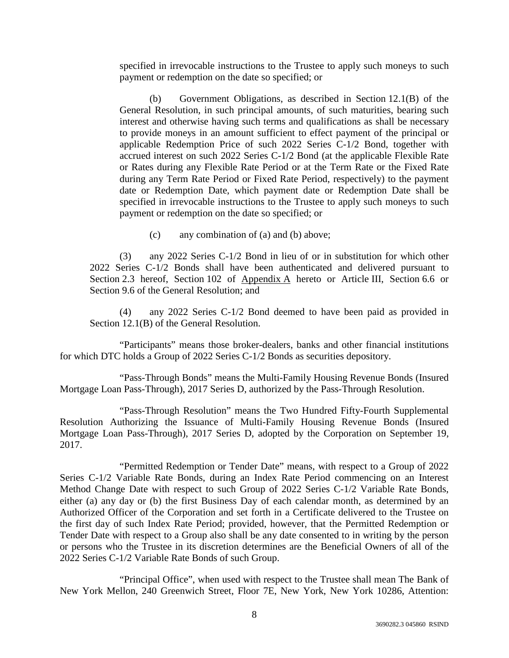specified in irrevocable instructions to the Trustee to apply such moneys to such payment or redemption on the date so specified; or

(b) Government Obligations, as described in Section 12.1(B) of the General Resolution, in such principal amounts, of such maturities, bearing such interest and otherwise having such terms and qualifications as shall be necessary to provide moneys in an amount sufficient to effect payment of the principal or applicable Redemption Price of such 2022 Series C-1/2 Bond, together with accrued interest on such 2022 Series C-1/2 Bond (at the applicable Flexible Rate or Rates during any Flexible Rate Period or at the Term Rate or the Fixed Rate during any Term Rate Period or Fixed Rate Period, respectively) to the payment date or Redemption Date, which payment date or Redemption Date shall be specified in irrevocable instructions to the Trustee to apply such moneys to such payment or redemption on the date so specified; or

(c) any combination of (a) and (b) above;

(3) any 2022 Series C-1/2 Bond in lieu of or in substitution for which other 2022 Series C-1/2 Bonds shall have been authenticated and delivered pursuant to Section 2.3 hereof, Section 102 of Appendix A hereto or Article III, Section 6.6 or Section 9.6 of the General Resolution; and

(4) any 2022 Series C-1/2 Bond deemed to have been paid as provided in Section 12.1(B) of the General Resolution.

"Participants" means those broker-dealers, banks and other financial institutions for which DTC holds a Group of 2022 Series C-1/2 Bonds as securities depository.

"Pass-Through Bonds" means the Multi-Family Housing Revenue Bonds (Insured Mortgage Loan Pass-Through), 2017 Series D, authorized by the Pass-Through Resolution.

"Pass-Through Resolution" means the Two Hundred Fifty-Fourth Supplemental Resolution Authorizing the Issuance of Multi-Family Housing Revenue Bonds (Insured Mortgage Loan Pass-Through), 2017 Series D, adopted by the Corporation on September 19, 2017.

"Permitted Redemption or Tender Date" means, with respect to a Group of 2022 Series C-1/2 Variable Rate Bonds, during an Index Rate Period commencing on an Interest Method Change Date with respect to such Group of 2022 Series C-1/2 Variable Rate Bonds, either (a) any day or (b) the first Business Day of each calendar month, as determined by an Authorized Officer of the Corporation and set forth in a Certificate delivered to the Trustee on the first day of such Index Rate Period; provided, however, that the Permitted Redemption or Tender Date with respect to a Group also shall be any date consented to in writing by the person or persons who the Trustee in its discretion determines are the Beneficial Owners of all of the 2022 Series C-1/2 Variable Rate Bonds of such Group.

"Principal Office", when used with respect to the Trustee shall mean The Bank of New York Mellon, 240 Greenwich Street, Floor 7E, New York, New York 10286, Attention: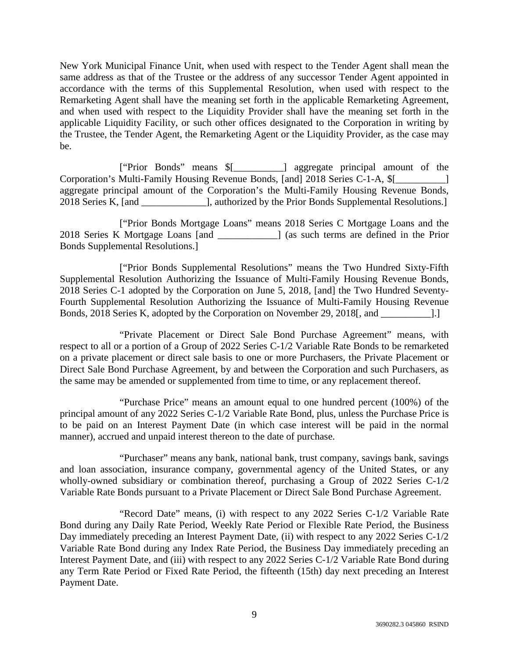New York Municipal Finance Unit, when used with respect to the Tender Agent shall mean the same address as that of the Trustee or the address of any successor Tender Agent appointed in accordance with the terms of this Supplemental Resolution, when used with respect to the Remarketing Agent shall have the meaning set forth in the applicable Remarketing Agreement, and when used with respect to the Liquidity Provider shall have the meaning set forth in the applicable Liquidity Facility, or such other offices designated to the Corporation in writing by the Trustee, the Tender Agent, the Remarketing Agent or the Liquidity Provider, as the case may be.

["Prior Bonds" means \$[\_\_\_\_\_\_\_\_\_\_] aggregate principal amount of the Corporation's Multi-Family Housing Revenue Bonds, [and] 2018 Series C-1-A, \$[ aggregate principal amount of the Corporation's the Multi-Family Housing Revenue Bonds, 2018 Series K, [and  $\qquad$ ], authorized by the Prior Bonds Supplemental Resolutions.]

["Prior Bonds Mortgage Loans" means 2018 Series C Mortgage Loans and the 2018 Series K Mortgage Loans [and \_\_\_\_\_\_\_\_\_\_\_\_] (as such terms are defined in the Prior Bonds Supplemental Resolutions.]

["Prior Bonds Supplemental Resolutions" means the Two Hundred Sixty-Fifth Supplemental Resolution Authorizing the Issuance of Multi-Family Housing Revenue Bonds, 2018 Series C-1 adopted by the Corporation on June 5, 2018, [and] the Two Hundred Seventy-Fourth Supplemental Resolution Authorizing the Issuance of Multi-Family Housing Revenue Bonds, 2018 Series K, adopted by the Corporation on November 29, 2018[, and \_\_\_\_\_\_\_\_\_\_].]

"Private Placement or Direct Sale Bond Purchase Agreement" means, with respect to all or a portion of a Group of 2022 Series C-1/2 Variable Rate Bonds to be remarketed on a private placement or direct sale basis to one or more Purchasers, the Private Placement or Direct Sale Bond Purchase Agreement, by and between the Corporation and such Purchasers, as the same may be amended or supplemented from time to time, or any replacement thereof.

"Purchase Price" means an amount equal to one hundred percent (100%) of the principal amount of any 2022 Series C-1/2 Variable Rate Bond, plus, unless the Purchase Price is to be paid on an Interest Payment Date (in which case interest will be paid in the normal manner), accrued and unpaid interest thereon to the date of purchase.

"Purchaser" means any bank, national bank, trust company, savings bank, savings and loan association, insurance company, governmental agency of the United States, or any wholly-owned subsidiary or combination thereof, purchasing a Group of 2022 Series C-1/2 Variable Rate Bonds pursuant to a Private Placement or Direct Sale Bond Purchase Agreement.

"Record Date" means, (i) with respect to any 2022 Series C-1/2 Variable Rate Bond during any Daily Rate Period, Weekly Rate Period or Flexible Rate Period, the Business Day immediately preceding an Interest Payment Date, (ii) with respect to any 2022 Series C-1/2 Variable Rate Bond during any Index Rate Period, the Business Day immediately preceding an Interest Payment Date, and (iii) with respect to any 2022 Series C-1/2 Variable Rate Bond during any Term Rate Period or Fixed Rate Period, the fifteenth (15th) day next preceding an Interest Payment Date.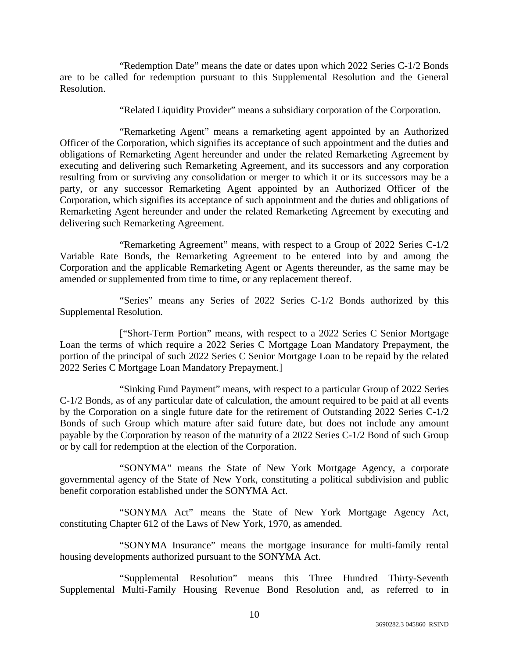"Redemption Date" means the date or dates upon which 2022 Series C-1/2 Bonds are to be called for redemption pursuant to this Supplemental Resolution and the General Resolution.

"Related Liquidity Provider" means a subsidiary corporation of the Corporation.

"Remarketing Agent" means a remarketing agent appointed by an Authorized Officer of the Corporation, which signifies its acceptance of such appointment and the duties and obligations of Remarketing Agent hereunder and under the related Remarketing Agreement by executing and delivering such Remarketing Agreement, and its successors and any corporation resulting from or surviving any consolidation or merger to which it or its successors may be a party, or any successor Remarketing Agent appointed by an Authorized Officer of the Corporation, which signifies its acceptance of such appointment and the duties and obligations of Remarketing Agent hereunder and under the related Remarketing Agreement by executing and delivering such Remarketing Agreement.

"Remarketing Agreement" means, with respect to a Group of 2022 Series C-1/2 Variable Rate Bonds, the Remarketing Agreement to be entered into by and among the Corporation and the applicable Remarketing Agent or Agents thereunder, as the same may be amended or supplemented from time to time, or any replacement thereof.

"Series" means any Series of 2022 Series C-1/2 Bonds authorized by this Supplemental Resolution.

["Short-Term Portion" means, with respect to a 2022 Series C Senior Mortgage Loan the terms of which require a 2022 Series C Mortgage Loan Mandatory Prepayment, the portion of the principal of such 2022 Series C Senior Mortgage Loan to be repaid by the related 2022 Series C Mortgage Loan Mandatory Prepayment.]

"Sinking Fund Payment" means, with respect to a particular Group of 2022 Series C-1/2 Bonds, as of any particular date of calculation, the amount required to be paid at all events by the Corporation on a single future date for the retirement of Outstanding 2022 Series C-1/2 Bonds of such Group which mature after said future date, but does not include any amount payable by the Corporation by reason of the maturity of a 2022 Series C-1/2 Bond of such Group or by call for redemption at the election of the Corporation.

"SONYMA" means the State of New York Mortgage Agency, a corporate governmental agency of the State of New York, constituting a political subdivision and public benefit corporation established under the SONYMA Act.

"SONYMA Act" means the State of New York Mortgage Agency Act, constituting Chapter 612 of the Laws of New York, 1970, as amended.

"SONYMA Insurance" means the mortgage insurance for multi-family rental housing developments authorized pursuant to the SONYMA Act.

"Supplemental Resolution" means this Three Hundred Thirty-Seventh Supplemental Multi-Family Housing Revenue Bond Resolution and, as referred to in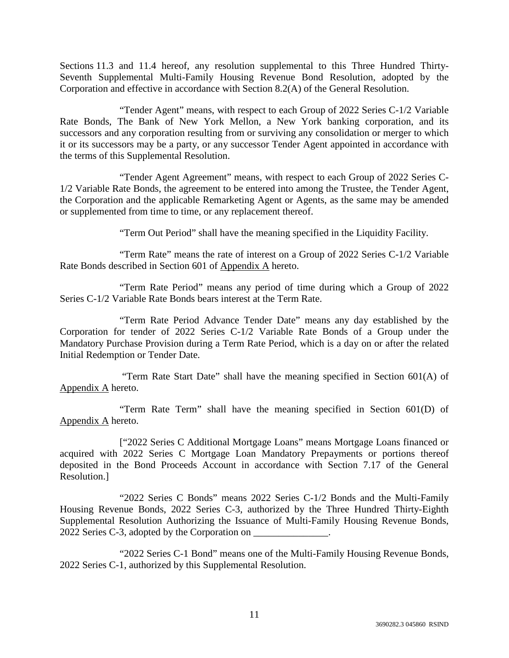Sections 11.3 and 11.4 hereof, any resolution supplemental to this Three Hundred Thirty-Seventh Supplemental Multi-Family Housing Revenue Bond Resolution, adopted by the Corporation and effective in accordance with Section 8.2(A) of the General Resolution.

"Tender Agent" means, with respect to each Group of 2022 Series C-1/2 Variable Rate Bonds, The Bank of New York Mellon, a New York banking corporation, and its successors and any corporation resulting from or surviving any consolidation or merger to which it or its successors may be a party, or any successor Tender Agent appointed in accordance with the terms of this Supplemental Resolution.

"Tender Agent Agreement" means, with respect to each Group of 2022 Series C-1/2 Variable Rate Bonds, the agreement to be entered into among the Trustee, the Tender Agent, the Corporation and the applicable Remarketing Agent or Agents, as the same may be amended or supplemented from time to time, or any replacement thereof.

"Term Out Period" shall have the meaning specified in the Liquidity Facility.

"Term Rate" means the rate of interest on a Group of 2022 Series C-1/2 Variable Rate Bonds described in Section 601 of Appendix A hereto.

"Term Rate Period" means any period of time during which a Group of 2022 Series C-1/2 Variable Rate Bonds bears interest at the Term Rate.

"Term Rate Period Advance Tender Date" means any day established by the Corporation for tender of 2022 Series C-1/2 Variable Rate Bonds of a Group under the Mandatory Purchase Provision during a Term Rate Period, which is a day on or after the related Initial Redemption or Tender Date.

 "Term Rate Start Date" shall have the meaning specified in Section 601(A) of Appendix A hereto.

"Term Rate Term" shall have the meaning specified in Section 601(D) of Appendix A hereto.

["2022 Series C Additional Mortgage Loans" means Mortgage Loans financed or acquired with 2022 Series C Mortgage Loan Mandatory Prepayments or portions thereof deposited in the Bond Proceeds Account in accordance with Section 7.17 of the General Resolution.]

"2022 Series C Bonds" means 2022 Series C-1/2 Bonds and the Multi-Family Housing Revenue Bonds, 2022 Series C-3, authorized by the Three Hundred Thirty-Eighth Supplemental Resolution Authorizing the Issuance of Multi-Family Housing Revenue Bonds, 2022 Series C-3, adopted by the Corporation on

"2022 Series C-1 Bond" means one of the Multi-Family Housing Revenue Bonds, 2022 Series C-1, authorized by this Supplemental Resolution.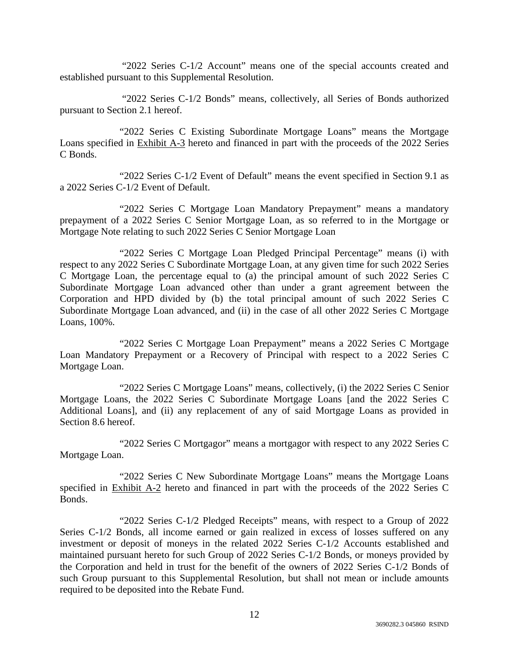"2022 Series C-1/2 Account" means one of the special accounts created and established pursuant to this Supplemental Resolution.

 "2022 Series C-1/2 Bonds" means, collectively, all Series of Bonds authorized pursuant to Section 2.1 hereof.

"2022 Series C Existing Subordinate Mortgage Loans" means the Mortgage Loans specified in Exhibit A-3 hereto and financed in part with the proceeds of the 2022 Series C Bonds.

"2022 Series C-1/2 Event of Default" means the event specified in Section 9.1 as a 2022 Series C-1/2 Event of Default.

"2022 Series C Mortgage Loan Mandatory Prepayment" means a mandatory prepayment of a 2022 Series C Senior Mortgage Loan, as so referred to in the Mortgage or Mortgage Note relating to such 2022 Series C Senior Mortgage Loan

"2022 Series C Mortgage Loan Pledged Principal Percentage" means (i) with respect to any 2022 Series C Subordinate Mortgage Loan, at any given time for such 2022 Series C Mortgage Loan, the percentage equal to (a) the principal amount of such 2022 Series C Subordinate Mortgage Loan advanced other than under a grant agreement between the Corporation and HPD divided by (b) the total principal amount of such 2022 Series C Subordinate Mortgage Loan advanced, and (ii) in the case of all other 2022 Series C Mortgage Loans, 100%.

"2022 Series C Mortgage Loan Prepayment" means a 2022 Series C Mortgage Loan Mandatory Prepayment or a Recovery of Principal with respect to a 2022 Series C Mortgage Loan.

"2022 Series C Mortgage Loans" means, collectively, (i) the 2022 Series C Senior Mortgage Loans, the 2022 Series C Subordinate Mortgage Loans [and the 2022 Series C Additional Loans], and (ii) any replacement of any of said Mortgage Loans as provided in Section 8.6 hereof.

"2022 Series C Mortgagor" means a mortgagor with respect to any 2022 Series C Mortgage Loan.

"2022 Series C New Subordinate Mortgage Loans" means the Mortgage Loans specified in Exhibit A-2 hereto and financed in part with the proceeds of the 2022 Series C Bonds.

"2022 Series C-1/2 Pledged Receipts" means, with respect to a Group of 2022 Series C-1/2 Bonds, all income earned or gain realized in excess of losses suffered on any investment or deposit of moneys in the related 2022 Series C-1/2 Accounts established and maintained pursuant hereto for such Group of 2022 Series C-1/2 Bonds, or moneys provided by the Corporation and held in trust for the benefit of the owners of 2022 Series C-1/2 Bonds of such Group pursuant to this Supplemental Resolution, but shall not mean or include amounts required to be deposited into the Rebate Fund.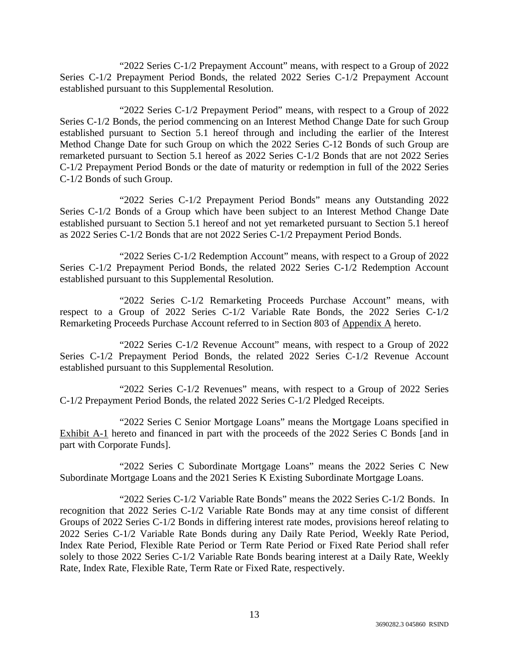"2022 Series C-1/2 Prepayment Account" means, with respect to a Group of 2022 Series C-1/2 Prepayment Period Bonds, the related 2022 Series C-1/2 Prepayment Account established pursuant to this Supplemental Resolution.

"2022 Series C-1/2 Prepayment Period" means, with respect to a Group of 2022 Series C-1/2 Bonds, the period commencing on an Interest Method Change Date for such Group established pursuant to Section 5.1 hereof through and including the earlier of the Interest Method Change Date for such Group on which the 2022 Series C-12 Bonds of such Group are remarketed pursuant to Section 5.1 hereof as 2022 Series C-1/2 Bonds that are not 2022 Series C-1/2 Prepayment Period Bonds or the date of maturity or redemption in full of the 2022 Series C-1/2 Bonds of such Group.

"2022 Series C-1/2 Prepayment Period Bonds" means any Outstanding 2022 Series C-1/2 Bonds of a Group which have been subject to an Interest Method Change Date established pursuant to Section 5.1 hereof and not yet remarketed pursuant to Section 5.1 hereof as 2022 Series C-1/2 Bonds that are not 2022 Series C-1/2 Prepayment Period Bonds.

"2022 Series C-1/2 Redemption Account" means, with respect to a Group of 2022 Series C-1/2 Prepayment Period Bonds, the related 2022 Series C-1/2 Redemption Account established pursuant to this Supplemental Resolution.

"2022 Series C-1/2 Remarketing Proceeds Purchase Account" means, with respect to a Group of 2022 Series C-1/2 Variable Rate Bonds, the 2022 Series C-1/2 Remarketing Proceeds Purchase Account referred to in Section 803 of Appendix A hereto.

"2022 Series C-1/2 Revenue Account" means, with respect to a Group of 2022 Series C-1/2 Prepayment Period Bonds, the related 2022 Series C-1/2 Revenue Account established pursuant to this Supplemental Resolution.

"2022 Series C-1/2 Revenues" means, with respect to a Group of 2022 Series C-1/2 Prepayment Period Bonds, the related 2022 Series C-1/2 Pledged Receipts.

"2022 Series C Senior Mortgage Loans" means the Mortgage Loans specified in Exhibit A-1 hereto and financed in part with the proceeds of the 2022 Series C Bonds [and in part with Corporate Funds].

"2022 Series C Subordinate Mortgage Loans" means the 2022 Series C New Subordinate Mortgage Loans and the 2021 Series K Existing Subordinate Mortgage Loans.

"2022 Series C-1/2 Variable Rate Bonds" means the 2022 Series C-1/2 Bonds. In recognition that 2022 Series C-1/2 Variable Rate Bonds may at any time consist of different Groups of 2022 Series C-1/2 Bonds in differing interest rate modes, provisions hereof relating to 2022 Series C-1/2 Variable Rate Bonds during any Daily Rate Period, Weekly Rate Period, Index Rate Period, Flexible Rate Period or Term Rate Period or Fixed Rate Period shall refer solely to those 2022 Series C-1/2 Variable Rate Bonds bearing interest at a Daily Rate, Weekly Rate, Index Rate, Flexible Rate, Term Rate or Fixed Rate, respectively.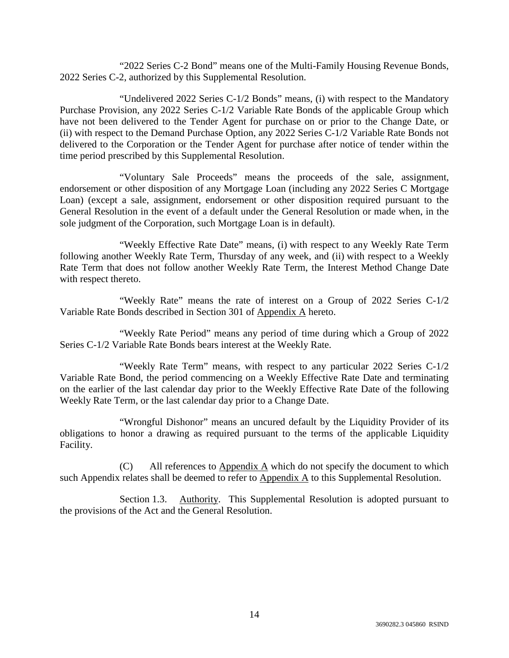"2022 Series C-2 Bond" means one of the Multi-Family Housing Revenue Bonds, 2022 Series C-2, authorized by this Supplemental Resolution.

"Undelivered 2022 Series C-1/2 Bonds" means, (i) with respect to the Mandatory Purchase Provision, any 2022 Series C-1/2 Variable Rate Bonds of the applicable Group which have not been delivered to the Tender Agent for purchase on or prior to the Change Date, or (ii) with respect to the Demand Purchase Option, any 2022 Series C-1/2 Variable Rate Bonds not delivered to the Corporation or the Tender Agent for purchase after notice of tender within the time period prescribed by this Supplemental Resolution.

"Voluntary Sale Proceeds" means the proceeds of the sale, assignment, endorsement or other disposition of any Mortgage Loan (including any 2022 Series C Mortgage Loan) (except a sale, assignment, endorsement or other disposition required pursuant to the General Resolution in the event of a default under the General Resolution or made when, in the sole judgment of the Corporation, such Mortgage Loan is in default).

"Weekly Effective Rate Date" means, (i) with respect to any Weekly Rate Term following another Weekly Rate Term, Thursday of any week, and (ii) with respect to a Weekly Rate Term that does not follow another Weekly Rate Term, the Interest Method Change Date with respect thereto.

"Weekly Rate" means the rate of interest on a Group of 2022 Series C-1/2 Variable Rate Bonds described in Section 301 of Appendix A hereto.

"Weekly Rate Period" means any period of time during which a Group of 2022 Series C-1/2 Variable Rate Bonds bears interest at the Weekly Rate.

"Weekly Rate Term" means, with respect to any particular 2022 Series C-1/2 Variable Rate Bond, the period commencing on a Weekly Effective Rate Date and terminating on the earlier of the last calendar day prior to the Weekly Effective Rate Date of the following Weekly Rate Term, or the last calendar day prior to a Change Date.

"Wrongful Dishonor" means an uncured default by the Liquidity Provider of its obligations to honor a drawing as required pursuant to the terms of the applicable Liquidity Facility.

(C) All references to Appendix A which do not specify the document to which such Appendix relates shall be deemed to refer to Appendix A to this Supplemental Resolution.

Section 1.3. Authority. This Supplemental Resolution is adopted pursuant to the provisions of the Act and the General Resolution.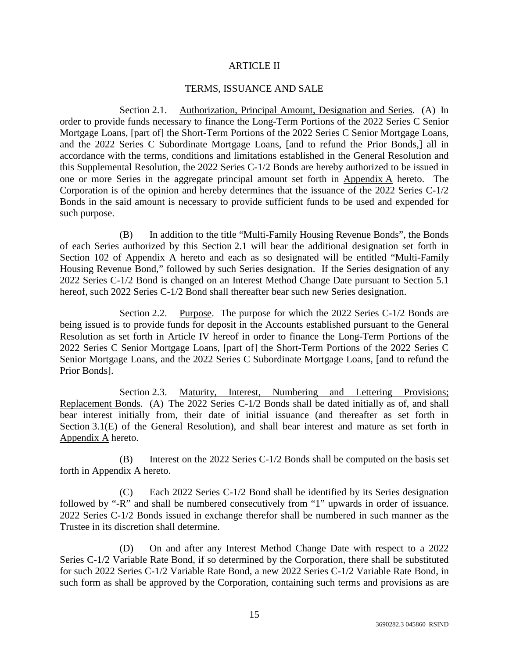### ARTICLE II

### TERMS, ISSUANCE AND SALE

Section 2.1. Authorization, Principal Amount, Designation and Series. (A) In order to provide funds necessary to finance the Long-Term Portions of the 2022 Series C Senior Mortgage Loans, [part of] the Short-Term Portions of the 2022 Series C Senior Mortgage Loans, and the 2022 Series C Subordinate Mortgage Loans, [and to refund the Prior Bonds,] all in accordance with the terms, conditions and limitations established in the General Resolution and this Supplemental Resolution, the 2022 Series C-1/2 Bonds are hereby authorized to be issued in one or more Series in the aggregate principal amount set forth in Appendix A hereto. The Corporation is of the opinion and hereby determines that the issuance of the 2022 Series C-1/2 Bonds in the said amount is necessary to provide sufficient funds to be used and expended for such purpose.

(B) In addition to the title "Multi-Family Housing Revenue Bonds", the Bonds of each Series authorized by this Section 2.1 will bear the additional designation set forth in Section 102 of Appendix A hereto and each as so designated will be entitled "Multi-Family Housing Revenue Bond," followed by such Series designation. If the Series designation of any 2022 Series C-1/2 Bond is changed on an Interest Method Change Date pursuant to Section 5.1 hereof, such 2022 Series C-1/2 Bond shall thereafter bear such new Series designation.

Section 2.2. Purpose. The purpose for which the 2022 Series C-1/2 Bonds are being issued is to provide funds for deposit in the Accounts established pursuant to the General Resolution as set forth in Article IV hereof in order to finance the Long-Term Portions of the 2022 Series C Senior Mortgage Loans, [part of] the Short-Term Portions of the 2022 Series C Senior Mortgage Loans, and the 2022 Series C Subordinate Mortgage Loans, [and to refund the Prior Bonds].

Section 2.3. Maturity, Interest, Numbering and Lettering Provisions; Replacement Bonds. (A) The 2022 Series C-1/2 Bonds shall be dated initially as of, and shall bear interest initially from, their date of initial issuance (and thereafter as set forth in Section 3.1(E) of the General Resolution), and shall bear interest and mature as set forth in Appendix A hereto.

(B) Interest on the 2022 Series C-1/2 Bonds shall be computed on the basis set forth in Appendix A hereto.

(C) Each 2022 Series C-1/2 Bond shall be identified by its Series designation followed by "-R" and shall be numbered consecutively from "1" upwards in order of issuance. 2022 Series C-1/2 Bonds issued in exchange therefor shall be numbered in such manner as the Trustee in its discretion shall determine.

(D) On and after any Interest Method Change Date with respect to a 2022 Series C-1/2 Variable Rate Bond, if so determined by the Corporation, there shall be substituted for such 2022 Series C-1/2 Variable Rate Bond, a new 2022 Series C-1/2 Variable Rate Bond, in such form as shall be approved by the Corporation, containing such terms and provisions as are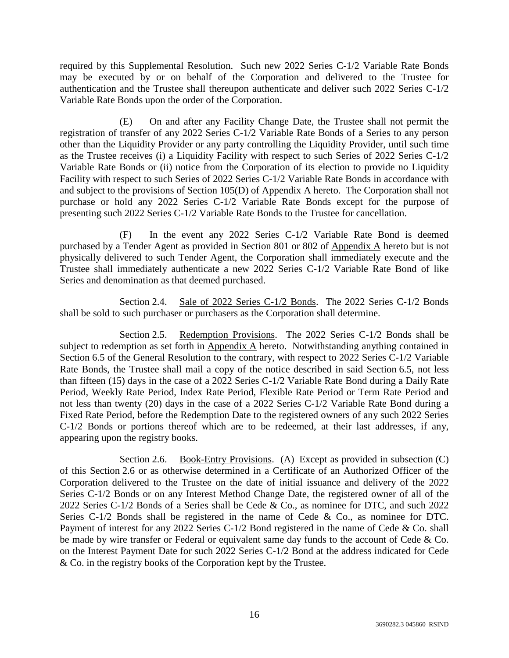required by this Supplemental Resolution. Such new 2022 Series C-1/2 Variable Rate Bonds may be executed by or on behalf of the Corporation and delivered to the Trustee for authentication and the Trustee shall thereupon authenticate and deliver such 2022 Series C-1/2 Variable Rate Bonds upon the order of the Corporation.

(E) On and after any Facility Change Date, the Trustee shall not permit the registration of transfer of any 2022 Series C-1/2 Variable Rate Bonds of a Series to any person other than the Liquidity Provider or any party controlling the Liquidity Provider, until such time as the Trustee receives (i) a Liquidity Facility with respect to such Series of 2022 Series C-1/2 Variable Rate Bonds or (ii) notice from the Corporation of its election to provide no Liquidity Facility with respect to such Series of 2022 Series C-1/2 Variable Rate Bonds in accordance with and subject to the provisions of Section 105(D) of Appendix A hereto. The Corporation shall not purchase or hold any 2022 Series C-1/2 Variable Rate Bonds except for the purpose of presenting such 2022 Series C-1/2 Variable Rate Bonds to the Trustee for cancellation.

(F) In the event any 2022 Series C-1/2 Variable Rate Bond is deemed purchased by a Tender Agent as provided in Section 801 or 802 of Appendix A hereto but is not physically delivered to such Tender Agent, the Corporation shall immediately execute and the Trustee shall immediately authenticate a new 2022 Series C-1/2 Variable Rate Bond of like Series and denomination as that deemed purchased.

Section 2.4. Sale of 2022 Series C-1/2 Bonds. The 2022 Series C-1/2 Bonds shall be sold to such purchaser or purchasers as the Corporation shall determine.

Section 2.5. Redemption Provisions. The 2022 Series C-1/2 Bonds shall be subject to redemption as set forth in Appendix A hereto. Notwithstanding anything contained in Section 6.5 of the General Resolution to the contrary, with respect to 2022 Series C-1/2 Variable Rate Bonds, the Trustee shall mail a copy of the notice described in said Section 6.5, not less than fifteen (15) days in the case of a 2022 Series C-1/2 Variable Rate Bond during a Daily Rate Period, Weekly Rate Period, Index Rate Period, Flexible Rate Period or Term Rate Period and not less than twenty (20) days in the case of a 2022 Series C-1/2 Variable Rate Bond during a Fixed Rate Period, before the Redemption Date to the registered owners of any such 2022 Series C-1/2 Bonds or portions thereof which are to be redeemed, at their last addresses, if any, appearing upon the registry books.

Section 2.6. Book-Entry Provisions. (A) Except as provided in subsection (C) of this Section 2.6 or as otherwise determined in a Certificate of an Authorized Officer of the Corporation delivered to the Trustee on the date of initial issuance and delivery of the 2022 Series C-1/2 Bonds or on any Interest Method Change Date, the registered owner of all of the 2022 Series C-1/2 Bonds of a Series shall be Cede & Co., as nominee for DTC, and such 2022 Series C-1/2 Bonds shall be registered in the name of Cede & Co., as nominee for DTC. Payment of interest for any 2022 Series C-1/2 Bond registered in the name of Cede & Co. shall be made by wire transfer or Federal or equivalent same day funds to the account of Cede & Co. on the Interest Payment Date for such 2022 Series C-1/2 Bond at the address indicated for Cede & Co. in the registry books of the Corporation kept by the Trustee.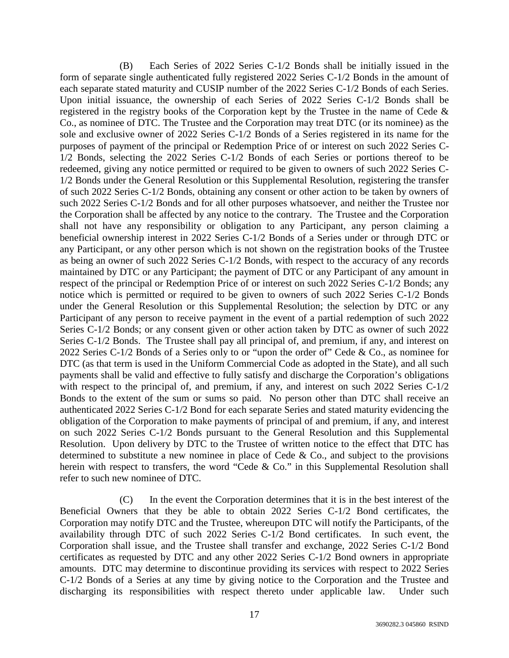(B) Each Series of 2022 Series C-1/2 Bonds shall be initially issued in the form of separate single authenticated fully registered 2022 Series C-1/2 Bonds in the amount of each separate stated maturity and CUSIP number of the 2022 Series C-1/2 Bonds of each Series. Upon initial issuance, the ownership of each Series of 2022 Series C-1/2 Bonds shall be registered in the registry books of the Corporation kept by the Trustee in the name of Cede & Co., as nominee of DTC. The Trustee and the Corporation may treat DTC (or its nominee) as the sole and exclusive owner of 2022 Series C-1/2 Bonds of a Series registered in its name for the purposes of payment of the principal or Redemption Price of or interest on such 2022 Series C-1/2 Bonds, selecting the 2022 Series C-1/2 Bonds of each Series or portions thereof to be redeemed, giving any notice permitted or required to be given to owners of such 2022 Series C-1/2 Bonds under the General Resolution or this Supplemental Resolution, registering the transfer of such 2022 Series C-1/2 Bonds, obtaining any consent or other action to be taken by owners of such 2022 Series C-1/2 Bonds and for all other purposes whatsoever, and neither the Trustee nor the Corporation shall be affected by any notice to the contrary. The Trustee and the Corporation shall not have any responsibility or obligation to any Participant, any person claiming a beneficial ownership interest in 2022 Series C-1/2 Bonds of a Series under or through DTC or any Participant, or any other person which is not shown on the registration books of the Trustee as being an owner of such 2022 Series C-1/2 Bonds, with respect to the accuracy of any records maintained by DTC or any Participant; the payment of DTC or any Participant of any amount in respect of the principal or Redemption Price of or interest on such 2022 Series C-1/2 Bonds; any notice which is permitted or required to be given to owners of such 2022 Series C-1/2 Bonds under the General Resolution or this Supplemental Resolution; the selection by DTC or any Participant of any person to receive payment in the event of a partial redemption of such 2022 Series C-1/2 Bonds; or any consent given or other action taken by DTC as owner of such 2022 Series C-1/2 Bonds. The Trustee shall pay all principal of, and premium, if any, and interest on 2022 Series C-1/2 Bonds of a Series only to or "upon the order of" Cede & Co., as nominee for DTC (as that term is used in the Uniform Commercial Code as adopted in the State), and all such payments shall be valid and effective to fully satisfy and discharge the Corporation's obligations with respect to the principal of, and premium, if any, and interest on such 2022 Series C-1/2 Bonds to the extent of the sum or sums so paid. No person other than DTC shall receive an authenticated 2022 Series C-1/2 Bond for each separate Series and stated maturity evidencing the obligation of the Corporation to make payments of principal of and premium, if any, and interest on such 2022 Series C-1/2 Bonds pursuant to the General Resolution and this Supplemental Resolution. Upon delivery by DTC to the Trustee of written notice to the effect that DTC has determined to substitute a new nominee in place of Cede  $\&$  Co., and subject to the provisions herein with respect to transfers, the word "Cede & Co." in this Supplemental Resolution shall refer to such new nominee of DTC.

(C) In the event the Corporation determines that it is in the best interest of the Beneficial Owners that they be able to obtain 2022 Series C-1/2 Bond certificates, the Corporation may notify DTC and the Trustee, whereupon DTC will notify the Participants, of the availability through DTC of such 2022 Series C-1/2 Bond certificates. In such event, the Corporation shall issue, and the Trustee shall transfer and exchange, 2022 Series C-1/2 Bond certificates as requested by DTC and any other 2022 Series C-1/2 Bond owners in appropriate amounts. DTC may determine to discontinue providing its services with respect to 2022 Series C-1/2 Bonds of a Series at any time by giving notice to the Corporation and the Trustee and discharging its responsibilities with respect thereto under applicable law. Under such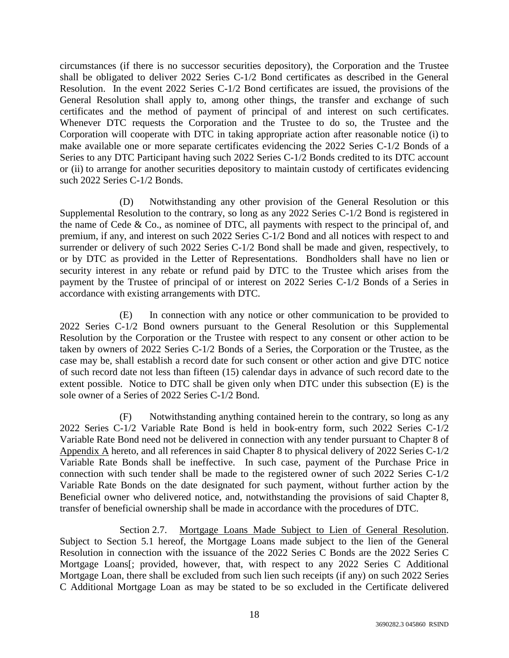circumstances (if there is no successor securities depository), the Corporation and the Trustee shall be obligated to deliver 2022 Series C-1/2 Bond certificates as described in the General Resolution. In the event 2022 Series C-1/2 Bond certificates are issued, the provisions of the General Resolution shall apply to, among other things, the transfer and exchange of such certificates and the method of payment of principal of and interest on such certificates. Whenever DTC requests the Corporation and the Trustee to do so, the Trustee and the Corporation will cooperate with DTC in taking appropriate action after reasonable notice (i) to make available one or more separate certificates evidencing the 2022 Series C-1/2 Bonds of a Series to any DTC Participant having such 2022 Series C-1/2 Bonds credited to its DTC account or (ii) to arrange for another securities depository to maintain custody of certificates evidencing such 2022 Series C-1/2 Bonds.

(D) Notwithstanding any other provision of the General Resolution or this Supplemental Resolution to the contrary, so long as any 2022 Series C-1/2 Bond is registered in the name of Cede & Co., as nominee of DTC, all payments with respect to the principal of, and premium, if any, and interest on such 2022 Series C-1/2 Bond and all notices with respect to and surrender or delivery of such 2022 Series C-1/2 Bond shall be made and given, respectively, to or by DTC as provided in the Letter of Representations. Bondholders shall have no lien or security interest in any rebate or refund paid by DTC to the Trustee which arises from the payment by the Trustee of principal of or interest on 2022 Series C-1/2 Bonds of a Series in accordance with existing arrangements with DTC.

(E) In connection with any notice or other communication to be provided to 2022 Series C-1/2 Bond owners pursuant to the General Resolution or this Supplemental Resolution by the Corporation or the Trustee with respect to any consent or other action to be taken by owners of 2022 Series C-1/2 Bonds of a Series, the Corporation or the Trustee, as the case may be, shall establish a record date for such consent or other action and give DTC notice of such record date not less than fifteen (15) calendar days in advance of such record date to the extent possible. Notice to DTC shall be given only when DTC under this subsection (E) is the sole owner of a Series of 2022 Series C-1/2 Bond.

(F) Notwithstanding anything contained herein to the contrary, so long as any 2022 Series C-1/2 Variable Rate Bond is held in book-entry form, such 2022 Series C-1/2 Variable Rate Bond need not be delivered in connection with any tender pursuant to Chapter 8 of Appendix A hereto, and all references in said Chapter 8 to physical delivery of 2022 Series C-1/2 Variable Rate Bonds shall be ineffective. In such case, payment of the Purchase Price in connection with such tender shall be made to the registered owner of such 2022 Series C-1/2 Variable Rate Bonds on the date designated for such payment, without further action by the Beneficial owner who delivered notice, and, notwithstanding the provisions of said Chapter 8, transfer of beneficial ownership shall be made in accordance with the procedures of DTC.

Section 2.7. Mortgage Loans Made Subject to Lien of General Resolution. Subject to Section 5.1 hereof, the Mortgage Loans made subject to the lien of the General Resolution in connection with the issuance of the 2022 Series C Bonds are the 2022 Series C Mortgage Loans[; provided, however, that, with respect to any 2022 Series C Additional Mortgage Loan, there shall be excluded from such lien such receipts (if any) on such 2022 Series C Additional Mortgage Loan as may be stated to be so excluded in the Certificate delivered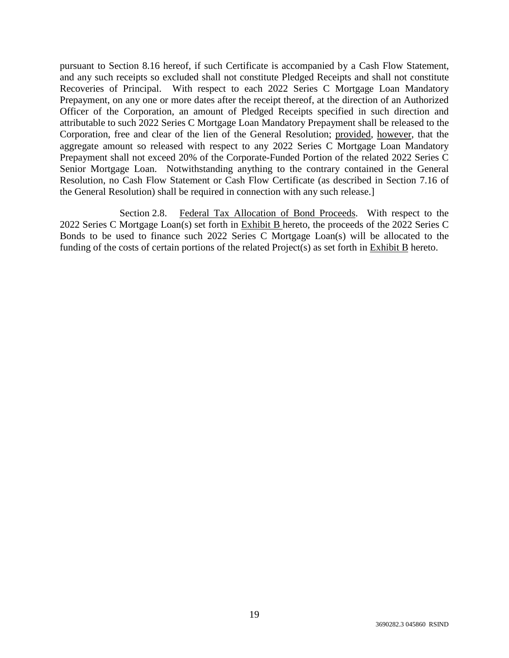pursuant to Section 8.16 hereof, if such Certificate is accompanied by a Cash Flow Statement, and any such receipts so excluded shall not constitute Pledged Receipts and shall not constitute Recoveries of Principal. With respect to each 2022 Series C Mortgage Loan Mandatory Prepayment, on any one or more dates after the receipt thereof, at the direction of an Authorized Officer of the Corporation, an amount of Pledged Receipts specified in such direction and attributable to such 2022 Series C Mortgage Loan Mandatory Prepayment shall be released to the Corporation, free and clear of the lien of the General Resolution; provided, however, that the aggregate amount so released with respect to any 2022 Series C Mortgage Loan Mandatory Prepayment shall not exceed 20% of the Corporate-Funded Portion of the related 2022 Series C Senior Mortgage Loan. Notwithstanding anything to the contrary contained in the General Resolution, no Cash Flow Statement or Cash Flow Certificate (as described in Section 7.16 of the General Resolution) shall be required in connection with any such release.]

Section 2.8. Federal Tax Allocation of Bond Proceeds. With respect to the 2022 Series C Mortgage Loan(s) set forth in Exhibit B hereto, the proceeds of the 2022 Series C Bonds to be used to finance such 2022 Series C Mortgage Loan(s) will be allocated to the funding of the costs of certain portions of the related Project(s) as set forth in Exhibit B hereto.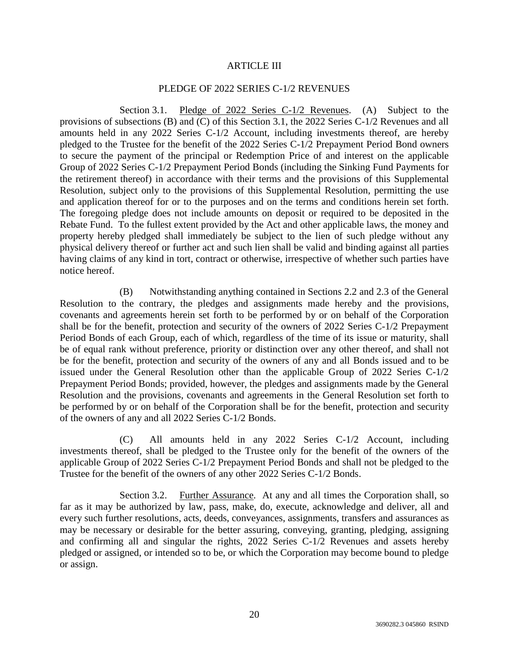### ARTICLE III

### PLEDGE OF 2022 SERIES C-1/2 REVENUES

Section 3.1. Pledge of 2022 Series C-1/2 Revenues. (A) Subject to the provisions of subsections (B) and (C) of this Section 3.1, the 2022 Series C-1/2 Revenues and all amounts held in any 2022 Series C-1/2 Account, including investments thereof, are hereby pledged to the Trustee for the benefit of the 2022 Series C-1/2 Prepayment Period Bond owners to secure the payment of the principal or Redemption Price of and interest on the applicable Group of 2022 Series C-1/2 Prepayment Period Bonds (including the Sinking Fund Payments for the retirement thereof) in accordance with their terms and the provisions of this Supplemental Resolution, subject only to the provisions of this Supplemental Resolution, permitting the use and application thereof for or to the purposes and on the terms and conditions herein set forth. The foregoing pledge does not include amounts on deposit or required to be deposited in the Rebate Fund. To the fullest extent provided by the Act and other applicable laws, the money and property hereby pledged shall immediately be subject to the lien of such pledge without any physical delivery thereof or further act and such lien shall be valid and binding against all parties having claims of any kind in tort, contract or otherwise, irrespective of whether such parties have notice hereof.

(B) Notwithstanding anything contained in Sections 2.2 and 2.3 of the General Resolution to the contrary, the pledges and assignments made hereby and the provisions, covenants and agreements herein set forth to be performed by or on behalf of the Corporation shall be for the benefit, protection and security of the owners of 2022 Series C-1/2 Prepayment Period Bonds of each Group, each of which, regardless of the time of its issue or maturity, shall be of equal rank without preference, priority or distinction over any other thereof, and shall not be for the benefit, protection and security of the owners of any and all Bonds issued and to be issued under the General Resolution other than the applicable Group of 2022 Series C-1/2 Prepayment Period Bonds; provided, however, the pledges and assignments made by the General Resolution and the provisions, covenants and agreements in the General Resolution set forth to be performed by or on behalf of the Corporation shall be for the benefit, protection and security of the owners of any and all 2022 Series C-1/2 Bonds.

(C) All amounts held in any 2022 Series C-1/2 Account, including investments thereof, shall be pledged to the Trustee only for the benefit of the owners of the applicable Group of 2022 Series C-1/2 Prepayment Period Bonds and shall not be pledged to the Trustee for the benefit of the owners of any other 2022 Series C-1/2 Bonds.

Section 3.2. Further Assurance. At any and all times the Corporation shall, so far as it may be authorized by law, pass, make, do, execute, acknowledge and deliver, all and every such further resolutions, acts, deeds, conveyances, assignments, transfers and assurances as may be necessary or desirable for the better assuring, conveying, granting, pledging, assigning and confirming all and singular the rights, 2022 Series C-1/2 Revenues and assets hereby pledged or assigned, or intended so to be, or which the Corporation may become bound to pledge or assign.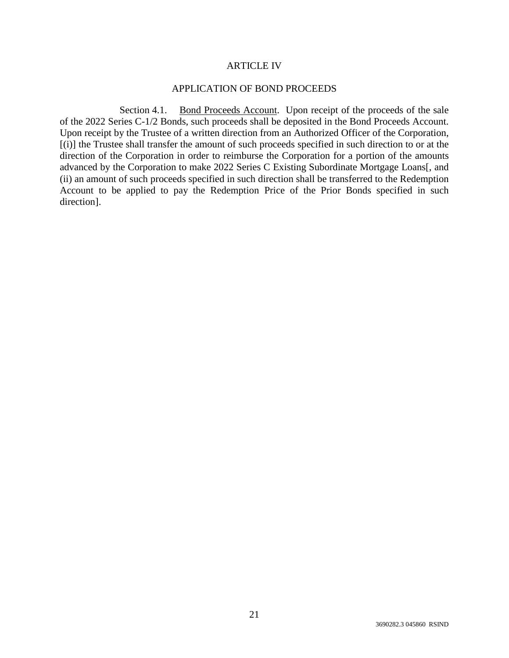#### ARTICLE IV

### APPLICATION OF BOND PROCEEDS

Section 4.1. Bond Proceeds Account. Upon receipt of the proceeds of the sale of the 2022 Series C-1/2 Bonds, such proceeds shall be deposited in the Bond Proceeds Account. Upon receipt by the Trustee of a written direction from an Authorized Officer of the Corporation, [(i)] the Trustee shall transfer the amount of such proceeds specified in such direction to or at the direction of the Corporation in order to reimburse the Corporation for a portion of the amounts advanced by the Corporation to make 2022 Series C Existing Subordinate Mortgage Loans[, and (ii) an amount of such proceeds specified in such direction shall be transferred to the Redemption Account to be applied to pay the Redemption Price of the Prior Bonds specified in such direction].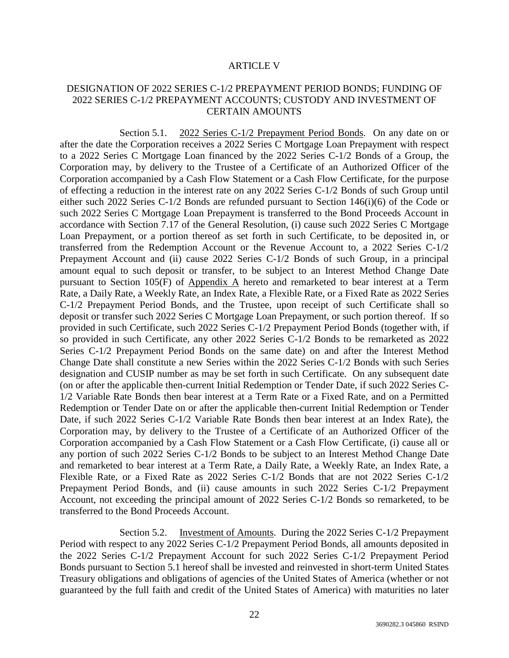#### ARTICLE V

## DESIGNATION OF 2022 SERIES C-1/2 PREPAYMENT PERIOD BONDS; FUNDING OF 2022 SERIES C-1/2 PREPAYMENT ACCOUNTS; CUSTODY AND INVESTMENT OF CERTAIN AMOUNTS

Section 5.1. 2022 Series C-1/2 Prepayment Period Bonds. On any date on or after the date the Corporation receives a 2022 Series C Mortgage Loan Prepayment with respect to a 2022 Series C Mortgage Loan financed by the 2022 Series C-1/2 Bonds of a Group, the Corporation may, by delivery to the Trustee of a Certificate of an Authorized Officer of the Corporation accompanied by a Cash Flow Statement or a Cash Flow Certificate, for the purpose of effecting a reduction in the interest rate on any 2022 Series C-1/2 Bonds of such Group until either such 2022 Series C-1/2 Bonds are refunded pursuant to Section 146(i)(6) of the Code or such 2022 Series C Mortgage Loan Prepayment is transferred to the Bond Proceeds Account in accordance with Section 7.17 of the General Resolution, (i) cause such 2022 Series C Mortgage Loan Prepayment, or a portion thereof as set forth in such Certificate, to be deposited in, or transferred from the Redemption Account or the Revenue Account to, a 2022 Series C-1/2 Prepayment Account and (ii) cause 2022 Series C-1/2 Bonds of such Group, in a principal amount equal to such deposit or transfer, to be subject to an Interest Method Change Date pursuant to Section 105(F) of Appendix A hereto and remarketed to bear interest at a Term Rate, a Daily Rate, a Weekly Rate, an Index Rate, a Flexible Rate, or a Fixed Rate as 2022 Series C-1/2 Prepayment Period Bonds, and the Trustee, upon receipt of such Certificate shall so deposit or transfer such 2022 Series C Mortgage Loan Prepayment, or such portion thereof. If so provided in such Certificate, such 2022 Series C-1/2 Prepayment Period Bonds (together with, if so provided in such Certificate, any other 2022 Series C-1/2 Bonds to be remarketed as 2022 Series C-1/2 Prepayment Period Bonds on the same date) on and after the Interest Method Change Date shall constitute a new Series within the 2022 Series C-1/2 Bonds with such Series designation and CUSIP number as may be set forth in such Certificate. On any subsequent date (on or after the applicable then-current Initial Redemption or Tender Date, if such 2022 Series C-1/2 Variable Rate Bonds then bear interest at a Term Rate or a Fixed Rate, and on a Permitted Redemption or Tender Date on or after the applicable then-current Initial Redemption or Tender Date, if such 2022 Series C-1/2 Variable Rate Bonds then bear interest at an Index Rate), the Corporation may, by delivery to the Trustee of a Certificate of an Authorized Officer of the Corporation accompanied by a Cash Flow Statement or a Cash Flow Certificate, (i) cause all or any portion of such 2022 Series C-1/2 Bonds to be subject to an Interest Method Change Date and remarketed to bear interest at a Term Rate, a Daily Rate, a Weekly Rate, an Index Rate, a Flexible Rate, or a Fixed Rate as 2022 Series C-1/2 Bonds that are not 2022 Series C-1/2 Prepayment Period Bonds, and (ii) cause amounts in such 2022 Series C-1/2 Prepayment Account, not exceeding the principal amount of 2022 Series C-1/2 Bonds so remarketed, to be transferred to the Bond Proceeds Account.

Section 5.2. Investment of Amounts. During the 2022 Series C-1/2 Prepayment Period with respect to any 2022 Series C-1/2 Prepayment Period Bonds, all amounts deposited in the 2022 Series C-1/2 Prepayment Account for such 2022 Series C-1/2 Prepayment Period Bonds pursuant to Section 5.1 hereof shall be invested and reinvested in short-term United States Treasury obligations and obligations of agencies of the United States of America (whether or not guaranteed by the full faith and credit of the United States of America) with maturities no later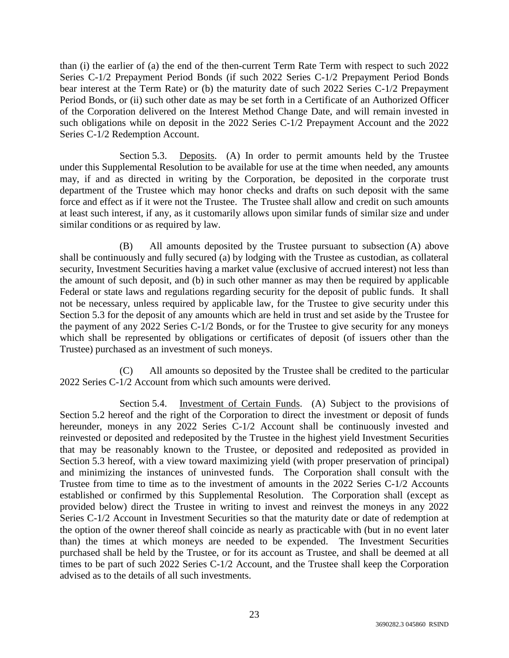than (i) the earlier of (a) the end of the then-current Term Rate Term with respect to such 2022 Series C-1/2 Prepayment Period Bonds (if such 2022 Series C-1/2 Prepayment Period Bonds bear interest at the Term Rate) or (b) the maturity date of such 2022 Series C-1/2 Prepayment Period Bonds, or (ii) such other date as may be set forth in a Certificate of an Authorized Officer of the Corporation delivered on the Interest Method Change Date, and will remain invested in such obligations while on deposit in the 2022 Series C-1/2 Prepayment Account and the 2022 Series C-1/2 Redemption Account.

Section 5.3. Deposits. (A) In order to permit amounts held by the Trustee under this Supplemental Resolution to be available for use at the time when needed, any amounts may, if and as directed in writing by the Corporation, be deposited in the corporate trust department of the Trustee which may honor checks and drafts on such deposit with the same force and effect as if it were not the Trustee. The Trustee shall allow and credit on such amounts at least such interest, if any, as it customarily allows upon similar funds of similar size and under similar conditions or as required by law.

(B) All amounts deposited by the Trustee pursuant to subsection (A) above shall be continuously and fully secured (a) by lodging with the Trustee as custodian, as collateral security, Investment Securities having a market value (exclusive of accrued interest) not less than the amount of such deposit, and (b) in such other manner as may then be required by applicable Federal or state laws and regulations regarding security for the deposit of public funds. It shall not be necessary, unless required by applicable law, for the Trustee to give security under this Section 5.3 for the deposit of any amounts which are held in trust and set aside by the Trustee for the payment of any 2022 Series C-1/2 Bonds, or for the Trustee to give security for any moneys which shall be represented by obligations or certificates of deposit (of issuers other than the Trustee) purchased as an investment of such moneys.

(C) All amounts so deposited by the Trustee shall be credited to the particular 2022 Series C-1/2 Account from which such amounts were derived.

Section 5.4. Investment of Certain Funds. (A) Subject to the provisions of Section 5.2 hereof and the right of the Corporation to direct the investment or deposit of funds hereunder, moneys in any 2022 Series C-1/2 Account shall be continuously invested and reinvested or deposited and redeposited by the Trustee in the highest yield Investment Securities that may be reasonably known to the Trustee, or deposited and redeposited as provided in Section 5.3 hereof, with a view toward maximizing yield (with proper preservation of principal) and minimizing the instances of uninvested funds. The Corporation shall consult with the Trustee from time to time as to the investment of amounts in the 2022 Series C-1/2 Accounts established or confirmed by this Supplemental Resolution. The Corporation shall (except as provided below) direct the Trustee in writing to invest and reinvest the moneys in any 2022 Series C-1/2 Account in Investment Securities so that the maturity date or date of redemption at the option of the owner thereof shall coincide as nearly as practicable with (but in no event later than) the times at which moneys are needed to be expended. The Investment Securities purchased shall be held by the Trustee, or for its account as Trustee, and shall be deemed at all times to be part of such 2022 Series C-1/2 Account, and the Trustee shall keep the Corporation advised as to the details of all such investments.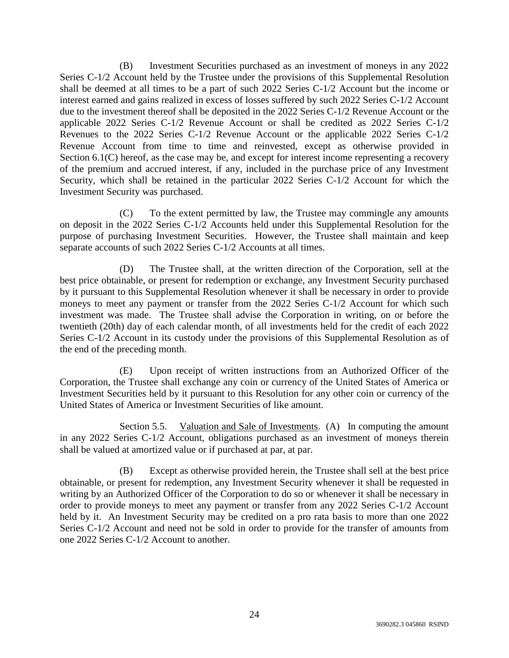(B) Investment Securities purchased as an investment of moneys in any 2022 Series C-1/2 Account held by the Trustee under the provisions of this Supplemental Resolution shall be deemed at all times to be a part of such 2022 Series C-1/2 Account but the income or interest earned and gains realized in excess of losses suffered by such 2022 Series C-1/2 Account due to the investment thereof shall be deposited in the 2022 Series C-1/2 Revenue Account or the applicable 2022 Series C-1/2 Revenue Account or shall be credited as 2022 Series C-1/2 Revenues to the 2022 Series C-1/2 Revenue Account or the applicable 2022 Series C-1/2 Revenue Account from time to time and reinvested, except as otherwise provided in Section 6.1(C) hereof, as the case may be, and except for interest income representing a recovery of the premium and accrued interest, if any, included in the purchase price of any Investment Security, which shall be retained in the particular 2022 Series C-1/2 Account for which the Investment Security was purchased.

(C) To the extent permitted by law, the Trustee may commingle any amounts on deposit in the 2022 Series C-1/2 Accounts held under this Supplemental Resolution for the purpose of purchasing Investment Securities. However, the Trustee shall maintain and keep separate accounts of such 2022 Series C-1/2 Accounts at all times.

(D) The Trustee shall, at the written direction of the Corporation, sell at the best price obtainable, or present for redemption or exchange, any Investment Security purchased by it pursuant to this Supplemental Resolution whenever it shall be necessary in order to provide moneys to meet any payment or transfer from the 2022 Series C-1/2 Account for which such investment was made. The Trustee shall advise the Corporation in writing, on or before the twentieth (20th) day of each calendar month, of all investments held for the credit of each 2022 Series C-1/2 Account in its custody under the provisions of this Supplemental Resolution as of the end of the preceding month.

(E) Upon receipt of written instructions from an Authorized Officer of the Corporation, the Trustee shall exchange any coin or currency of the United States of America or Investment Securities held by it pursuant to this Resolution for any other coin or currency of the United States of America or Investment Securities of like amount.

Section 5.5. Valuation and Sale of Investments. (A) In computing the amount in any 2022 Series C-1/2 Account, obligations purchased as an investment of moneys therein shall be valued at amortized value or if purchased at par, at par.

(B) Except as otherwise provided herein, the Trustee shall sell at the best price obtainable, or present for redemption, any Investment Security whenever it shall be requested in writing by an Authorized Officer of the Corporation to do so or whenever it shall be necessary in order to provide moneys to meet any payment or transfer from any 2022 Series C-1/2 Account held by it. An Investment Security may be credited on a pro rata basis to more than one 2022 Series C-1/2 Account and need not be sold in order to provide for the transfer of amounts from one 2022 Series C-1/2 Account to another.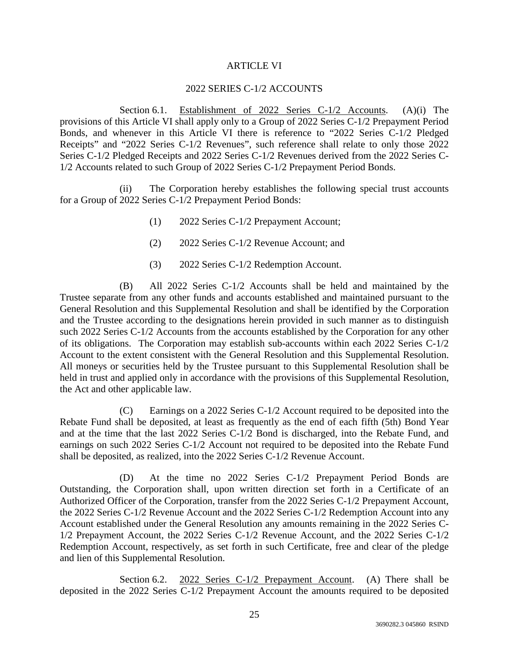## ARTICLE VI

### 2022 SERIES C-1/2 ACCOUNTS

Section 6.1. Establishment of 2022 Series C-1/2 Accounts. (A)(i) The provisions of this Article VI shall apply only to a Group of 2022 Series C-1/2 Prepayment Period Bonds, and whenever in this Article VI there is reference to "2022 Series C-1/2 Pledged Receipts" and "2022 Series C-1/2 Revenues", such reference shall relate to only those 2022 Series C-1/2 Pledged Receipts and 2022 Series C-1/2 Revenues derived from the 2022 Series C-1/2 Accounts related to such Group of 2022 Series C-1/2 Prepayment Period Bonds.

(ii) The Corporation hereby establishes the following special trust accounts for a Group of 2022 Series C-1/2 Prepayment Period Bonds:

- (1) 2022 Series C-1/2 Prepayment Account;
- (2) 2022 Series C-1/2 Revenue Account; and
- (3) 2022 Series C-1/2 Redemption Account.

(B) All 2022 Series C-1/2 Accounts shall be held and maintained by the Trustee separate from any other funds and accounts established and maintained pursuant to the General Resolution and this Supplemental Resolution and shall be identified by the Corporation and the Trustee according to the designations herein provided in such manner as to distinguish such 2022 Series C-1/2 Accounts from the accounts established by the Corporation for any other of its obligations. The Corporation may establish sub-accounts within each 2022 Series C-1/2 Account to the extent consistent with the General Resolution and this Supplemental Resolution. All moneys or securities held by the Trustee pursuant to this Supplemental Resolution shall be held in trust and applied only in accordance with the provisions of this Supplemental Resolution, the Act and other applicable law.

(C) Earnings on a 2022 Series C-1/2 Account required to be deposited into the Rebate Fund shall be deposited, at least as frequently as the end of each fifth (5th) Bond Year and at the time that the last 2022 Series C-1/2 Bond is discharged, into the Rebate Fund, and earnings on such 2022 Series C-1/2 Account not required to be deposited into the Rebate Fund shall be deposited, as realized, into the 2022 Series C-1/2 Revenue Account.

(D) At the time no 2022 Series C-1/2 Prepayment Period Bonds are Outstanding, the Corporation shall, upon written direction set forth in a Certificate of an Authorized Officer of the Corporation, transfer from the 2022 Series C-1/2 Prepayment Account, the 2022 Series C-1/2 Revenue Account and the 2022 Series C-1/2 Redemption Account into any Account established under the General Resolution any amounts remaining in the 2022 Series C-1/2 Prepayment Account, the 2022 Series C-1/2 Revenue Account, and the 2022 Series C-1/2 Redemption Account, respectively, as set forth in such Certificate, free and clear of the pledge and lien of this Supplemental Resolution.

Section 6.2. 2022 Series C-1/2 Prepayment Account. (A) There shall be deposited in the 2022 Series C-1/2 Prepayment Account the amounts required to be deposited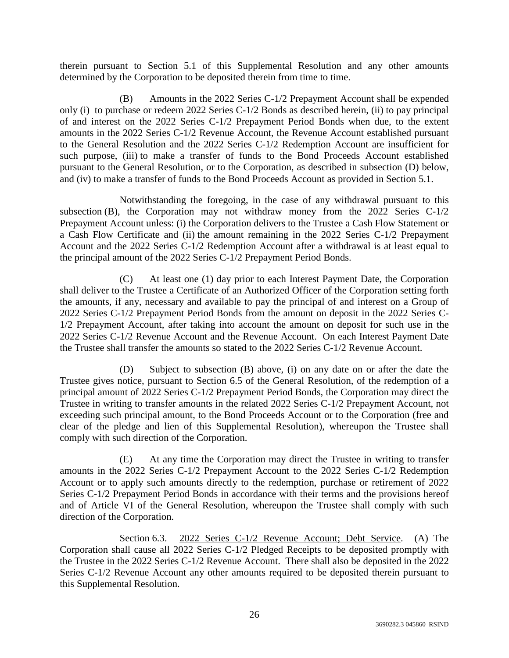therein pursuant to Section 5.1 of this Supplemental Resolution and any other amounts determined by the Corporation to be deposited therein from time to time.

(B) Amounts in the 2022 Series C-1/2 Prepayment Account shall be expended only (i) to purchase or redeem 2022 Series C-1/2 Bonds as described herein, (ii) to pay principal of and interest on the 2022 Series C-1/2 Prepayment Period Bonds when due, to the extent amounts in the 2022 Series C-1/2 Revenue Account, the Revenue Account established pursuant to the General Resolution and the 2022 Series C-1/2 Redemption Account are insufficient for such purpose, (iii) to make a transfer of funds to the Bond Proceeds Account established pursuant to the General Resolution, or to the Corporation, as described in subsection (D) below, and (iv) to make a transfer of funds to the Bond Proceeds Account as provided in Section 5.1.

Notwithstanding the foregoing, in the case of any withdrawal pursuant to this subsection (B), the Corporation may not withdraw money from the  $2022$  Series C-1/2 Prepayment Account unless: (i) the Corporation delivers to the Trustee a Cash Flow Statement or a Cash Flow Certificate and (ii) the amount remaining in the 2022 Series C-1/2 Prepayment Account and the 2022 Series C-1/2 Redemption Account after a withdrawal is at least equal to the principal amount of the 2022 Series C-1/2 Prepayment Period Bonds.

(C) At least one (1) day prior to each Interest Payment Date, the Corporation shall deliver to the Trustee a Certificate of an Authorized Officer of the Corporation setting forth the amounts, if any, necessary and available to pay the principal of and interest on a Group of 2022 Series C-1/2 Prepayment Period Bonds from the amount on deposit in the 2022 Series C-1/2 Prepayment Account, after taking into account the amount on deposit for such use in the 2022 Series C-1/2 Revenue Account and the Revenue Account. On each Interest Payment Date the Trustee shall transfer the amounts so stated to the 2022 Series C-1/2 Revenue Account.

(D) Subject to subsection (B) above, (i) on any date on or after the date the Trustee gives notice, pursuant to Section 6.5 of the General Resolution, of the redemption of a principal amount of 2022 Series C-1/2 Prepayment Period Bonds, the Corporation may direct the Trustee in writing to transfer amounts in the related 2022 Series C-1/2 Prepayment Account, not exceeding such principal amount, to the Bond Proceeds Account or to the Corporation (free and clear of the pledge and lien of this Supplemental Resolution), whereupon the Trustee shall comply with such direction of the Corporation.

(E) At any time the Corporation may direct the Trustee in writing to transfer amounts in the 2022 Series C-1/2 Prepayment Account to the 2022 Series C-1/2 Redemption Account or to apply such amounts directly to the redemption, purchase or retirement of 2022 Series C-1/2 Prepayment Period Bonds in accordance with their terms and the provisions hereof and of Article VI of the General Resolution, whereupon the Trustee shall comply with such direction of the Corporation.

Section 6.3. 2022 Series C-1/2 Revenue Account; Debt Service. (A) The Corporation shall cause all 2022 Series C-1/2 Pledged Receipts to be deposited promptly with the Trustee in the 2022 Series C-1/2 Revenue Account. There shall also be deposited in the 2022 Series C-1/2 Revenue Account any other amounts required to be deposited therein pursuant to this Supplemental Resolution.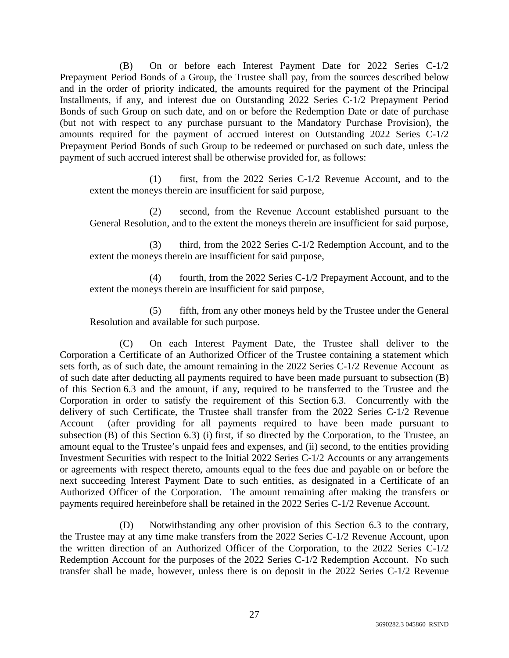(B) On or before each Interest Payment Date for 2022 Series C-1/2 Prepayment Period Bonds of a Group, the Trustee shall pay, from the sources described below and in the order of priority indicated, the amounts required for the payment of the Principal Installments, if any, and interest due on Outstanding 2022 Series C-1/2 Prepayment Period Bonds of such Group on such date, and on or before the Redemption Date or date of purchase (but not with respect to any purchase pursuant to the Mandatory Purchase Provision), the amounts required for the payment of accrued interest on Outstanding 2022 Series C-1/2 Prepayment Period Bonds of such Group to be redeemed or purchased on such date, unless the payment of such accrued interest shall be otherwise provided for, as follows:

(1) first, from the 2022 Series C-1/2 Revenue Account, and to the extent the moneys therein are insufficient for said purpose,

(2) second, from the Revenue Account established pursuant to the General Resolution, and to the extent the moneys therein are insufficient for said purpose,

(3) third, from the 2022 Series C-1/2 Redemption Account, and to the extent the moneys therein are insufficient for said purpose,

(4) fourth, from the 2022 Series C-1/2 Prepayment Account, and to the extent the moneys therein are insufficient for said purpose,

(5) fifth, from any other moneys held by the Trustee under the General Resolution and available for such purpose.

(C) On each Interest Payment Date, the Trustee shall deliver to the Corporation a Certificate of an Authorized Officer of the Trustee containing a statement which sets forth, as of such date, the amount remaining in the 2022 Series C-1/2 Revenue Account as of such date after deducting all payments required to have been made pursuant to subsection (B) of this Section 6.3 and the amount, if any, required to be transferred to the Trustee and the Corporation in order to satisfy the requirement of this Section 6.3. Concurrently with the delivery of such Certificate, the Trustee shall transfer from the 2022 Series C-1/2 Revenue Account (after providing for all payments required to have been made pursuant to subsection (B) of this Section 6.3) (i) first, if so directed by the Corporation, to the Trustee, an amount equal to the Trustee's unpaid fees and expenses, and (ii) second, to the entities providing Investment Securities with respect to the Initial 2022 Series C-1/2 Accounts or any arrangements or agreements with respect thereto, amounts equal to the fees due and payable on or before the next succeeding Interest Payment Date to such entities, as designated in a Certificate of an Authorized Officer of the Corporation. The amount remaining after making the transfers or payments required hereinbefore shall be retained in the 2022 Series C-1/2 Revenue Account.

(D) Notwithstanding any other provision of this Section 6.3 to the contrary, the Trustee may at any time make transfers from the 2022 Series C-1/2 Revenue Account, upon the written direction of an Authorized Officer of the Corporation, to the 2022 Series C-1/2 Redemption Account for the purposes of the 2022 Series C-1/2 Redemption Account. No such transfer shall be made, however, unless there is on deposit in the 2022 Series C-1/2 Revenue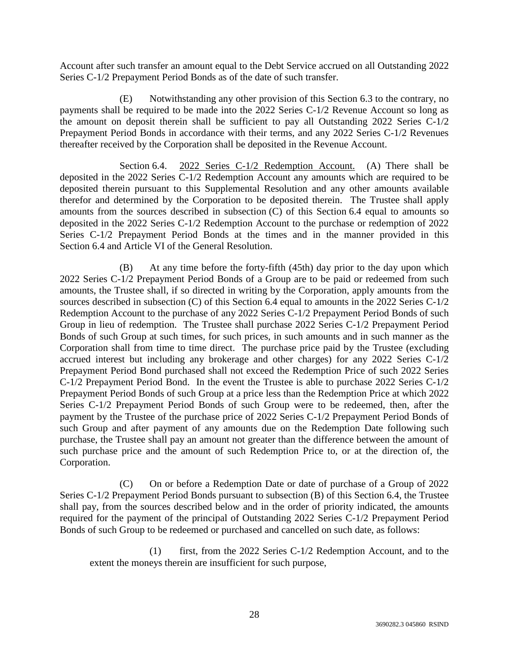Account after such transfer an amount equal to the Debt Service accrued on all Outstanding 2022 Series C-1/2 Prepayment Period Bonds as of the date of such transfer.

(E) Notwithstanding any other provision of this Section 6.3 to the contrary, no payments shall be required to be made into the 2022 Series C-1/2 Revenue Account so long as the amount on deposit therein shall be sufficient to pay all Outstanding 2022 Series C-1/2 Prepayment Period Bonds in accordance with their terms, and any 2022 Series C-1/2 Revenues thereafter received by the Corporation shall be deposited in the Revenue Account.

Section 6.4. 2022 Series C-1/2 Redemption Account. (A) There shall be deposited in the 2022 Series C-1/2 Redemption Account any amounts which are required to be deposited therein pursuant to this Supplemental Resolution and any other amounts available therefor and determined by the Corporation to be deposited therein. The Trustee shall apply amounts from the sources described in subsection (C) of this Section 6.4 equal to amounts so deposited in the 2022 Series C-1/2 Redemption Account to the purchase or redemption of 2022 Series C-1/2 Prepayment Period Bonds at the times and in the manner provided in this Section 6.4 and Article VI of the General Resolution.

(B) At any time before the forty-fifth (45th) day prior to the day upon which 2022 Series C-1/2 Prepayment Period Bonds of a Group are to be paid or redeemed from such amounts, the Trustee shall, if so directed in writing by the Corporation, apply amounts from the sources described in subsection (C) of this Section 6.4 equal to amounts in the 2022 Series C-1/2 Redemption Account to the purchase of any 2022 Series C-1/2 Prepayment Period Bonds of such Group in lieu of redemption. The Trustee shall purchase 2022 Series C-1/2 Prepayment Period Bonds of such Group at such times, for such prices, in such amounts and in such manner as the Corporation shall from time to time direct. The purchase price paid by the Trustee (excluding accrued interest but including any brokerage and other charges) for any 2022 Series C-1/2 Prepayment Period Bond purchased shall not exceed the Redemption Price of such 2022 Series C-1/2 Prepayment Period Bond. In the event the Trustee is able to purchase 2022 Series C-1/2 Prepayment Period Bonds of such Group at a price less than the Redemption Price at which 2022 Series C-1/2 Prepayment Period Bonds of such Group were to be redeemed, then, after the payment by the Trustee of the purchase price of 2022 Series C-1/2 Prepayment Period Bonds of such Group and after payment of any amounts due on the Redemption Date following such purchase, the Trustee shall pay an amount not greater than the difference between the amount of such purchase price and the amount of such Redemption Price to, or at the direction of, the Corporation.

(C) On or before a Redemption Date or date of purchase of a Group of 2022 Series C-1/2 Prepayment Period Bonds pursuant to subsection (B) of this Section 6.4, the Trustee shall pay, from the sources described below and in the order of priority indicated, the amounts required for the payment of the principal of Outstanding 2022 Series C-1/2 Prepayment Period Bonds of such Group to be redeemed or purchased and cancelled on such date, as follows:

(1) first, from the 2022 Series C-1/2 Redemption Account, and to the extent the moneys therein are insufficient for such purpose,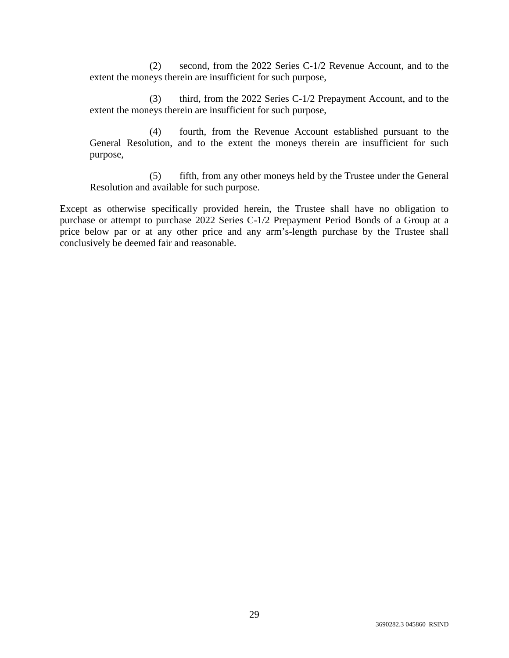(2) second, from the 2022 Series C-1/2 Revenue Account, and to the extent the moneys therein are insufficient for such purpose,

(3) third, from the 2022 Series C-1/2 Prepayment Account, and to the extent the moneys therein are insufficient for such purpose,

(4) fourth, from the Revenue Account established pursuant to the General Resolution, and to the extent the moneys therein are insufficient for such purpose,

(5) fifth, from any other moneys held by the Trustee under the General Resolution and available for such purpose.

Except as otherwise specifically provided herein, the Trustee shall have no obligation to purchase or attempt to purchase 2022 Series C-1/2 Prepayment Period Bonds of a Group at a price below par or at any other price and any arm's-length purchase by the Trustee shall conclusively be deemed fair and reasonable.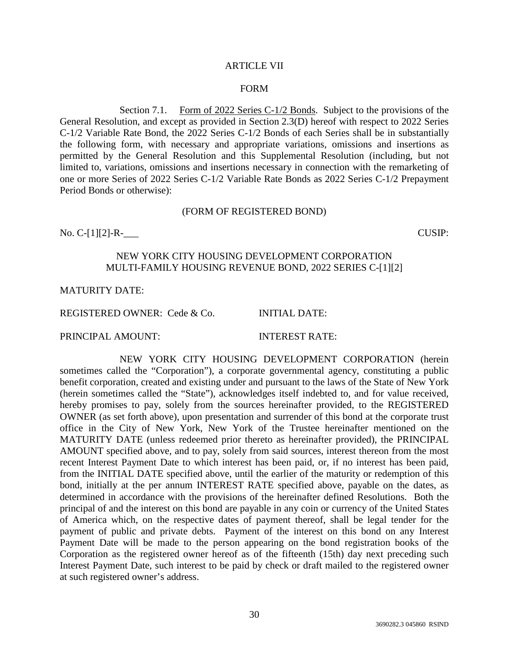#### ARTICLE VII

#### FORM

Section 7.1. Form of 2022 Series C-1/2 Bonds. Subject to the provisions of the General Resolution, and except as provided in Section 2.3(D) hereof with respect to 2022 Series C-1/2 Variable Rate Bond, the 2022 Series C-1/2 Bonds of each Series shall be in substantially the following form, with necessary and appropriate variations, omissions and insertions as permitted by the General Resolution and this Supplemental Resolution (including, but not limited to, variations, omissions and insertions necessary in connection with the remarketing of one or more Series of 2022 Series C-1/2 Variable Rate Bonds as 2022 Series C-1/2 Prepayment Period Bonds or otherwise):

#### (FORM OF REGISTERED BOND)

No. C-[1][2]-R-\_\_\_ CUSIP:

## NEW YORK CITY HOUSING DEVELOPMENT CORPORATION MULTI-FAMILY HOUSING REVENUE BOND, 2022 SERIES C-[1][2]

#### MATURITY DATE:

REGISTERED OWNER: Cede & Co. INITIAL DATE:

PRINCIPAL AMOUNT: INTEREST RATE:

NEW YORK CITY HOUSING DEVELOPMENT CORPORATION (herein sometimes called the "Corporation"), a corporate governmental agency, constituting a public benefit corporation, created and existing under and pursuant to the laws of the State of New York (herein sometimes called the "State"), acknowledges itself indebted to, and for value received, hereby promises to pay, solely from the sources hereinafter provided, to the REGISTERED OWNER (as set forth above), upon presentation and surrender of this bond at the corporate trust office in the City of New York, New York of the Trustee hereinafter mentioned on the MATURITY DATE (unless redeemed prior thereto as hereinafter provided), the PRINCIPAL AMOUNT specified above, and to pay, solely from said sources, interest thereon from the most recent Interest Payment Date to which interest has been paid, or, if no interest has been paid, from the INITIAL DATE specified above, until the earlier of the maturity or redemption of this bond, initially at the per annum INTEREST RATE specified above, payable on the dates, as determined in accordance with the provisions of the hereinafter defined Resolutions. Both the principal of and the interest on this bond are payable in any coin or currency of the United States of America which, on the respective dates of payment thereof, shall be legal tender for the payment of public and private debts. Payment of the interest on this bond on any Interest Payment Date will be made to the person appearing on the bond registration books of the Corporation as the registered owner hereof as of the fifteenth (15th) day next preceding such Interest Payment Date, such interest to be paid by check or draft mailed to the registered owner at such registered owner's address.

30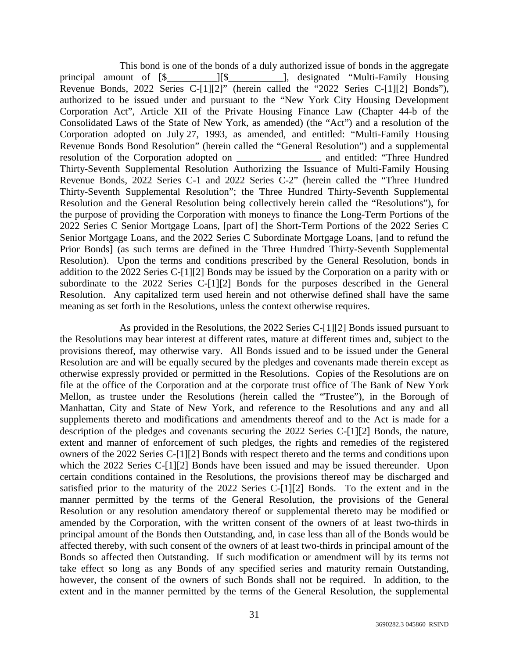This bond is one of the bonds of a duly authorized issue of bonds in the aggregate principal amount of [\$\_\_\_\_\_\_\_\_\_\_][\$\_\_\_\_\_\_\_\_\_\_\_], designated "Multi-Family Housing Revenue Bonds, 2022 Series C-[1][2]" (herein called the "2022 Series C-[1][2] Bonds"), authorized to be issued under and pursuant to the "New York City Housing Development Corporation Act", Article XII of the Private Housing Finance Law (Chapter 44-b of the Consolidated Laws of the State of New York, as amended) (the "Act") and a resolution of the Corporation adopted on July 27, 1993, as amended, and entitled: "Multi-Family Housing Revenue Bonds Bond Resolution" (herein called the "General Resolution") and a supplemental resolution of the Corporation adopted on \_\_\_\_\_\_\_\_\_\_\_\_\_\_\_\_\_ and entitled: "Three Hundred Thirty-Seventh Supplemental Resolution Authorizing the Issuance of Multi-Family Housing Revenue Bonds, 2022 Series C-1 and 2022 Series C-2" (herein called the "Three Hundred Thirty-Seventh Supplemental Resolution"; the Three Hundred Thirty-Seventh Supplemental Resolution and the General Resolution being collectively herein called the "Resolutions"), for the purpose of providing the Corporation with moneys to finance the Long-Term Portions of the 2022 Series C Senior Mortgage Loans, [part of] the Short-Term Portions of the 2022 Series C Senior Mortgage Loans, and the 2022 Series C Subordinate Mortgage Loans, [and to refund the Prior Bonds] (as such terms are defined in the Three Hundred Thirty-Seventh Supplemental Resolution). Upon the terms and conditions prescribed by the General Resolution, bonds in addition to the 2022 Series C-[1][2] Bonds may be issued by the Corporation on a parity with or subordinate to the 2022 Series C-[1][2] Bonds for the purposes described in the General Resolution. Any capitalized term used herein and not otherwise defined shall have the same meaning as set forth in the Resolutions, unless the context otherwise requires.

As provided in the Resolutions, the 2022 Series C-[1][2] Bonds issued pursuant to the Resolutions may bear interest at different rates, mature at different times and, subject to the provisions thereof, may otherwise vary. All Bonds issued and to be issued under the General Resolution are and will be equally secured by the pledges and covenants made therein except as otherwise expressly provided or permitted in the Resolutions. Copies of the Resolutions are on file at the office of the Corporation and at the corporate trust office of The Bank of New York Mellon, as trustee under the Resolutions (herein called the "Trustee"), in the Borough of Manhattan, City and State of New York, and reference to the Resolutions and any and all supplements thereto and modifications and amendments thereof and to the Act is made for a description of the pledges and covenants securing the 2022 Series C-[1][2] Bonds, the nature, extent and manner of enforcement of such pledges, the rights and remedies of the registered owners of the 2022 Series C-[1][2] Bonds with respect thereto and the terms and conditions upon which the 2022 Series C-[1][2] Bonds have been issued and may be issued thereunder. Upon certain conditions contained in the Resolutions, the provisions thereof may be discharged and satisfied prior to the maturity of the 2022 Series C-[1][2] Bonds. To the extent and in the manner permitted by the terms of the General Resolution, the provisions of the General Resolution or any resolution amendatory thereof or supplemental thereto may be modified or amended by the Corporation, with the written consent of the owners of at least two-thirds in principal amount of the Bonds then Outstanding, and, in case less than all of the Bonds would be affected thereby, with such consent of the owners of at least two-thirds in principal amount of the Bonds so affected then Outstanding. If such modification or amendment will by its terms not take effect so long as any Bonds of any specified series and maturity remain Outstanding, however, the consent of the owners of such Bonds shall not be required. In addition, to the extent and in the manner permitted by the terms of the General Resolution, the supplemental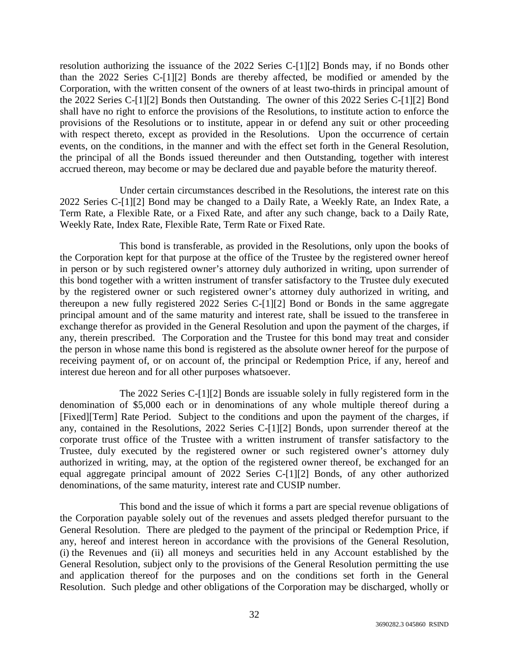resolution authorizing the issuance of the 2022 Series C-[1][2] Bonds may, if no Bonds other than the 2022 Series C-[1][2] Bonds are thereby affected, be modified or amended by the Corporation, with the written consent of the owners of at least two-thirds in principal amount of the 2022 Series C-[1][2] Bonds then Outstanding. The owner of this 2022 Series C-[1][2] Bond shall have no right to enforce the provisions of the Resolutions, to institute action to enforce the provisions of the Resolutions or to institute, appear in or defend any suit or other proceeding with respect thereto, except as provided in the Resolutions. Upon the occurrence of certain events, on the conditions, in the manner and with the effect set forth in the General Resolution, the principal of all the Bonds issued thereunder and then Outstanding, together with interest accrued thereon, may become or may be declared due and payable before the maturity thereof.

Under certain circumstances described in the Resolutions, the interest rate on this 2022 Series C-[1][2] Bond may be changed to a Daily Rate, a Weekly Rate, an Index Rate, a Term Rate, a Flexible Rate, or a Fixed Rate, and after any such change, back to a Daily Rate, Weekly Rate, Index Rate, Flexible Rate, Term Rate or Fixed Rate.

This bond is transferable, as provided in the Resolutions, only upon the books of the Corporation kept for that purpose at the office of the Trustee by the registered owner hereof in person or by such registered owner's attorney duly authorized in writing, upon surrender of this bond together with a written instrument of transfer satisfactory to the Trustee duly executed by the registered owner or such registered owner's attorney duly authorized in writing, and thereupon a new fully registered 2022 Series C-[1][2] Bond or Bonds in the same aggregate principal amount and of the same maturity and interest rate, shall be issued to the transferee in exchange therefor as provided in the General Resolution and upon the payment of the charges, if any, therein prescribed. The Corporation and the Trustee for this bond may treat and consider the person in whose name this bond is registered as the absolute owner hereof for the purpose of receiving payment of, or on account of, the principal or Redemption Price, if any, hereof and interest due hereon and for all other purposes whatsoever.

The 2022 Series C-[1][2] Bonds are issuable solely in fully registered form in the denomination of \$5,000 each or in denominations of any whole multiple thereof during a [Fixed][Term] Rate Period. Subject to the conditions and upon the payment of the charges, if any, contained in the Resolutions, 2022 Series C-[1][2] Bonds, upon surrender thereof at the corporate trust office of the Trustee with a written instrument of transfer satisfactory to the Trustee, duly executed by the registered owner or such registered owner's attorney duly authorized in writing, may, at the option of the registered owner thereof, be exchanged for an equal aggregate principal amount of 2022 Series C-[1][2] Bonds, of any other authorized denominations, of the same maturity, interest rate and CUSIP number.

This bond and the issue of which it forms a part are special revenue obligations of the Corporation payable solely out of the revenues and assets pledged therefor pursuant to the General Resolution. There are pledged to the payment of the principal or Redemption Price, if any, hereof and interest hereon in accordance with the provisions of the General Resolution, (i) the Revenues and (ii) all moneys and securities held in any Account established by the General Resolution, subject only to the provisions of the General Resolution permitting the use and application thereof for the purposes and on the conditions set forth in the General Resolution. Such pledge and other obligations of the Corporation may be discharged, wholly or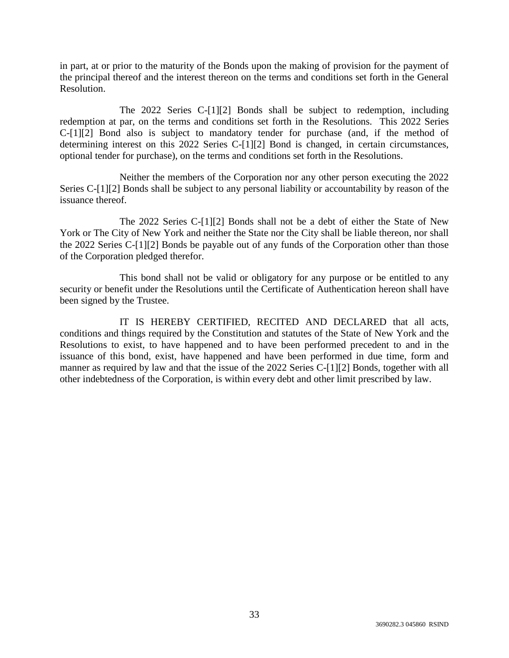in part, at or prior to the maturity of the Bonds upon the making of provision for the payment of the principal thereof and the interest thereon on the terms and conditions set forth in the General Resolution.

The 2022 Series C-[1][2] Bonds shall be subject to redemption, including redemption at par, on the terms and conditions set forth in the Resolutions. This 2022 Series C-[1][2] Bond also is subject to mandatory tender for purchase (and, if the method of determining interest on this 2022 Series C-[1][2] Bond is changed, in certain circumstances, optional tender for purchase), on the terms and conditions set forth in the Resolutions.

Neither the members of the Corporation nor any other person executing the 2022 Series C-[1][2] Bonds shall be subject to any personal liability or accountability by reason of the issuance thereof.

The 2022 Series C-[1][2] Bonds shall not be a debt of either the State of New York or The City of New York and neither the State nor the City shall be liable thereon, nor shall the 2022 Series C-[1][2] Bonds be payable out of any funds of the Corporation other than those of the Corporation pledged therefor.

This bond shall not be valid or obligatory for any purpose or be entitled to any security or benefit under the Resolutions until the Certificate of Authentication hereon shall have been signed by the Trustee.

IT IS HEREBY CERTIFIED, RECITED AND DECLARED that all acts, conditions and things required by the Constitution and statutes of the State of New York and the Resolutions to exist, to have happened and to have been performed precedent to and in the issuance of this bond, exist, have happened and have been performed in due time, form and manner as required by law and that the issue of the 2022 Series C-[1][2] Bonds, together with all other indebtedness of the Corporation, is within every debt and other limit prescribed by law.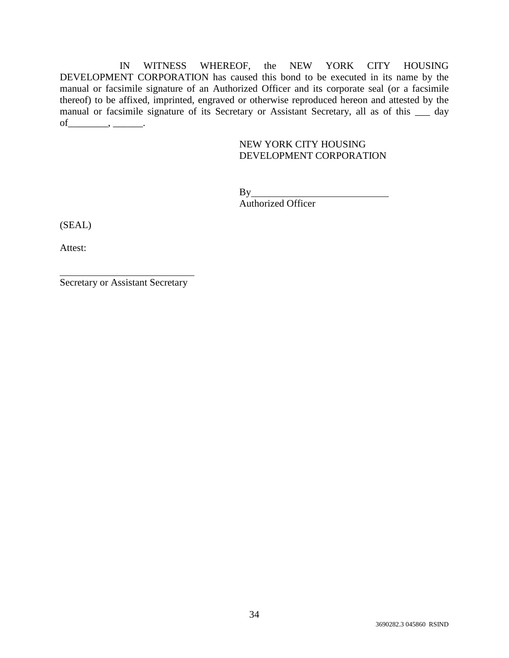IN WITNESS WHEREOF, the NEW YORK CITY HOUSING DEVELOPMENT CORPORATION has caused this bond to be executed in its name by the manual or facsimile signature of an Authorized Officer and its corporate seal (or a facsimile thereof) to be affixed, imprinted, engraved or otherwise reproduced hereon and attested by the manual or facsimile signature of its Secretary or Assistant Secretary, all as of this \_\_\_ day of\_\_\_\_\_\_\_\_, \_\_\_\_\_\_.

# NEW YORK CITY HOUSING DEVELOPMENT CORPORATION

By Authorized Officer

(SEAL)

Attest:

Secretary or Assistant Secretary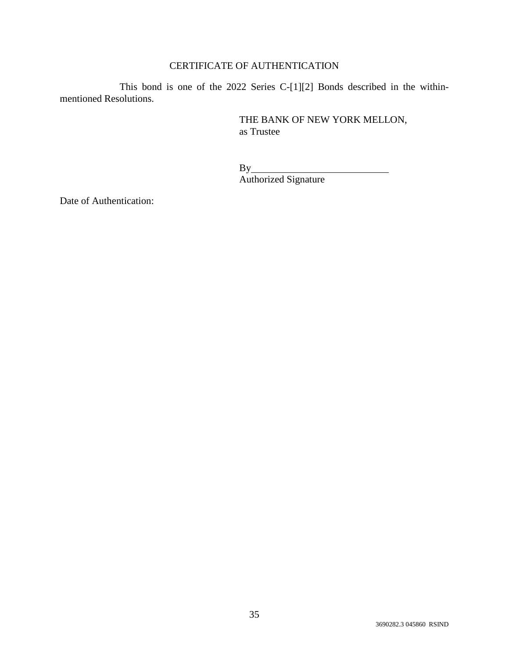# CERTIFICATE OF AUTHENTICATION

This bond is one of the 2022 Series C-[1][2] Bonds described in the withinmentioned Resolutions.

> THE BANK OF NEW YORK MELLON, as Trustee

 $By_$ Authorized Signature

Date of Authentication: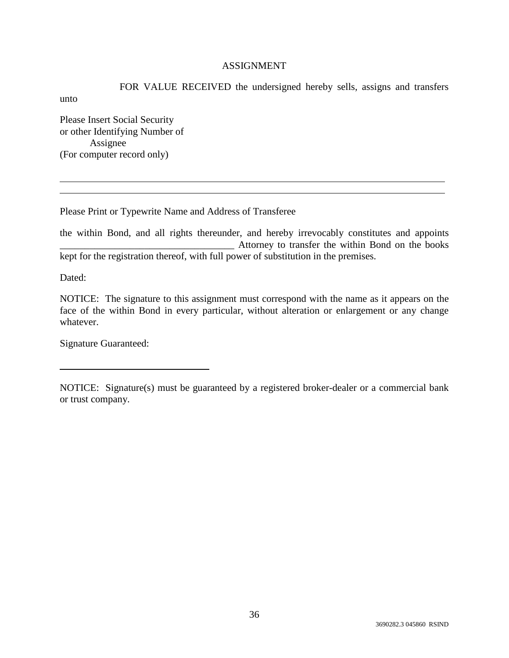# ASSIGNMENT

FOR VALUE RECEIVED the undersigned hereby sells, assigns and transfers unto Please Insert Social Security

or other Identifying Number of Assignee (For computer record only)

Please Print or Typewrite Name and Address of Transferee

the within Bond, and all rights thereunder, and hereby irrevocably constitutes and appoints Attorney to transfer the within Bond on the books kept for the registration thereof, with full power of substitution in the premises.

Dated:

NOTICE: The signature to this assignment must correspond with the name as it appears on the face of the within Bond in every particular, without alteration or enlargement or any change whatever.

Signature Guaranteed:

NOTICE: Signature(s) must be guaranteed by a registered broker-dealer or a commercial bank or trust company.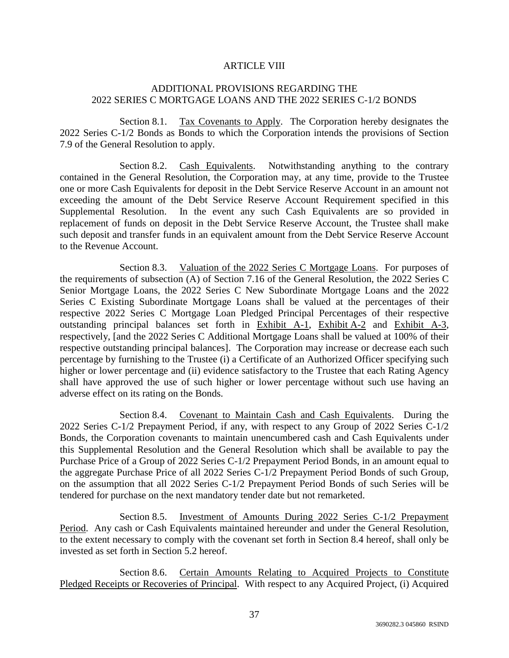# ARTICLE VIII

# ADDITIONAL PROVISIONS REGARDING THE 2022 SERIES C MORTGAGE LOANS AND THE 2022 SERIES C-1/2 BONDS

Section 8.1. Tax Covenants to Apply. The Corporation hereby designates the 2022 Series C-1/2 Bonds as Bonds to which the Corporation intends the provisions of Section 7.9 of the General Resolution to apply.

Section 8.2. Cash Equivalents. Notwithstanding anything to the contrary contained in the General Resolution, the Corporation may, at any time, provide to the Trustee one or more Cash Equivalents for deposit in the Debt Service Reserve Account in an amount not exceeding the amount of the Debt Service Reserve Account Requirement specified in this Supplemental Resolution. In the event any such Cash Equivalents are so provided in replacement of funds on deposit in the Debt Service Reserve Account, the Trustee shall make such deposit and transfer funds in an equivalent amount from the Debt Service Reserve Account to the Revenue Account.

Section 8.3. Valuation of the 2022 Series C Mortgage Loans. For purposes of the requirements of subsection (A) of Section 7.16 of the General Resolution, the 2022 Series C Senior Mortgage Loans, the 2022 Series C New Subordinate Mortgage Loans and the 2022 Series C Existing Subordinate Mortgage Loans shall be valued at the percentages of their respective 2022 Series C Mortgage Loan Pledged Principal Percentages of their respective outstanding principal balances set forth in Exhibit A-1, Exhibit A-2 and Exhibit A-3, respectively, [and the 2022 Series C Additional Mortgage Loans shall be valued at 100% of their respective outstanding principal balances]. The Corporation may increase or decrease each such percentage by furnishing to the Trustee (i) a Certificate of an Authorized Officer specifying such higher or lower percentage and (ii) evidence satisfactory to the Trustee that each Rating Agency shall have approved the use of such higher or lower percentage without such use having an adverse effect on its rating on the Bonds.

Section 8.4. Covenant to Maintain Cash and Cash Equivalents. During the 2022 Series C-1/2 Prepayment Period, if any, with respect to any Group of 2022 Series C-1/2 Bonds, the Corporation covenants to maintain unencumbered cash and Cash Equivalents under this Supplemental Resolution and the General Resolution which shall be available to pay the Purchase Price of a Group of 2022 Series C-1/2 Prepayment Period Bonds, in an amount equal to the aggregate Purchase Price of all 2022 Series C-1/2 Prepayment Period Bonds of such Group, on the assumption that all 2022 Series C-1/2 Prepayment Period Bonds of such Series will be tendered for purchase on the next mandatory tender date but not remarketed.

Section 8.5. Investment of Amounts During 2022 Series C-1/2 Prepayment Period. Any cash or Cash Equivalents maintained hereunder and under the General Resolution, to the extent necessary to comply with the covenant set forth in Section 8.4 hereof, shall only be invested as set forth in Section 5.2 hereof.

Section 8.6. Certain Amounts Relating to Acquired Projects to Constitute Pledged Receipts or Recoveries of Principal. With respect to any Acquired Project, (i) Acquired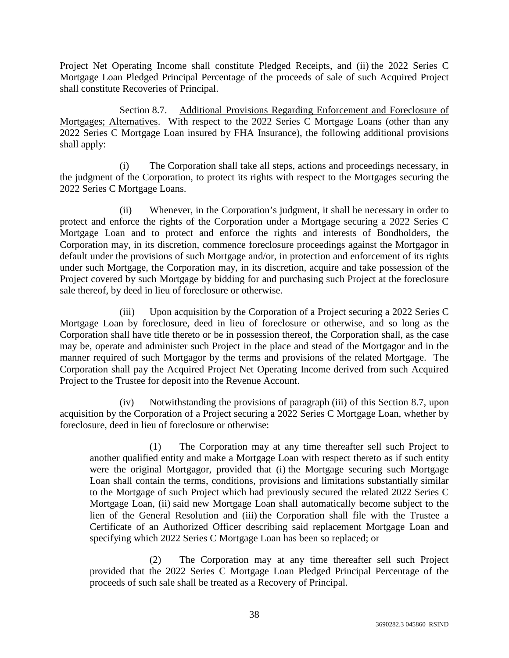Project Net Operating Income shall constitute Pledged Receipts, and (ii) the 2022 Series C Mortgage Loan Pledged Principal Percentage of the proceeds of sale of such Acquired Project shall constitute Recoveries of Principal.

Section 8.7. Additional Provisions Regarding Enforcement and Foreclosure of Mortgages; Alternatives. With respect to the 2022 Series C Mortgage Loans (other than any 2022 Series C Mortgage Loan insured by FHA Insurance), the following additional provisions shall apply:

(i) The Corporation shall take all steps, actions and proceedings necessary, in the judgment of the Corporation, to protect its rights with respect to the Mortgages securing the 2022 Series C Mortgage Loans.

(ii) Whenever, in the Corporation's judgment, it shall be necessary in order to protect and enforce the rights of the Corporation under a Mortgage securing a 2022 Series C Mortgage Loan and to protect and enforce the rights and interests of Bondholders, the Corporation may, in its discretion, commence foreclosure proceedings against the Mortgagor in default under the provisions of such Mortgage and/or, in protection and enforcement of its rights under such Mortgage, the Corporation may, in its discretion, acquire and take possession of the Project covered by such Mortgage by bidding for and purchasing such Project at the foreclosure sale thereof, by deed in lieu of foreclosure or otherwise.

(iii) Upon acquisition by the Corporation of a Project securing a 2022 Series C Mortgage Loan by foreclosure, deed in lieu of foreclosure or otherwise, and so long as the Corporation shall have title thereto or be in possession thereof, the Corporation shall, as the case may be, operate and administer such Project in the place and stead of the Mortgagor and in the manner required of such Mortgagor by the terms and provisions of the related Mortgage. The Corporation shall pay the Acquired Project Net Operating Income derived from such Acquired Project to the Trustee for deposit into the Revenue Account.

(iv) Notwithstanding the provisions of paragraph (iii) of this Section 8.7, upon acquisition by the Corporation of a Project securing a 2022 Series C Mortgage Loan, whether by foreclosure, deed in lieu of foreclosure or otherwise:

(1) The Corporation may at any time thereafter sell such Project to another qualified entity and make a Mortgage Loan with respect thereto as if such entity were the original Mortgagor, provided that (i) the Mortgage securing such Mortgage Loan shall contain the terms, conditions, provisions and limitations substantially similar to the Mortgage of such Project which had previously secured the related 2022 Series C Mortgage Loan, (ii) said new Mortgage Loan shall automatically become subject to the lien of the General Resolution and (iii) the Corporation shall file with the Trustee a Certificate of an Authorized Officer describing said replacement Mortgage Loan and specifying which 2022 Series C Mortgage Loan has been so replaced; or

(2) The Corporation may at any time thereafter sell such Project provided that the 2022 Series C Mortgage Loan Pledged Principal Percentage of the proceeds of such sale shall be treated as a Recovery of Principal.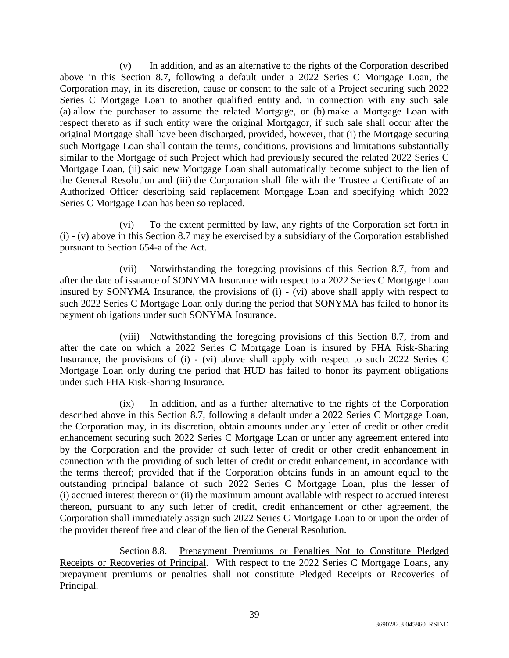(v) In addition, and as an alternative to the rights of the Corporation described above in this Section 8.7, following a default under a 2022 Series C Mortgage Loan, the Corporation may, in its discretion, cause or consent to the sale of a Project securing such 2022 Series C Mortgage Loan to another qualified entity and, in connection with any such sale (a) allow the purchaser to assume the related Mortgage, or (b) make a Mortgage Loan with respect thereto as if such entity were the original Mortgagor, if such sale shall occur after the original Mortgage shall have been discharged, provided, however, that (i) the Mortgage securing such Mortgage Loan shall contain the terms, conditions, provisions and limitations substantially similar to the Mortgage of such Project which had previously secured the related 2022 Series C Mortgage Loan, (ii) said new Mortgage Loan shall automatically become subject to the lien of the General Resolution and (iii) the Corporation shall file with the Trustee a Certificate of an Authorized Officer describing said replacement Mortgage Loan and specifying which 2022 Series C Mortgage Loan has been so replaced.

(vi) To the extent permitted by law, any rights of the Corporation set forth in (i) - (v) above in this Section 8.7 may be exercised by a subsidiary of the Corporation established pursuant to Section 654-a of the Act.

(vii) Notwithstanding the foregoing provisions of this Section 8.7, from and after the date of issuance of SONYMA Insurance with respect to a 2022 Series C Mortgage Loan insured by SONYMA Insurance, the provisions of (i) - (vi) above shall apply with respect to such 2022 Series C Mortgage Loan only during the period that SONYMA has failed to honor its payment obligations under such SONYMA Insurance.

(viii) Notwithstanding the foregoing provisions of this Section 8.7, from and after the date on which a 2022 Series C Mortgage Loan is insured by FHA Risk-Sharing Insurance, the provisions of (i) - (vi) above shall apply with respect to such 2022 Series C Mortgage Loan only during the period that HUD has failed to honor its payment obligations under such FHA Risk-Sharing Insurance.

(ix) In addition, and as a further alternative to the rights of the Corporation described above in this Section 8.7, following a default under a 2022 Series C Mortgage Loan, the Corporation may, in its discretion, obtain amounts under any letter of credit or other credit enhancement securing such 2022 Series C Mortgage Loan or under any agreement entered into by the Corporation and the provider of such letter of credit or other credit enhancement in connection with the providing of such letter of credit or credit enhancement, in accordance with the terms thereof; provided that if the Corporation obtains funds in an amount equal to the outstanding principal balance of such 2022 Series C Mortgage Loan, plus the lesser of (i) accrued interest thereon or (ii) the maximum amount available with respect to accrued interest thereon, pursuant to any such letter of credit, credit enhancement or other agreement, the Corporation shall immediately assign such 2022 Series C Mortgage Loan to or upon the order of the provider thereof free and clear of the lien of the General Resolution.

Section 8.8. Prepayment Premiums or Penalties Not to Constitute Pledged Receipts or Recoveries of Principal. With respect to the 2022 Series C Mortgage Loans, any prepayment premiums or penalties shall not constitute Pledged Receipts or Recoveries of Principal.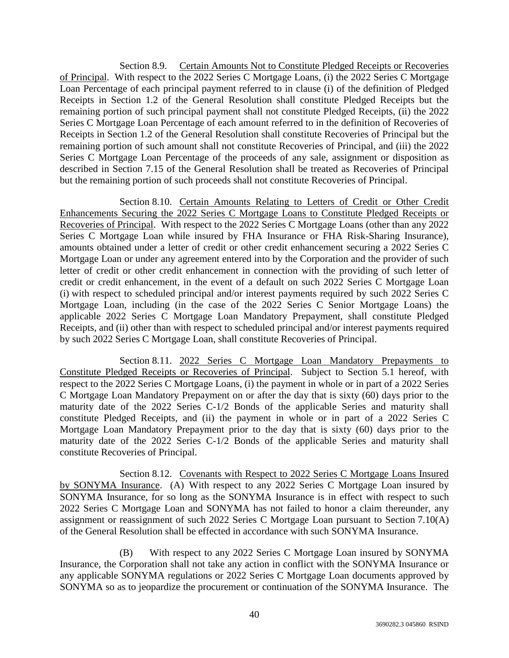Section 8.9. Certain Amounts Not to Constitute Pledged Receipts or Recoveries of Principal. With respect to the 2022 Series C Mortgage Loans, (i) the 2022 Series C Mortgage Loan Percentage of each principal payment referred to in clause (i) of the definition of Pledged Receipts in Section 1.2 of the General Resolution shall constitute Pledged Receipts but the remaining portion of such principal payment shall not constitute Pledged Receipts, (ii) the 2022 Series C Mortgage Loan Percentage of each amount referred to in the definition of Recoveries of Receipts in Section 1.2 of the General Resolution shall constitute Recoveries of Principal but the remaining portion of such amount shall not constitute Recoveries of Principal, and (iii) the 2022 Series C Mortgage Loan Percentage of the proceeds of any sale, assignment or disposition as described in Section 7.15 of the General Resolution shall be treated as Recoveries of Principal but the remaining portion of such proceeds shall not constitute Recoveries of Principal.

Section 8.10. Certain Amounts Relating to Letters of Credit or Other Credit Enhancements Securing the 2022 Series C Mortgage Loans to Constitute Pledged Receipts or Recoveries of Principal. With respect to the 2022 Series C Mortgage Loans (other than any 2022 Series C Mortgage Loan while insured by FHA Insurance or FHA Risk-Sharing Insurance), amounts obtained under a letter of credit or other credit enhancement securing a 2022 Series C Mortgage Loan or under any agreement entered into by the Corporation and the provider of such letter of credit or other credit enhancement in connection with the providing of such letter of credit or credit enhancement, in the event of a default on such 2022 Series C Mortgage Loan (i) with respect to scheduled principal and/or interest payments required by such 2022 Series C Mortgage Loan, including (in the case of the 2022 Series C Senior Mortgage Loans) the applicable 2022 Series C Mortgage Loan Mandatory Prepayment, shall constitute Pledged Receipts, and (ii) other than with respect to scheduled principal and/or interest payments required by such 2022 Series C Mortgage Loan, shall constitute Recoveries of Principal.

Section 8.11. 2022 Series C Mortgage Loan Mandatory Prepayments to Constitute Pledged Receipts or Recoveries of Principal. Subject to Section 5.1 hereof, with respect to the 2022 Series C Mortgage Loans, (i) the payment in whole or in part of a 2022 Series C Mortgage Loan Mandatory Prepayment on or after the day that is sixty (60) days prior to the maturity date of the 2022 Series C-1/2 Bonds of the applicable Series and maturity shall constitute Pledged Receipts, and (ii) the payment in whole or in part of a 2022 Series C Mortgage Loan Mandatory Prepayment prior to the day that is sixty (60) days prior to the maturity date of the 2022 Series C-1/2 Bonds of the applicable Series and maturity shall constitute Recoveries of Principal.

Section 8.12. Covenants with Respect to 2022 Series C Mortgage Loans Insured by SONYMA Insurance. (A) With respect to any 2022 Series C Mortgage Loan insured by SONYMA Insurance, for so long as the SONYMA Insurance is in effect with respect to such 2022 Series C Mortgage Loan and SONYMA has not failed to honor a claim thereunder, any assignment or reassignment of such 2022 Series C Mortgage Loan pursuant to Section 7.10(A) of the General Resolution shall be effected in accordance with such SONYMA Insurance.

(B) With respect to any 2022 Series C Mortgage Loan insured by SONYMA Insurance, the Corporation shall not take any action in conflict with the SONYMA Insurance or any applicable SONYMA regulations or 2022 Series C Mortgage Loan documents approved by SONYMA so as to jeopardize the procurement or continuation of the SONYMA Insurance. The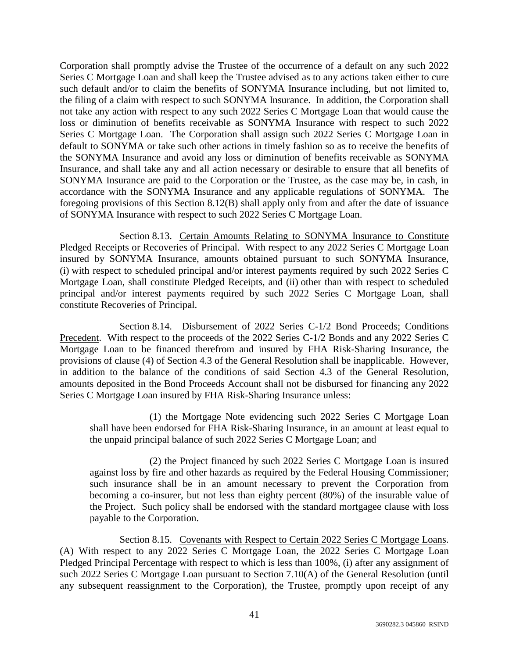Corporation shall promptly advise the Trustee of the occurrence of a default on any such 2022 Series C Mortgage Loan and shall keep the Trustee advised as to any actions taken either to cure such default and/or to claim the benefits of SONYMA Insurance including, but not limited to, the filing of a claim with respect to such SONYMA Insurance. In addition, the Corporation shall not take any action with respect to any such 2022 Series C Mortgage Loan that would cause the loss or diminution of benefits receivable as SONYMA Insurance with respect to such 2022 Series C Mortgage Loan. The Corporation shall assign such 2022 Series C Mortgage Loan in default to SONYMA or take such other actions in timely fashion so as to receive the benefits of the SONYMA Insurance and avoid any loss or diminution of benefits receivable as SONYMA Insurance, and shall take any and all action necessary or desirable to ensure that all benefits of SONYMA Insurance are paid to the Corporation or the Trustee, as the case may be, in cash, in accordance with the SONYMA Insurance and any applicable regulations of SONYMA. The foregoing provisions of this Section 8.12(B) shall apply only from and after the date of issuance of SONYMA Insurance with respect to such 2022 Series C Mortgage Loan.

Section 8.13. Certain Amounts Relating to SONYMA Insurance to Constitute Pledged Receipts or Recoveries of Principal. With respect to any 2022 Series C Mortgage Loan insured by SONYMA Insurance, amounts obtained pursuant to such SONYMA Insurance, (i) with respect to scheduled principal and/or interest payments required by such 2022 Series C Mortgage Loan, shall constitute Pledged Receipts, and (ii) other than with respect to scheduled principal and/or interest payments required by such 2022 Series C Mortgage Loan, shall constitute Recoveries of Principal.

Section 8.14. Disbursement of 2022 Series C-1/2 Bond Proceeds; Conditions Precedent. With respect to the proceeds of the 2022 Series C-1/2 Bonds and any 2022 Series C Mortgage Loan to be financed therefrom and insured by FHA Risk-Sharing Insurance, the provisions of clause (4) of Section 4.3 of the General Resolution shall be inapplicable. However, in addition to the balance of the conditions of said Section 4.3 of the General Resolution, amounts deposited in the Bond Proceeds Account shall not be disbursed for financing any 2022 Series C Mortgage Loan insured by FHA Risk-Sharing Insurance unless:

(1) the Mortgage Note evidencing such 2022 Series C Mortgage Loan shall have been endorsed for FHA Risk-Sharing Insurance, in an amount at least equal to the unpaid principal balance of such 2022 Series C Mortgage Loan; and

(2) the Project financed by such 2022 Series C Mortgage Loan is insured against loss by fire and other hazards as required by the Federal Housing Commissioner; such insurance shall be in an amount necessary to prevent the Corporation from becoming a co-insurer, but not less than eighty percent (80%) of the insurable value of the Project. Such policy shall be endorsed with the standard mortgagee clause with loss payable to the Corporation.

Section 8.15. Covenants with Respect to Certain 2022 Series C Mortgage Loans. (A) With respect to any 2022 Series C Mortgage Loan, the 2022 Series C Mortgage Loan Pledged Principal Percentage with respect to which is less than 100%, (i) after any assignment of such 2022 Series C Mortgage Loan pursuant to Section 7.10(A) of the General Resolution (until any subsequent reassignment to the Corporation), the Trustee, promptly upon receipt of any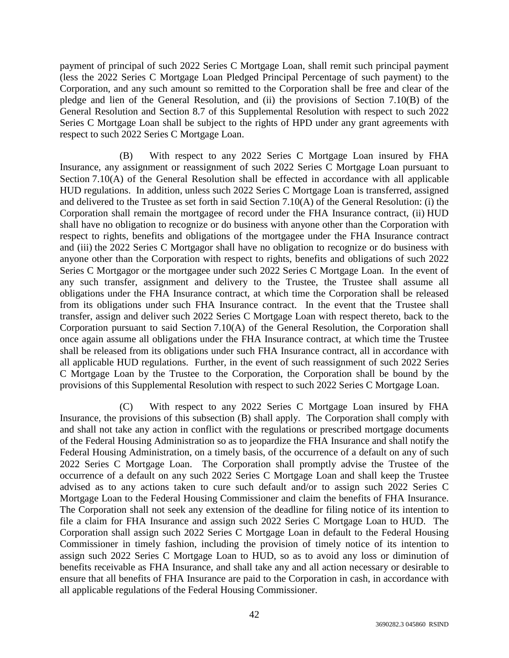payment of principal of such 2022 Series C Mortgage Loan, shall remit such principal payment (less the 2022 Series C Mortgage Loan Pledged Principal Percentage of such payment) to the Corporation, and any such amount so remitted to the Corporation shall be free and clear of the pledge and lien of the General Resolution, and (ii) the provisions of Section 7.10(B) of the General Resolution and Section 8.7 of this Supplemental Resolution with respect to such 2022 Series C Mortgage Loan shall be subject to the rights of HPD under any grant agreements with respect to such 2022 Series C Mortgage Loan.

(B) With respect to any 2022 Series C Mortgage Loan insured by FHA Insurance, any assignment or reassignment of such 2022 Series C Mortgage Loan pursuant to Section 7.10(A) of the General Resolution shall be effected in accordance with all applicable HUD regulations. In addition, unless such 2022 Series C Mortgage Loan is transferred, assigned and delivered to the Trustee as set forth in said Section 7.10(A) of the General Resolution: (i) the Corporation shall remain the mortgagee of record under the FHA Insurance contract, (ii) HUD shall have no obligation to recognize or do business with anyone other than the Corporation with respect to rights, benefits and obligations of the mortgagee under the FHA Insurance contract and (iii) the 2022 Series C Mortgagor shall have no obligation to recognize or do business with anyone other than the Corporation with respect to rights, benefits and obligations of such 2022 Series C Mortgagor or the mortgagee under such 2022 Series C Mortgage Loan. In the event of any such transfer, assignment and delivery to the Trustee, the Trustee shall assume all obligations under the FHA Insurance contract, at which time the Corporation shall be released from its obligations under such FHA Insurance contract. In the event that the Trustee shall transfer, assign and deliver such 2022 Series C Mortgage Loan with respect thereto, back to the Corporation pursuant to said Section 7.10(A) of the General Resolution, the Corporation shall once again assume all obligations under the FHA Insurance contract, at which time the Trustee shall be released from its obligations under such FHA Insurance contract, all in accordance with all applicable HUD regulations. Further, in the event of such reassignment of such 2022 Series C Mortgage Loan by the Trustee to the Corporation, the Corporation shall be bound by the provisions of this Supplemental Resolution with respect to such 2022 Series C Mortgage Loan.

(C) With respect to any 2022 Series C Mortgage Loan insured by FHA Insurance, the provisions of this subsection (B) shall apply. The Corporation shall comply with and shall not take any action in conflict with the regulations or prescribed mortgage documents of the Federal Housing Administration so as to jeopardize the FHA Insurance and shall notify the Federal Housing Administration, on a timely basis, of the occurrence of a default on any of such 2022 Series C Mortgage Loan. The Corporation shall promptly advise the Trustee of the occurrence of a default on any such 2022 Series C Mortgage Loan and shall keep the Trustee advised as to any actions taken to cure such default and/or to assign such 2022 Series C Mortgage Loan to the Federal Housing Commissioner and claim the benefits of FHA Insurance. The Corporation shall not seek any extension of the deadline for filing notice of its intention to file a claim for FHA Insurance and assign such 2022 Series C Mortgage Loan to HUD. The Corporation shall assign such 2022 Series C Mortgage Loan in default to the Federal Housing Commissioner in timely fashion, including the provision of timely notice of its intention to assign such 2022 Series C Mortgage Loan to HUD, so as to avoid any loss or diminution of benefits receivable as FHA Insurance, and shall take any and all action necessary or desirable to ensure that all benefits of FHA Insurance are paid to the Corporation in cash, in accordance with all applicable regulations of the Federal Housing Commissioner.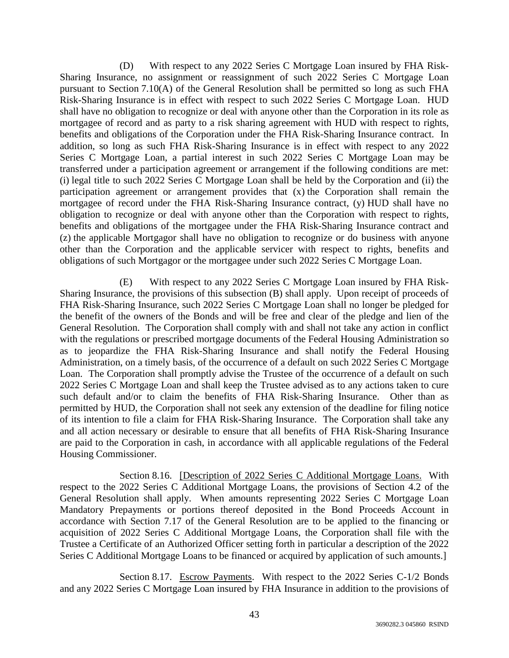(D) With respect to any 2022 Series C Mortgage Loan insured by FHA Risk-Sharing Insurance, no assignment or reassignment of such 2022 Series C Mortgage Loan pursuant to Section 7.10(A) of the General Resolution shall be permitted so long as such FHA Risk-Sharing Insurance is in effect with respect to such 2022 Series C Mortgage Loan. HUD shall have no obligation to recognize or deal with anyone other than the Corporation in its role as mortgagee of record and as party to a risk sharing agreement with HUD with respect to rights, benefits and obligations of the Corporation under the FHA Risk-Sharing Insurance contract. In addition, so long as such FHA Risk-Sharing Insurance is in effect with respect to any 2022 Series C Mortgage Loan, a partial interest in such 2022 Series C Mortgage Loan may be transferred under a participation agreement or arrangement if the following conditions are met: (i) legal title to such 2022 Series C Mortgage Loan shall be held by the Corporation and (ii) the participation agreement or arrangement provides that (x) the Corporation shall remain the mortgagee of record under the FHA Risk-Sharing Insurance contract, (y) HUD shall have no obligation to recognize or deal with anyone other than the Corporation with respect to rights, benefits and obligations of the mortgagee under the FHA Risk-Sharing Insurance contract and (z) the applicable Mortgagor shall have no obligation to recognize or do business with anyone other than the Corporation and the applicable servicer with respect to rights, benefits and obligations of such Mortgagor or the mortgagee under such 2022 Series C Mortgage Loan.

(E) With respect to any 2022 Series C Mortgage Loan insured by FHA Risk-Sharing Insurance, the provisions of this subsection (B) shall apply. Upon receipt of proceeds of FHA Risk-Sharing Insurance, such 2022 Series C Mortgage Loan shall no longer be pledged for the benefit of the owners of the Bonds and will be free and clear of the pledge and lien of the General Resolution. The Corporation shall comply with and shall not take any action in conflict with the regulations or prescribed mortgage documents of the Federal Housing Administration so as to jeopardize the FHA Risk-Sharing Insurance and shall notify the Federal Housing Administration, on a timely basis, of the occurrence of a default on such 2022 Series C Mortgage Loan. The Corporation shall promptly advise the Trustee of the occurrence of a default on such 2022 Series C Mortgage Loan and shall keep the Trustee advised as to any actions taken to cure such default and/or to claim the benefits of FHA Risk-Sharing Insurance. Other than as permitted by HUD, the Corporation shall not seek any extension of the deadline for filing notice of its intention to file a claim for FHA Risk-Sharing Insurance. The Corporation shall take any and all action necessary or desirable to ensure that all benefits of FHA Risk-Sharing Insurance are paid to the Corporation in cash, in accordance with all applicable regulations of the Federal Housing Commissioner.

Section 8.16. [Description of 2022 Series C Additional Mortgage Loans. With respect to the 2022 Series C Additional Mortgage Loans, the provisions of Section 4.2 of the General Resolution shall apply. When amounts representing 2022 Series C Mortgage Loan Mandatory Prepayments or portions thereof deposited in the Bond Proceeds Account in accordance with Section 7.17 of the General Resolution are to be applied to the financing or acquisition of 2022 Series C Additional Mortgage Loans, the Corporation shall file with the Trustee a Certificate of an Authorized Officer setting forth in particular a description of the 2022 Series C Additional Mortgage Loans to be financed or acquired by application of such amounts.]

Section 8.17. Escrow Payments. With respect to the 2022 Series C-1/2 Bonds and any 2022 Series C Mortgage Loan insured by FHA Insurance in addition to the provisions of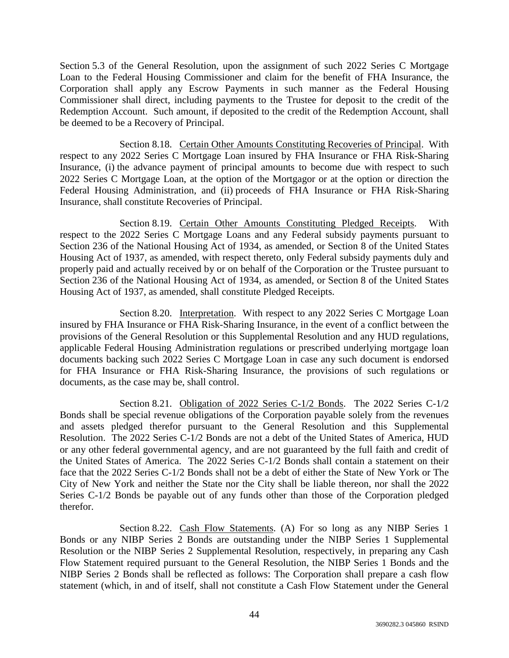Section 5.3 of the General Resolution, upon the assignment of such 2022 Series C Mortgage Loan to the Federal Housing Commissioner and claim for the benefit of FHA Insurance, the Corporation shall apply any Escrow Payments in such manner as the Federal Housing Commissioner shall direct, including payments to the Trustee for deposit to the credit of the Redemption Account. Such amount, if deposited to the credit of the Redemption Account, shall be deemed to be a Recovery of Principal.

Section 8.18. Certain Other Amounts Constituting Recoveries of Principal. With respect to any 2022 Series C Mortgage Loan insured by FHA Insurance or FHA Risk-Sharing Insurance, (i) the advance payment of principal amounts to become due with respect to such 2022 Series C Mortgage Loan, at the option of the Mortgagor or at the option or direction the Federal Housing Administration, and (ii) proceeds of FHA Insurance or FHA Risk-Sharing Insurance, shall constitute Recoveries of Principal.

Section 8.19. Certain Other Amounts Constituting Pledged Receipts. With respect to the 2022 Series C Mortgage Loans and any Federal subsidy payments pursuant to Section 236 of the National Housing Act of 1934, as amended, or Section 8 of the United States Housing Act of 1937, as amended, with respect thereto, only Federal subsidy payments duly and properly paid and actually received by or on behalf of the Corporation or the Trustee pursuant to Section 236 of the National Housing Act of 1934, as amended, or Section 8 of the United States Housing Act of 1937, as amended, shall constitute Pledged Receipts.

Section 8.20. Interpretation. With respect to any 2022 Series C Mortgage Loan insured by FHA Insurance or FHA Risk-Sharing Insurance, in the event of a conflict between the provisions of the General Resolution or this Supplemental Resolution and any HUD regulations, applicable Federal Housing Administration regulations or prescribed underlying mortgage loan documents backing such 2022 Series C Mortgage Loan in case any such document is endorsed for FHA Insurance or FHA Risk-Sharing Insurance, the provisions of such regulations or documents, as the case may be, shall control.

Section 8.21. Obligation of 2022 Series C-1/2 Bonds. The 2022 Series C-1/2 Bonds shall be special revenue obligations of the Corporation payable solely from the revenues and assets pledged therefor pursuant to the General Resolution and this Supplemental Resolution. The 2022 Series C-1/2 Bonds are not a debt of the United States of America, HUD or any other federal governmental agency, and are not guaranteed by the full faith and credit of the United States of America. The 2022 Series C-1/2 Bonds shall contain a statement on their face that the 2022 Series C-1/2 Bonds shall not be a debt of either the State of New York or The City of New York and neither the State nor the City shall be liable thereon, nor shall the 2022 Series C-1/2 Bonds be payable out of any funds other than those of the Corporation pledged therefor.

Section 8.22. Cash Flow Statements. (A) For so long as any NIBP Series 1 Bonds or any NIBP Series 2 Bonds are outstanding under the NIBP Series 1 Supplemental Resolution or the NIBP Series 2 Supplemental Resolution, respectively, in preparing any Cash Flow Statement required pursuant to the General Resolution, the NIBP Series 1 Bonds and the NIBP Series 2 Bonds shall be reflected as follows: The Corporation shall prepare a cash flow statement (which, in and of itself, shall not constitute a Cash Flow Statement under the General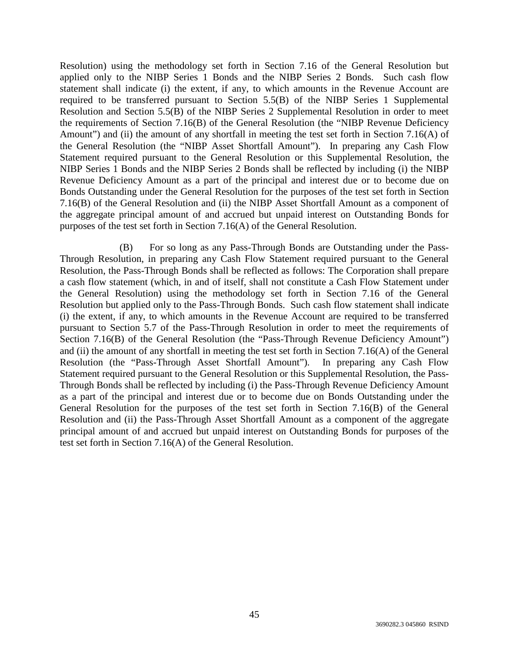Resolution) using the methodology set forth in Section 7.16 of the General Resolution but applied only to the NIBP Series 1 Bonds and the NIBP Series 2 Bonds. Such cash flow statement shall indicate (i) the extent, if any, to which amounts in the Revenue Account are required to be transferred pursuant to Section 5.5(B) of the NIBP Series 1 Supplemental Resolution and Section 5.5(B) of the NIBP Series 2 Supplemental Resolution in order to meet the requirements of Section 7.16(B) of the General Resolution (the "NIBP Revenue Deficiency Amount") and (ii) the amount of any shortfall in meeting the test set forth in Section 7.16(A) of the General Resolution (the "NIBP Asset Shortfall Amount"). In preparing any Cash Flow Statement required pursuant to the General Resolution or this Supplemental Resolution, the NIBP Series 1 Bonds and the NIBP Series 2 Bonds shall be reflected by including (i) the NIBP Revenue Deficiency Amount as a part of the principal and interest due or to become due on Bonds Outstanding under the General Resolution for the purposes of the test set forth in Section 7.16(B) of the General Resolution and (ii) the NIBP Asset Shortfall Amount as a component of the aggregate principal amount of and accrued but unpaid interest on Outstanding Bonds for purposes of the test set forth in Section 7.16(A) of the General Resolution.

(B) For so long as any Pass-Through Bonds are Outstanding under the Pass-Through Resolution, in preparing any Cash Flow Statement required pursuant to the General Resolution, the Pass-Through Bonds shall be reflected as follows: The Corporation shall prepare a cash flow statement (which, in and of itself, shall not constitute a Cash Flow Statement under the General Resolution) using the methodology set forth in Section 7.16 of the General Resolution but applied only to the Pass-Through Bonds. Such cash flow statement shall indicate (i) the extent, if any, to which amounts in the Revenue Account are required to be transferred pursuant to Section 5.7 of the Pass-Through Resolution in order to meet the requirements of Section 7.16(B) of the General Resolution (the "Pass-Through Revenue Deficiency Amount") and (ii) the amount of any shortfall in meeting the test set forth in Section 7.16(A) of the General Resolution (the "Pass-Through Asset Shortfall Amount"). In preparing any Cash Flow Statement required pursuant to the General Resolution or this Supplemental Resolution, the Pass-Through Bonds shall be reflected by including (i) the Pass-Through Revenue Deficiency Amount as a part of the principal and interest due or to become due on Bonds Outstanding under the General Resolution for the purposes of the test set forth in Section 7.16(B) of the General Resolution and (ii) the Pass-Through Asset Shortfall Amount as a component of the aggregate principal amount of and accrued but unpaid interest on Outstanding Bonds for purposes of the test set forth in Section 7.16(A) of the General Resolution.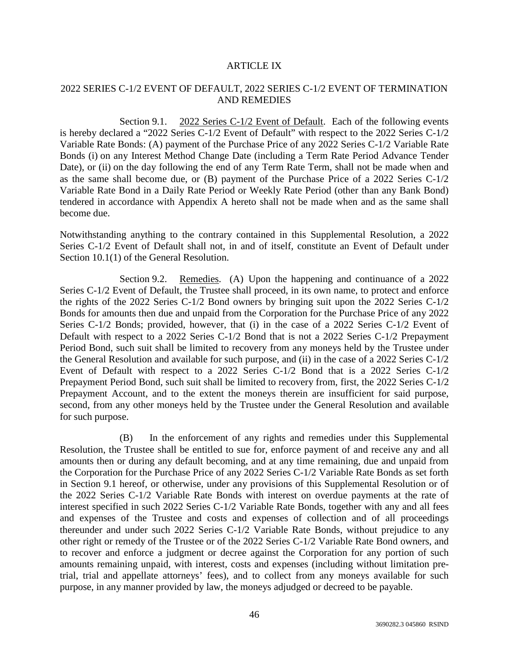### ARTICLE IX

# 2022 SERIES C-1/2 EVENT OF DEFAULT, 2022 SERIES C-1/2 EVENT OF TERMINATION AND REMEDIES

Section 9.1. 2022 Series C-1/2 Event of Default. Each of the following events is hereby declared a "2022 Series C-1/2 Event of Default" with respect to the 2022 Series C-1/2 Variable Rate Bonds: (A) payment of the Purchase Price of any 2022 Series C-1/2 Variable Rate Bonds (i) on any Interest Method Change Date (including a Term Rate Period Advance Tender Date), or (ii) on the day following the end of any Term Rate Term, shall not be made when and as the same shall become due, or (B) payment of the Purchase Price of a 2022 Series C-1/2 Variable Rate Bond in a Daily Rate Period or Weekly Rate Period (other than any Bank Bond) tendered in accordance with Appendix A hereto shall not be made when and as the same shall become due.

Notwithstanding anything to the contrary contained in this Supplemental Resolution, a 2022 Series C-1/2 Event of Default shall not, in and of itself, constitute an Event of Default under Section 10.1(1) of the General Resolution.

Section 9.2. Remedies. (A) Upon the happening and continuance of a 2022 Series C-1/2 Event of Default, the Trustee shall proceed, in its own name, to protect and enforce the rights of the 2022 Series C-1/2 Bond owners by bringing suit upon the 2022 Series C-1/2 Bonds for amounts then due and unpaid from the Corporation for the Purchase Price of any 2022 Series C-1/2 Bonds; provided, however, that (i) in the case of a 2022 Series C-1/2 Event of Default with respect to a 2022 Series C-1/2 Bond that is not a 2022 Series C-1/2 Prepayment Period Bond, such suit shall be limited to recovery from any moneys held by the Trustee under the General Resolution and available for such purpose, and (ii) in the case of a 2022 Series C-1/2 Event of Default with respect to a 2022 Series C-1/2 Bond that is a 2022 Series C-1/2 Prepayment Period Bond, such suit shall be limited to recovery from, first, the 2022 Series C-1/2 Prepayment Account, and to the extent the moneys therein are insufficient for said purpose, second, from any other moneys held by the Trustee under the General Resolution and available for such purpose.

(B) In the enforcement of any rights and remedies under this Supplemental Resolution, the Trustee shall be entitled to sue for, enforce payment of and receive any and all amounts then or during any default becoming, and at any time remaining, due and unpaid from the Corporation for the Purchase Price of any 2022 Series C-1/2 Variable Rate Bonds as set forth in Section 9.1 hereof, or otherwise, under any provisions of this Supplemental Resolution or of the 2022 Series C-1/2 Variable Rate Bonds with interest on overdue payments at the rate of interest specified in such 2022 Series C-1/2 Variable Rate Bonds, together with any and all fees and expenses of the Trustee and costs and expenses of collection and of all proceedings thereunder and under such 2022 Series C-1/2 Variable Rate Bonds, without prejudice to any other right or remedy of the Trustee or of the 2022 Series C-1/2 Variable Rate Bond owners, and to recover and enforce a judgment or decree against the Corporation for any portion of such amounts remaining unpaid, with interest, costs and expenses (including without limitation pretrial, trial and appellate attorneys' fees), and to collect from any moneys available for such purpose, in any manner provided by law, the moneys adjudged or decreed to be payable.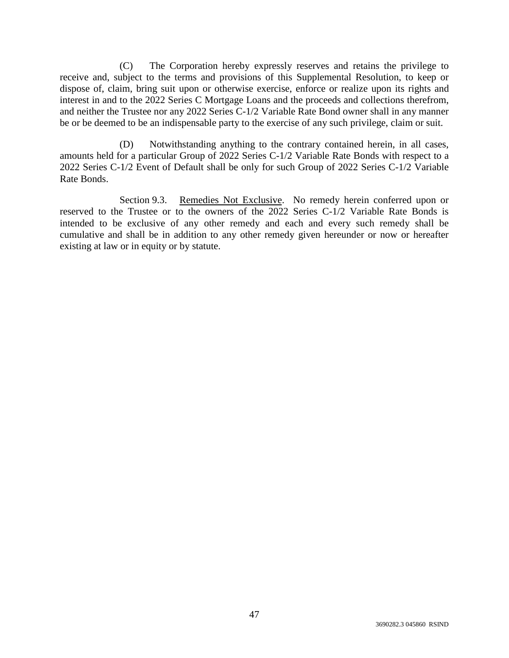(C) The Corporation hereby expressly reserves and retains the privilege to receive and, subject to the terms and provisions of this Supplemental Resolution, to keep or dispose of, claim, bring suit upon or otherwise exercise, enforce or realize upon its rights and interest in and to the 2022 Series C Mortgage Loans and the proceeds and collections therefrom, and neither the Trustee nor any 2022 Series C-1/2 Variable Rate Bond owner shall in any manner be or be deemed to be an indispensable party to the exercise of any such privilege, claim or suit.

(D) Notwithstanding anything to the contrary contained herein, in all cases, amounts held for a particular Group of 2022 Series C-1/2 Variable Rate Bonds with respect to a 2022 Series C-1/2 Event of Default shall be only for such Group of 2022 Series C-1/2 Variable Rate Bonds.

Section 9.3. Remedies Not Exclusive. No remedy herein conferred upon or reserved to the Trustee or to the owners of the 2022 Series C-1/2 Variable Rate Bonds is intended to be exclusive of any other remedy and each and every such remedy shall be cumulative and shall be in addition to any other remedy given hereunder or now or hereafter existing at law or in equity or by statute.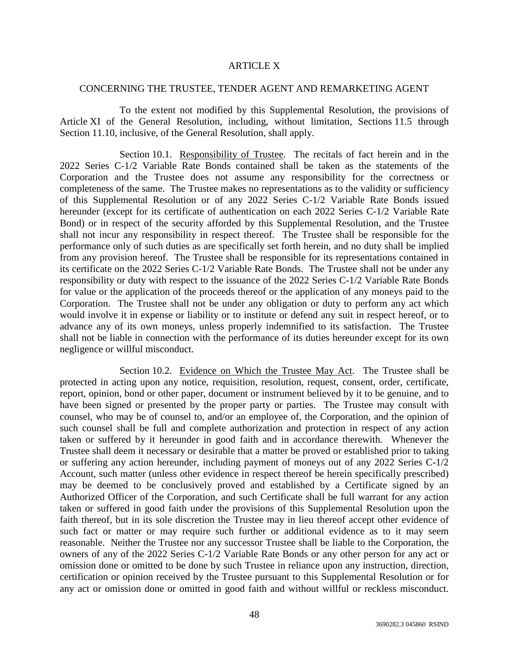### ARTICLE X

#### CONCERNING THE TRUSTEE, TENDER AGENT AND REMARKETING AGENT

To the extent not modified by this Supplemental Resolution, the provisions of Article XI of the General Resolution, including, without limitation, Sections 11.5 through Section 11.10, inclusive, of the General Resolution, shall apply.

Section 10.1. Responsibility of Trustee. The recitals of fact herein and in the 2022 Series C-1/2 Variable Rate Bonds contained shall be taken as the statements of the Corporation and the Trustee does not assume any responsibility for the correctness or completeness of the same. The Trustee makes no representations as to the validity or sufficiency of this Supplemental Resolution or of any 2022 Series C-1/2 Variable Rate Bonds issued hereunder (except for its certificate of authentication on each 2022 Series C-1/2 Variable Rate Bond) or in respect of the security afforded by this Supplemental Resolution, and the Trustee shall not incur any responsibility in respect thereof. The Trustee shall be responsible for the performance only of such duties as are specifically set forth herein, and no duty shall be implied from any provision hereof. The Trustee shall be responsible for its representations contained in its certificate on the 2022 Series C-1/2 Variable Rate Bonds. The Trustee shall not be under any responsibility or duty with respect to the issuance of the 2022 Series C-1/2 Variable Rate Bonds for value or the application of the proceeds thereof or the application of any moneys paid to the Corporation. The Trustee shall not be under any obligation or duty to perform any act which would involve it in expense or liability or to institute or defend any suit in respect hereof, or to advance any of its own moneys, unless properly indemnified to its satisfaction. The Trustee shall not be liable in connection with the performance of its duties hereunder except for its own negligence or willful misconduct.

Section 10.2. Evidence on Which the Trustee May Act. The Trustee shall be protected in acting upon any notice, requisition, resolution, request, consent, order, certificate, report, opinion, bond or other paper, document or instrument believed by it to be genuine, and to have been signed or presented by the proper party or parties. The Trustee may consult with counsel, who may be of counsel to, and/or an employee of, the Corporation, and the opinion of such counsel shall be full and complete authorization and protection in respect of any action taken or suffered by it hereunder in good faith and in accordance therewith. Whenever the Trustee shall deem it necessary or desirable that a matter be proved or established prior to taking or suffering any action hereunder, including payment of moneys out of any 2022 Series C-1/2 Account, such matter (unless other evidence in respect thereof be herein specifically prescribed) may be deemed to be conclusively proved and established by a Certificate signed by an Authorized Officer of the Corporation, and such Certificate shall be full warrant for any action taken or suffered in good faith under the provisions of this Supplemental Resolution upon the faith thereof, but in its sole discretion the Trustee may in lieu thereof accept other evidence of such fact or matter or may require such further or additional evidence as to it may seem reasonable. Neither the Trustee nor any successor Trustee shall be liable to the Corporation, the owners of any of the 2022 Series C-1/2 Variable Rate Bonds or any other person for any act or omission done or omitted to be done by such Trustee in reliance upon any instruction, direction, certification or opinion received by the Trustee pursuant to this Supplemental Resolution or for any act or omission done or omitted in good faith and without willful or reckless misconduct.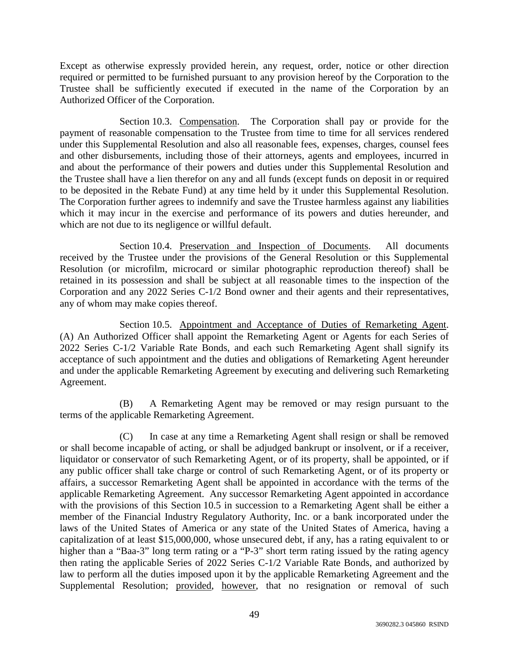Except as otherwise expressly provided herein, any request, order, notice or other direction required or permitted to be furnished pursuant to any provision hereof by the Corporation to the Trustee shall be sufficiently executed if executed in the name of the Corporation by an Authorized Officer of the Corporation.

Section 10.3. Compensation. The Corporation shall pay or provide for the payment of reasonable compensation to the Trustee from time to time for all services rendered under this Supplemental Resolution and also all reasonable fees, expenses, charges, counsel fees and other disbursements, including those of their attorneys, agents and employees, incurred in and about the performance of their powers and duties under this Supplemental Resolution and the Trustee shall have a lien therefor on any and all funds (except funds on deposit in or required to be deposited in the Rebate Fund) at any time held by it under this Supplemental Resolution. The Corporation further agrees to indemnify and save the Trustee harmless against any liabilities which it may incur in the exercise and performance of its powers and duties hereunder, and which are not due to its negligence or willful default.

Section 10.4. Preservation and Inspection of Documents. All documents received by the Trustee under the provisions of the General Resolution or this Supplemental Resolution (or microfilm, microcard or similar photographic reproduction thereof) shall be retained in its possession and shall be subject at all reasonable times to the inspection of the Corporation and any 2022 Series C-1/2 Bond owner and their agents and their representatives, any of whom may make copies thereof.

Section 10.5. Appointment and Acceptance of Duties of Remarketing Agent. (A) An Authorized Officer shall appoint the Remarketing Agent or Agents for each Series of 2022 Series C-1/2 Variable Rate Bonds, and each such Remarketing Agent shall signify its acceptance of such appointment and the duties and obligations of Remarketing Agent hereunder and under the applicable Remarketing Agreement by executing and delivering such Remarketing Agreement.

(B) A Remarketing Agent may be removed or may resign pursuant to the terms of the applicable Remarketing Agreement.

(C) In case at any time a Remarketing Agent shall resign or shall be removed or shall become incapable of acting, or shall be adjudged bankrupt or insolvent, or if a receiver, liquidator or conservator of such Remarketing Agent, or of its property, shall be appointed, or if any public officer shall take charge or control of such Remarketing Agent, or of its property or affairs, a successor Remarketing Agent shall be appointed in accordance with the terms of the applicable Remarketing Agreement. Any successor Remarketing Agent appointed in accordance with the provisions of this Section 10.5 in succession to a Remarketing Agent shall be either a member of the Financial Industry Regulatory Authority, Inc. or a bank incorporated under the laws of the United States of America or any state of the United States of America, having a capitalization of at least \$15,000,000, whose unsecured debt, if any, has a rating equivalent to or higher than a "Baa-3" long term rating or a "P-3" short term rating issued by the rating agency then rating the applicable Series of 2022 Series C-1/2 Variable Rate Bonds, and authorized by law to perform all the duties imposed upon it by the applicable Remarketing Agreement and the Supplemental Resolution; provided, however, that no resignation or removal of such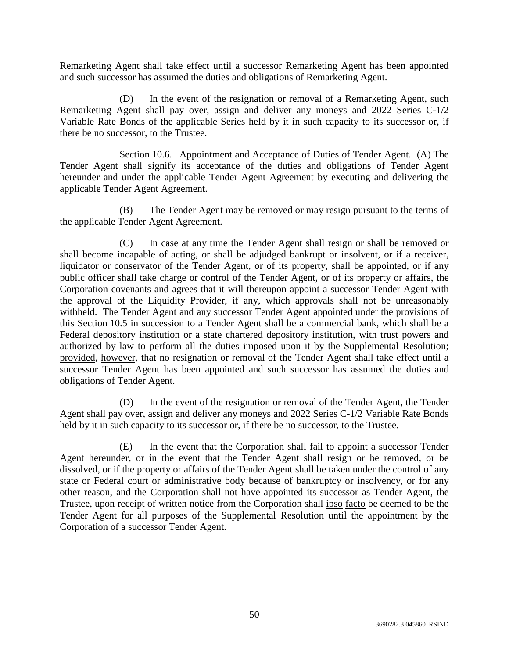Remarketing Agent shall take effect until a successor Remarketing Agent has been appointed and such successor has assumed the duties and obligations of Remarketing Agent.

(D) In the event of the resignation or removal of a Remarketing Agent, such Remarketing Agent shall pay over, assign and deliver any moneys and 2022 Series C-1/2 Variable Rate Bonds of the applicable Series held by it in such capacity to its successor or, if there be no successor, to the Trustee.

Section 10.6. Appointment and Acceptance of Duties of Tender Agent. (A) The Tender Agent shall signify its acceptance of the duties and obligations of Tender Agent hereunder and under the applicable Tender Agent Agreement by executing and delivering the applicable Tender Agent Agreement.

(B) The Tender Agent may be removed or may resign pursuant to the terms of the applicable Tender Agent Agreement.

(C) In case at any time the Tender Agent shall resign or shall be removed or shall become incapable of acting, or shall be adjudged bankrupt or insolvent, or if a receiver, liquidator or conservator of the Tender Agent, or of its property, shall be appointed, or if any public officer shall take charge or control of the Tender Agent, or of its property or affairs, the Corporation covenants and agrees that it will thereupon appoint a successor Tender Agent with the approval of the Liquidity Provider, if any, which approvals shall not be unreasonably withheld. The Tender Agent and any successor Tender Agent appointed under the provisions of this Section 10.5 in succession to a Tender Agent shall be a commercial bank, which shall be a Federal depository institution or a state chartered depository institution, with trust powers and authorized by law to perform all the duties imposed upon it by the Supplemental Resolution; provided, however, that no resignation or removal of the Tender Agent shall take effect until a successor Tender Agent has been appointed and such successor has assumed the duties and obligations of Tender Agent.

(D) In the event of the resignation or removal of the Tender Agent, the Tender Agent shall pay over, assign and deliver any moneys and 2022 Series C-1/2 Variable Rate Bonds held by it in such capacity to its successor or, if there be no successor, to the Trustee.

(E) In the event that the Corporation shall fail to appoint a successor Tender Agent hereunder, or in the event that the Tender Agent shall resign or be removed, or be dissolved, or if the property or affairs of the Tender Agent shall be taken under the control of any state or Federal court or administrative body because of bankruptcy or insolvency, or for any other reason, and the Corporation shall not have appointed its successor as Tender Agent, the Trustee, upon receipt of written notice from the Corporation shall ipso facto be deemed to be the Tender Agent for all purposes of the Supplemental Resolution until the appointment by the Corporation of a successor Tender Agent.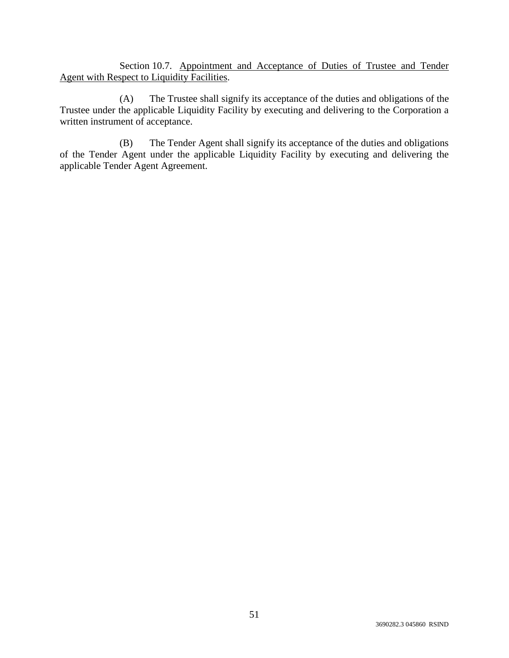Section 10.7. Appointment and Acceptance of Duties of Trustee and Tender Agent with Respect to Liquidity Facilities.

(A) The Trustee shall signify its acceptance of the duties and obligations of the Trustee under the applicable Liquidity Facility by executing and delivering to the Corporation a written instrument of acceptance.

(B) The Tender Agent shall signify its acceptance of the duties and obligations of the Tender Agent under the applicable Liquidity Facility by executing and delivering the applicable Tender Agent Agreement.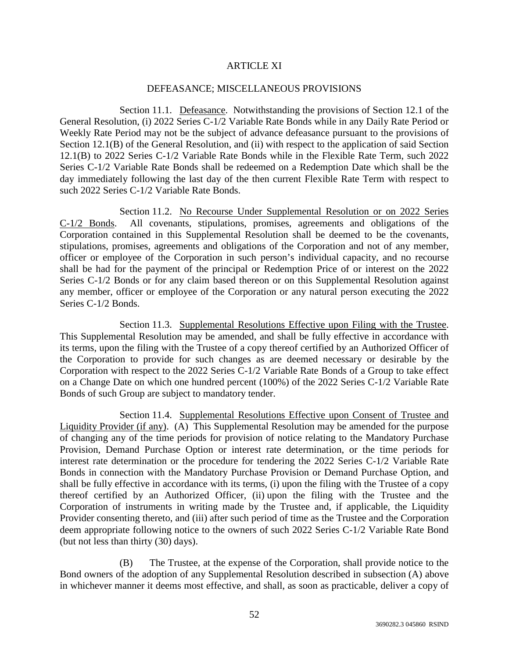# ARTICLE XI

### DEFEASANCE; MISCELLANEOUS PROVISIONS

Section 11.1. Defeasance. Notwithstanding the provisions of Section 12.1 of the General Resolution, (i) 2022 Series C-1/2 Variable Rate Bonds while in any Daily Rate Period or Weekly Rate Period may not be the subject of advance defeasance pursuant to the provisions of Section 12.1(B) of the General Resolution, and (ii) with respect to the application of said Section 12.1(B) to 2022 Series C-1/2 Variable Rate Bonds while in the Flexible Rate Term, such 2022 Series C-1/2 Variable Rate Bonds shall be redeemed on a Redemption Date which shall be the day immediately following the last day of the then current Flexible Rate Term with respect to such 2022 Series C-1/2 Variable Rate Bonds.

Section 11.2. No Recourse Under Supplemental Resolution or on 2022 Series C-1/2 Bonds. All covenants, stipulations, promises, agreements and obligations of the Corporation contained in this Supplemental Resolution shall be deemed to be the covenants, stipulations, promises, agreements and obligations of the Corporation and not of any member, officer or employee of the Corporation in such person's individual capacity, and no recourse shall be had for the payment of the principal or Redemption Price of or interest on the 2022 Series C-1/2 Bonds or for any claim based thereon or on this Supplemental Resolution against any member, officer or employee of the Corporation or any natural person executing the 2022 Series C-1/2 Bonds.

Section 11.3. Supplemental Resolutions Effective upon Filing with the Trustee. This Supplemental Resolution may be amended, and shall be fully effective in accordance with its terms, upon the filing with the Trustee of a copy thereof certified by an Authorized Officer of the Corporation to provide for such changes as are deemed necessary or desirable by the Corporation with respect to the 2022 Series C-1/2 Variable Rate Bonds of a Group to take effect on a Change Date on which one hundred percent (100%) of the 2022 Series C-1/2 Variable Rate Bonds of such Group are subject to mandatory tender.

Section 11.4. Supplemental Resolutions Effective upon Consent of Trustee and Liquidity Provider (if any). (A) This Supplemental Resolution may be amended for the purpose of changing any of the time periods for provision of notice relating to the Mandatory Purchase Provision, Demand Purchase Option or interest rate determination, or the time periods for interest rate determination or the procedure for tendering the 2022 Series C-1/2 Variable Rate Bonds in connection with the Mandatory Purchase Provision or Demand Purchase Option, and shall be fully effective in accordance with its terms, (i) upon the filing with the Trustee of a copy thereof certified by an Authorized Officer, (ii) upon the filing with the Trustee and the Corporation of instruments in writing made by the Trustee and, if applicable, the Liquidity Provider consenting thereto, and (iii) after such period of time as the Trustee and the Corporation deem appropriate following notice to the owners of such 2022 Series C-1/2 Variable Rate Bond (but not less than thirty (30) days).

(B) The Trustee, at the expense of the Corporation, shall provide notice to the Bond owners of the adoption of any Supplemental Resolution described in subsection (A) above in whichever manner it deems most effective, and shall, as soon as practicable, deliver a copy of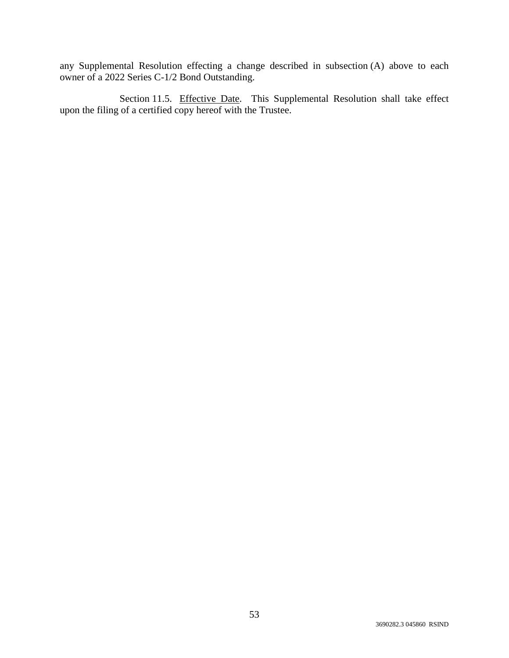any Supplemental Resolution effecting a change described in subsection (A) above to each owner of a 2022 Series C-1/2 Bond Outstanding.

Section 11.5. Effective Date. This Supplemental Resolution shall take effect upon the filing of a certified copy hereof with the Trustee.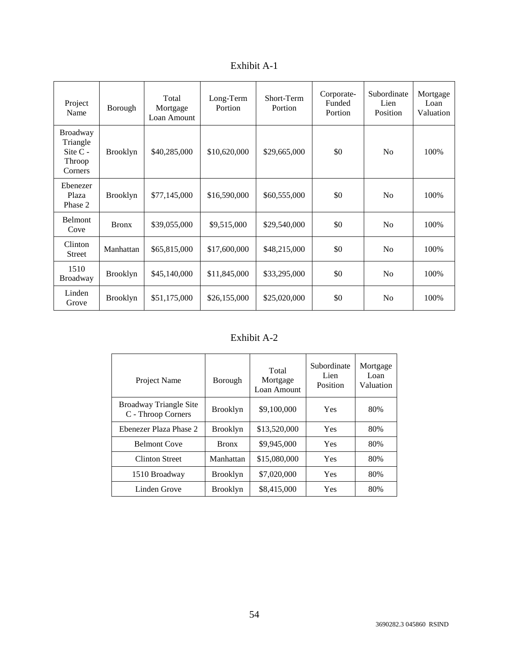| Exhibit A- |  |
|------------|--|
|------------|--|

| Project<br>Name                                         | Borough         | Total<br>Mortgage<br>Loan Amount | Long-Term<br>Portion | Short-Term<br>Portion | Corporate-<br>Funded<br>Portion | Subordinate<br>Lien<br>Position | Mortgage<br>Loan<br>Valuation |
|---------------------------------------------------------|-----------------|----------------------------------|----------------------|-----------------------|---------------------------------|---------------------------------|-------------------------------|
| Broadway<br>Triangle<br>Site $C -$<br>Throop<br>Corners | <b>Brooklyn</b> | \$40,285,000                     | \$10,620,000         | \$29,665,000          | \$0                             | N <sub>o</sub>                  | 100%                          |
| Ebenezer<br>Plaza<br>Phase 2                            | <b>Brooklyn</b> | \$77,145,000                     | \$16,590,000         | \$60,555,000          | \$0                             | N <sub>o</sub>                  | 100%                          |
| Belmont<br>Cove                                         | <b>Bronx</b>    | \$39,055,000                     | \$9,515,000          | \$29,540,000          | \$0                             | No                              | 100%                          |
| Clinton<br><b>Street</b>                                | Manhattan       | \$65,815,000                     | \$17,600,000         | \$48,215,000          | \$0                             | No                              | 100%                          |
| 1510<br><b>Broadway</b>                                 | <b>Brooklyn</b> | \$45,140,000                     | \$11,845,000         | \$33,295,000          | \$0                             | No                              | 100%                          |
| Linden<br>Grove                                         | <b>Brooklyn</b> | \$51,175,000                     | \$26,155,000         | \$25,020,000          | \$0                             | N <sub>0</sub>                  | 100%                          |

# Exhibit A-2

| Project Name                                 | Borough         | Total<br>Mortgage<br>Loan Amount | Subordinate<br>Lien<br>Position | Mortgage<br>Loan<br>Valuation |
|----------------------------------------------|-----------------|----------------------------------|---------------------------------|-------------------------------|
| Broadway Triangle Site<br>C - Throop Corners | <b>Brooklyn</b> | \$9,100,000                      | <b>Yes</b>                      | 80%                           |
| Ebenezer Plaza Phase 2                       | <b>Brooklyn</b> | \$13,520,000                     | Yes                             | 80%                           |
| <b>Belmont Cove</b>                          | <b>Bronx</b>    | \$9,945,000                      | <b>Yes</b>                      | 80%                           |
| Clinton Street                               | Manhattan       | \$15,080,000                     | <b>Yes</b>                      | 80%                           |
| 1510 Broadway                                | <b>Brooklyn</b> | \$7,020,000                      | Yes                             | 80%                           |
| Linden Grove                                 | <b>Brooklyn</b> | \$8,415,000                      | Yes                             | 80%                           |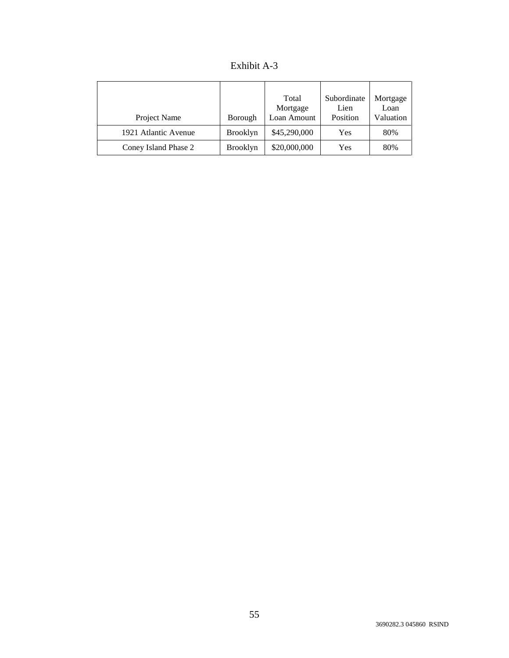| Exhibit A-3 |  |
|-------------|--|
|-------------|--|

| Project Name         | Borough         | Total<br>Mortgage<br>Loan Amount | Subordinate<br>Lien<br>Position | Mortgage<br>Loan<br>Valuation |
|----------------------|-----------------|----------------------------------|---------------------------------|-------------------------------|
| 1921 Atlantic Avenue | <b>Brooklyn</b> | \$45,290,000                     | Yes                             | 80%                           |
| Coney Island Phase 2 | <b>Brooklyn</b> | \$20,000,000                     | Yes                             | 80%                           |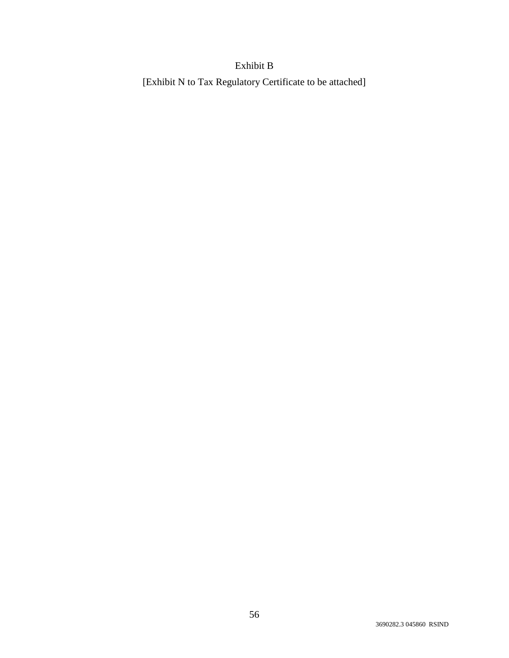# Exhibit B

[Exhibit N to Tax Regulatory Certificate to be attached]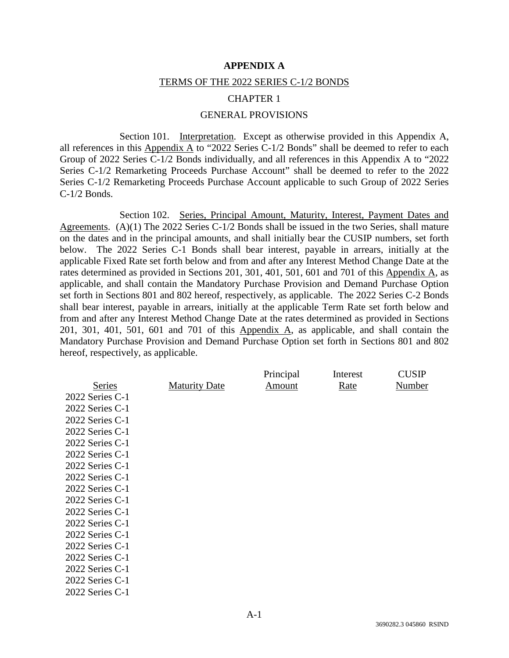#### **APPENDIX A**

#### TERMS OF THE 2022 SERIES C-1/2 BONDS

#### CHAPTER 1

#### GENERAL PROVISIONS

Section 101. Interpretation. Except as otherwise provided in this Appendix A, all references in this  $\Delta$ ppendix  $\Delta$  to "2022 Series C-1/2 Bonds" shall be deemed to refer to each Group of 2022 Series C-1/2 Bonds individually, and all references in this Appendix A to "2022 Series C-1/2 Remarketing Proceeds Purchase Account" shall be deemed to refer to the 2022 Series C-1/2 Remarketing Proceeds Purchase Account applicable to such Group of 2022 Series C-1/2 Bonds.

Section 102. Series, Principal Amount, Maturity, Interest, Payment Dates and Agreements. (A)(1) The 2022 Series C-1/2 Bonds shall be issued in the two Series, shall mature on the dates and in the principal amounts, and shall initially bear the CUSIP numbers, set forth below. The 2022 Series C-1 Bonds shall bear interest, payable in arrears, initially at the applicable Fixed Rate set forth below and from and after any Interest Method Change Date at the rates determined as provided in Sections 201, 301, 401, 501, 601 and 701 of this Appendix A, as applicable, and shall contain the Mandatory Purchase Provision and Demand Purchase Option set forth in Sections 801 and 802 hereof, respectively, as applicable. The 2022 Series C-2 Bonds shall bear interest, payable in arrears, initially at the applicable Term Rate set forth below and from and after any Interest Method Change Date at the rates determined as provided in Sections 201, 301, 401, 501, 601 and 701 of this Appendix A, as applicable, and shall contain the Mandatory Purchase Provision and Demand Purchase Option set forth in Sections 801 and 802 hereof, respectively, as applicable.

|                   |                      | Principal | Interest | <b>CUSIP</b> |
|-------------------|----------------------|-----------|----------|--------------|
| Series            | <b>Maturity Date</b> | Amount    | Rate     | Number       |
| 2022 Series C-1   |                      |           |          |              |
| 2022 Series C-1   |                      |           |          |              |
| 2022 Series C-1   |                      |           |          |              |
| $2022$ Series C-1 |                      |           |          |              |
| $2022$ Series C-1 |                      |           |          |              |
| $2022$ Series C-1 |                      |           |          |              |
| 2022 Series C-1   |                      |           |          |              |
| $2022$ Series C-1 |                      |           |          |              |
| $2022$ Series C-1 |                      |           |          |              |
| 2022 Series C-1   |                      |           |          |              |
| 2022 Series C-1   |                      |           |          |              |
| 2022 Series C-1   |                      |           |          |              |
| $2022$ Series C-1 |                      |           |          |              |
| 2022 Series C-1   |                      |           |          |              |
| $2022$ Series C-1 |                      |           |          |              |
| 2022 Series C-1   |                      |           |          |              |
| $2022$ Series C-1 |                      |           |          |              |
| $2022$ Series C-1 |                      |           |          |              |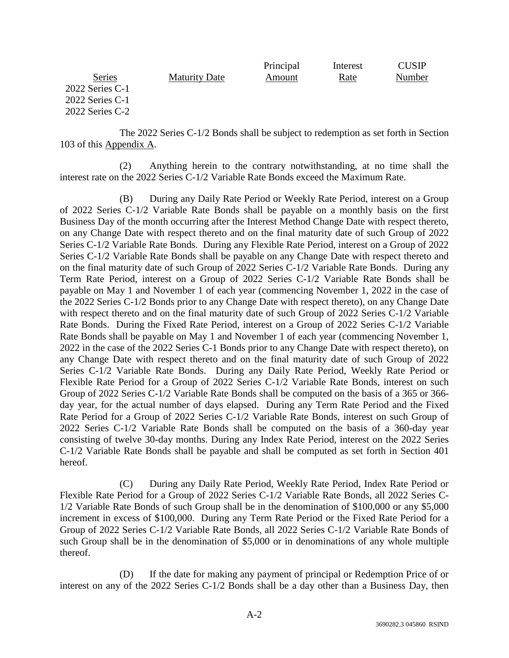|                   |                      | Principal | Interest | CUSIP  |
|-------------------|----------------------|-----------|----------|--------|
| <b>Series</b>     | <b>Maturity Date</b> | Amount    | Rate     | Number |
| $2022$ Series C-1 |                      |           |          |        |
| $2022$ Series C-1 |                      |           |          |        |
| $2022$ Series C-2 |                      |           |          |        |

The 2022 Series C-1/2 Bonds shall be subject to redemption as set forth in Section 103 of this Appendix A.

(2) Anything herein to the contrary notwithstanding, at no time shall the interest rate on the 2022 Series C-1/2 Variable Rate Bonds exceed the Maximum Rate.

(B) During any Daily Rate Period or Weekly Rate Period, interest on a Group of 2022 Series C-1/2 Variable Rate Bonds shall be payable on a monthly basis on the first Business Day of the month occurring after the Interest Method Change Date with respect thereto, on any Change Date with respect thereto and on the final maturity date of such Group of 2022 Series C-1/2 Variable Rate Bonds. During any Flexible Rate Period, interest on a Group of 2022 Series C-1/2 Variable Rate Bonds shall be payable on any Change Date with respect thereto and on the final maturity date of such Group of 2022 Series C-1/2 Variable Rate Bonds. During any Term Rate Period, interest on a Group of 2022 Series C-1/2 Variable Rate Bonds shall be payable on May 1 and November 1 of each year (commencing November 1, 2022 in the case of the 2022 Series C-1/2 Bonds prior to any Change Date with respect thereto), on any Change Date with respect thereto and on the final maturity date of such Group of 2022 Series C-1/2 Variable Rate Bonds. During the Fixed Rate Period, interest on a Group of 2022 Series C-1/2 Variable Rate Bonds shall be payable on May 1 and November 1 of each year (commencing November 1, 2022 in the case of the 2022 Series C-1 Bonds prior to any Change Date with respect thereto), on any Change Date with respect thereto and on the final maturity date of such Group of 2022 Series C-1/2 Variable Rate Bonds. During any Daily Rate Period, Weekly Rate Period or Flexible Rate Period for a Group of 2022 Series C-1/2 Variable Rate Bonds, interest on such Group of 2022 Series C-1/2 Variable Rate Bonds shall be computed on the basis of a 365 or 366 day year, for the actual number of days elapsed. During any Term Rate Period and the Fixed Rate Period for a Group of 2022 Series C-1/2 Variable Rate Bonds, interest on such Group of 2022 Series C-1/2 Variable Rate Bonds shall be computed on the basis of a 360-day year consisting of twelve 30-day months. During any Index Rate Period, interest on the 2022 Series C-1/2 Variable Rate Bonds shall be payable and shall be computed as set forth in Section 401 hereof.

(C) During any Daily Rate Period, Weekly Rate Period, Index Rate Period or Flexible Rate Period for a Group of 2022 Series C-1/2 Variable Rate Bonds, all 2022 Series C-1/2 Variable Rate Bonds of such Group shall be in the denomination of \$100,000 or any \$5,000 increment in excess of \$100,000. During any Term Rate Period or the Fixed Rate Period for a Group of 2022 Series C-1/2 Variable Rate Bonds, all 2022 Series C-1/2 Variable Rate Bonds of such Group shall be in the denomination of \$5,000 or in denominations of any whole multiple thereof.

(D) If the date for making any payment of principal or Redemption Price of or interest on any of the 2022 Series C-1/2 Bonds shall be a day other than a Business Day, then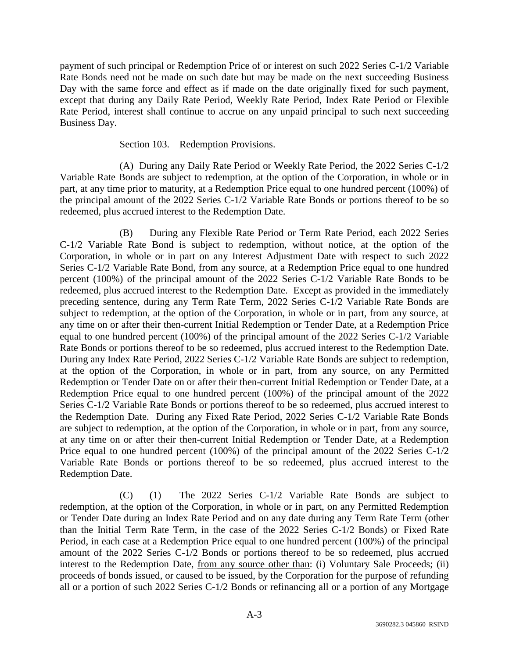payment of such principal or Redemption Price of or interest on such 2022 Series C-1/2 Variable Rate Bonds need not be made on such date but may be made on the next succeeding Business Day with the same force and effect as if made on the date originally fixed for such payment, except that during any Daily Rate Period, Weekly Rate Period, Index Rate Period or Flexible Rate Period, interest shall continue to accrue on any unpaid principal to such next succeeding Business Day.

# Section 103. Redemption Provisions.

(A) During any Daily Rate Period or Weekly Rate Period, the 2022 Series C-1/2 Variable Rate Bonds are subject to redemption, at the option of the Corporation, in whole or in part, at any time prior to maturity, at a Redemption Price equal to one hundred percent (100%) of the principal amount of the 2022 Series C-1/2 Variable Rate Bonds or portions thereof to be so redeemed, plus accrued interest to the Redemption Date.

(B) During any Flexible Rate Period or Term Rate Period, each 2022 Series C-1/2 Variable Rate Bond is subject to redemption, without notice, at the option of the Corporation, in whole or in part on any Interest Adjustment Date with respect to such 2022 Series C-1/2 Variable Rate Bond, from any source, at a Redemption Price equal to one hundred percent (100%) of the principal amount of the 2022 Series C-1/2 Variable Rate Bonds to be redeemed, plus accrued interest to the Redemption Date. Except as provided in the immediately preceding sentence, during any Term Rate Term, 2022 Series C-1/2 Variable Rate Bonds are subject to redemption, at the option of the Corporation, in whole or in part, from any source, at any time on or after their then-current Initial Redemption or Tender Date, at a Redemption Price equal to one hundred percent (100%) of the principal amount of the 2022 Series C-1/2 Variable Rate Bonds or portions thereof to be so redeemed, plus accrued interest to the Redemption Date. During any Index Rate Period, 2022 Series C-1/2 Variable Rate Bonds are subject to redemption, at the option of the Corporation, in whole or in part, from any source, on any Permitted Redemption or Tender Date on or after their then-current Initial Redemption or Tender Date, at a Redemption Price equal to one hundred percent (100%) of the principal amount of the 2022 Series C-1/2 Variable Rate Bonds or portions thereof to be so redeemed, plus accrued interest to the Redemption Date. During any Fixed Rate Period, 2022 Series C-1/2 Variable Rate Bonds are subject to redemption, at the option of the Corporation, in whole or in part, from any source, at any time on or after their then-current Initial Redemption or Tender Date, at a Redemption Price equal to one hundred percent (100%) of the principal amount of the 2022 Series C-1/2 Variable Rate Bonds or portions thereof to be so redeemed, plus accrued interest to the Redemption Date.

(C) (1) The 2022 Series C-1/2 Variable Rate Bonds are subject to redemption, at the option of the Corporation, in whole or in part, on any Permitted Redemption or Tender Date during an Index Rate Period and on any date during any Term Rate Term (other than the Initial Term Rate Term, in the case of the 2022 Series C-1/2 Bonds) or Fixed Rate Period, in each case at a Redemption Price equal to one hundred percent (100%) of the principal amount of the 2022 Series C-1/2 Bonds or portions thereof to be so redeemed, plus accrued interest to the Redemption Date, from any source other than: (i) Voluntary Sale Proceeds; (ii) proceeds of bonds issued, or caused to be issued, by the Corporation for the purpose of refunding all or a portion of such 2022 Series C-1/2 Bonds or refinancing all or a portion of any Mortgage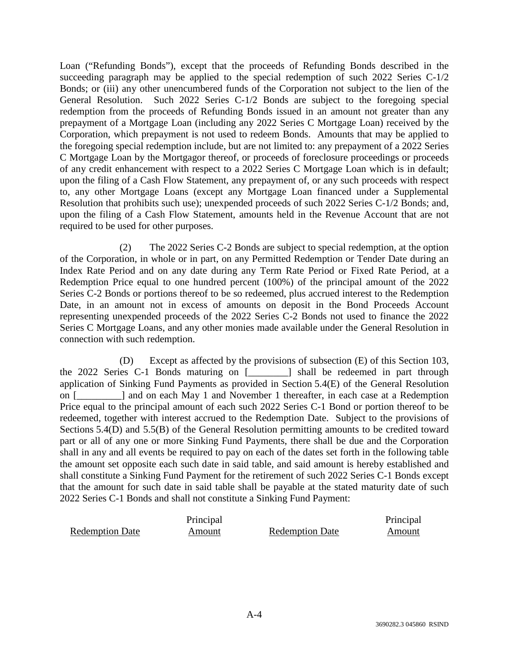Loan ("Refunding Bonds"), except that the proceeds of Refunding Bonds described in the succeeding paragraph may be applied to the special redemption of such 2022 Series C-1/2 Bonds; or (iii) any other unencumbered funds of the Corporation not subject to the lien of the General Resolution. Such 2022 Series C-1/2 Bonds are subject to the foregoing special redemption from the proceeds of Refunding Bonds issued in an amount not greater than any prepayment of a Mortgage Loan (including any 2022 Series C Mortgage Loan) received by the Corporation, which prepayment is not used to redeem Bonds. Amounts that may be applied to the foregoing special redemption include, but are not limited to: any prepayment of a 2022 Series C Mortgage Loan by the Mortgagor thereof, or proceeds of foreclosure proceedings or proceeds of any credit enhancement with respect to a 2022 Series C Mortgage Loan which is in default; upon the filing of a Cash Flow Statement, any prepayment of, or any such proceeds with respect to, any other Mortgage Loans (except any Mortgage Loan financed under a Supplemental Resolution that prohibits such use); unexpended proceeds of such 2022 Series C-1/2 Bonds; and, upon the filing of a Cash Flow Statement, amounts held in the Revenue Account that are not required to be used for other purposes.

(2) The 2022 Series C-2 Bonds are subject to special redemption, at the option of the Corporation, in whole or in part, on any Permitted Redemption or Tender Date during an Index Rate Period and on any date during any Term Rate Period or Fixed Rate Period, at a Redemption Price equal to one hundred percent (100%) of the principal amount of the 2022 Series C-2 Bonds or portions thereof to be so redeemed, plus accrued interest to the Redemption Date, in an amount not in excess of amounts on deposit in the Bond Proceeds Account representing unexpended proceeds of the 2022 Series C-2 Bonds not used to finance the 2022 Series C Mortgage Loans, and any other monies made available under the General Resolution in connection with such redemption.

(D) Except as affected by the provisions of subsection (E) of this Section 103, the 2022 Series C-1 Bonds maturing on [\_\_\_\_\_\_\_\_] shall be redeemed in part through application of Sinking Fund Payments as provided in Section 5.4(E) of the General Resolution on [\_\_\_\_\_\_\_\_\_] and on each May 1 and November 1 thereafter, in each case at a Redemption Price equal to the principal amount of each such 2022 Series C-1 Bond or portion thereof to be redeemed, together with interest accrued to the Redemption Date. Subject to the provisions of Sections 5.4(D) and 5.5(B) of the General Resolution permitting amounts to be credited toward part or all of any one or more Sinking Fund Payments, there shall be due and the Corporation shall in any and all events be required to pay on each of the dates set forth in the following table the amount set opposite each such date in said table, and said amount is hereby established and shall constitute a Sinking Fund Payment for the retirement of such 2022 Series C-1 Bonds except that the amount for such date in said table shall be payable at the stated maturity date of such 2022 Series C-1 Bonds and shall not constitute a Sinking Fund Payment:

|                        | Principal |                        | Principal |
|------------------------|-----------|------------------------|-----------|
| <b>Redemption Date</b> | Amount    | <b>Redemption Date</b> | Amount    |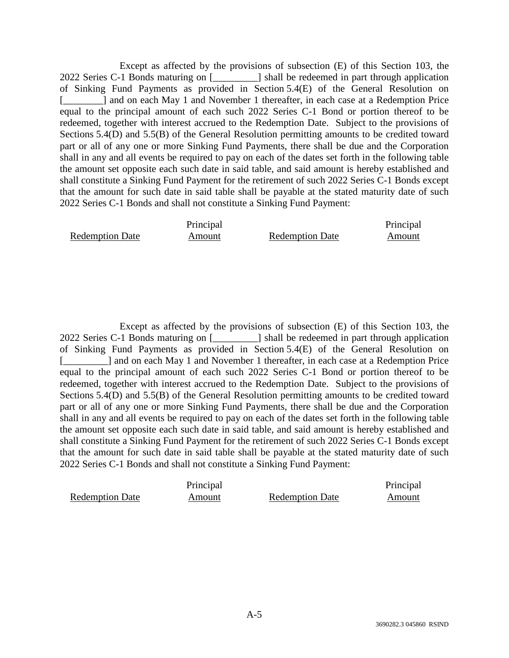Except as affected by the provisions of subsection (E) of this Section 103, the 2022 Series C-1 Bonds maturing on [\_\_\_\_\_\_\_\_\_] shall be redeemed in part through application of Sinking Fund Payments as provided in Section 5.4(E) of the General Resolution on [\_\_\_\_\_\_\_\_] and on each May 1 and November 1 thereafter, in each case at a Redemption Price equal to the principal amount of each such 2022 Series C-1 Bond or portion thereof to be redeemed, together with interest accrued to the Redemption Date. Subject to the provisions of Sections 5.4(D) and 5.5(B) of the General Resolution permitting amounts to be credited toward part or all of any one or more Sinking Fund Payments, there shall be due and the Corporation shall in any and all events be required to pay on each of the dates set forth in the following table the amount set opposite each such date in said table, and said amount is hereby established and shall constitute a Sinking Fund Payment for the retirement of such 2022 Series C-1 Bonds except that the amount for such date in said table shall be payable at the stated maturity date of such 2022 Series C-1 Bonds and shall not constitute a Sinking Fund Payment:

|                        | Principal |                        | Principal |
|------------------------|-----------|------------------------|-----------|
| <b>Redemption Date</b> | Amount    | <b>Redemption Date</b> | Amount    |

Except as affected by the provisions of subsection (E) of this Section 103, the 2022 Series C-1 Bonds maturing on [\_\_\_\_\_\_\_\_\_] shall be redeemed in part through application of Sinking Fund Payments as provided in Section 5.4(E) of the General Resolution on [\_\_\_\_\_\_\_\_] and on each May 1 and November 1 thereafter, in each case at a Redemption Price equal to the principal amount of each such 2022 Series C-1 Bond or portion thereof to be redeemed, together with interest accrued to the Redemption Date. Subject to the provisions of Sections 5.4(D) and 5.5(B) of the General Resolution permitting amounts to be credited toward part or all of any one or more Sinking Fund Payments, there shall be due and the Corporation shall in any and all events be required to pay on each of the dates set forth in the following table the amount set opposite each such date in said table, and said amount is hereby established and shall constitute a Sinking Fund Payment for the retirement of such 2022 Series C-1 Bonds except that the amount for such date in said table shall be payable at the stated maturity date of such 2022 Series C-1 Bonds and shall not constitute a Sinking Fund Payment:

|                        | Principal |                        | Principal |
|------------------------|-----------|------------------------|-----------|
| <b>Redemption Date</b> | Amount    | <b>Redemption Date</b> | Amount    |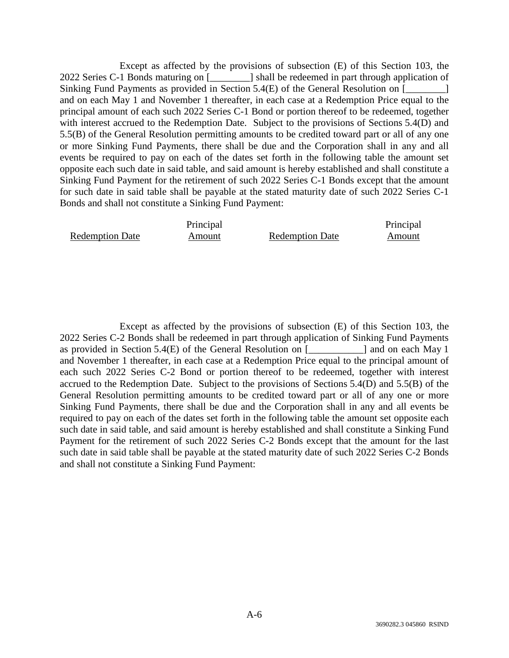Except as affected by the provisions of subsection (E) of this Section 103, the 2022 Series C-1 Bonds maturing on [\_\_\_\_\_\_\_\_] shall be redeemed in part through application of Sinking Fund Payments as provided in Section 5.4(E) of the General Resolution on  $\lceil$ and on each May 1 and November 1 thereafter, in each case at a Redemption Price equal to the principal amount of each such 2022 Series C-1 Bond or portion thereof to be redeemed, together with interest accrued to the Redemption Date. Subject to the provisions of Sections 5.4(D) and 5.5(B) of the General Resolution permitting amounts to be credited toward part or all of any one or more Sinking Fund Payments, there shall be due and the Corporation shall in any and all events be required to pay on each of the dates set forth in the following table the amount set opposite each such date in said table, and said amount is hereby established and shall constitute a Sinking Fund Payment for the retirement of such 2022 Series C-1 Bonds except that the amount for such date in said table shall be payable at the stated maturity date of such 2022 Series C-1 Bonds and shall not constitute a Sinking Fund Payment:

|                        | Principal |                        | Principal |
|------------------------|-----------|------------------------|-----------|
| <b>Redemption Date</b> | Amount    | <b>Redemption Date</b> | Amount    |

Except as affected by the provisions of subsection (E) of this Section 103, the 2022 Series C-2 Bonds shall be redeemed in part through application of Sinking Fund Payments as provided in Section 5.4(E) of the General Resolution on [  $\qquad$  ] and on each May 1 and November 1 thereafter, in each case at a Redemption Price equal to the principal amount of each such 2022 Series C-2 Bond or portion thereof to be redeemed, together with interest accrued to the Redemption Date. Subject to the provisions of Sections 5.4(D) and 5.5(B) of the General Resolution permitting amounts to be credited toward part or all of any one or more Sinking Fund Payments, there shall be due and the Corporation shall in any and all events be required to pay on each of the dates set forth in the following table the amount set opposite each such date in said table, and said amount is hereby established and shall constitute a Sinking Fund Payment for the retirement of such 2022 Series C-2 Bonds except that the amount for the last such date in said table shall be payable at the stated maturity date of such 2022 Series C-2 Bonds and shall not constitute a Sinking Fund Payment: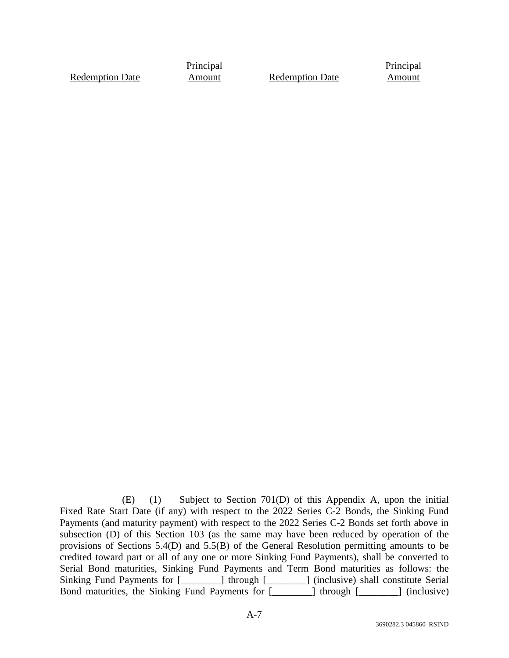Redemption Date

Principal

Amount Redemption Date

Principal **Amount** 

 (E) (1) Subject to Section 701(D) of this Appendix A, upon the initial Fixed Rate Start Date (if any) with respect to the 2022 Series C-2 Bonds, the Sinking Fund Payments (and maturity payment) with respect to the 2022 Series C-2 Bonds set forth above in subsection (D) of this Section 103 (as the same may have been reduced by operation of the provisions of Sections 5.4(D) and 5.5(B) of the General Resolution permitting amounts to be credited toward part or all of any one or more Sinking Fund Payments), shall be converted to Serial Bond maturities, Sinking Fund Payments and Term Bond maturities as follows: the Sinking Fund Payments for [\_\_\_\_\_\_\_\_] through [\_\_\_\_\_\_\_] (inclusive) shall constitute Serial Bond maturities, the Sinking Fund Payments for [\_\_\_\_\_\_\_\_] through [\_\_\_\_\_\_\_\_] (inclusive)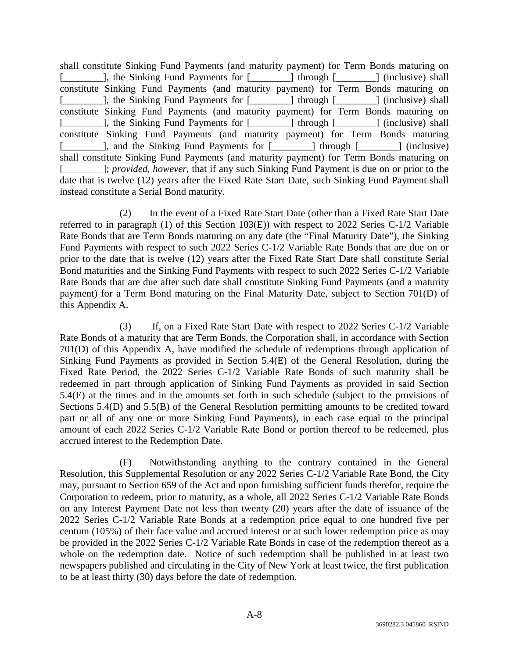shall constitute Sinking Fund Payments (and maturity payment) for Term Bonds maturing on [\_\_\_\_\_\_\_\_], the Sinking Fund Payments for [\_\_\_\_\_\_\_\_] through [\_\_\_\_\_\_\_] (inclusive) shall constitute Sinking Fund Payments (and maturity payment) for Term Bonds maturing on [\_\_\_\_\_\_\_\_], the Sinking Fund Payments for [\_\_\_\_\_\_\_\_] through [\_\_\_\_\_\_\_] (inclusive) shall constitute Sinking Fund Payments (and maturity payment) for Term Bonds maturing on [\_\_\_\_\_\_\_\_], the Sinking Fund Payments for [\_\_\_\_\_\_\_\_] through [\_\_\_\_\_\_\_\_] (inclusive) shall constitute Sinking Fund Payments (and maturity payment) for Term Bonds maturing [\_\_\_\_\_\_\_\_], and the Sinking Fund Payments for [\_\_\_\_\_\_\_\_] through [\_\_\_\_\_\_\_\_] (inclusive) shall constitute Sinking Fund Payments (and maturity payment) for Term Bonds maturing on [\_\_\_\_\_\_\_\_]; *provided, however*, that if any such Sinking Fund Payment is due on or prior to the date that is twelve (12) years after the Fixed Rate Start Date, such Sinking Fund Payment shall instead constitute a Serial Bond maturity.

(2) In the event of a Fixed Rate Start Date (other than a Fixed Rate Start Date referred to in paragraph (1) of this Section 103(E)) with respect to 2022 Series C-1/2 Variable Rate Bonds that are Term Bonds maturing on any date (the "Final Maturity Date"), the Sinking Fund Payments with respect to such 2022 Series C-1/2 Variable Rate Bonds that are due on or prior to the date that is twelve (12) years after the Fixed Rate Start Date shall constitute Serial Bond maturities and the Sinking Fund Payments with respect to such 2022 Series C-1/2 Variable Rate Bonds that are due after such date shall constitute Sinking Fund Payments (and a maturity payment) for a Term Bond maturing on the Final Maturity Date, subject to Section 701(D) of this Appendix A.

(3) If, on a Fixed Rate Start Date with respect to 2022 Series C-1/2 Variable Rate Bonds of a maturity that are Term Bonds, the Corporation shall, in accordance with Section 701(D) of this Appendix A, have modified the schedule of redemptions through application of Sinking Fund Payments as provided in Section 5.4(E) of the General Resolution, during the Fixed Rate Period, the 2022 Series C-1/2 Variable Rate Bonds of such maturity shall be redeemed in part through application of Sinking Fund Payments as provided in said Section 5.4(E) at the times and in the amounts set forth in such schedule (subject to the provisions of Sections 5.4(D) and 5.5(B) of the General Resolution permitting amounts to be credited toward part or all of any one or more Sinking Fund Payments), in each case equal to the principal amount of each 2022 Series C-1/2 Variable Rate Bond or portion thereof to be redeemed, plus accrued interest to the Redemption Date.

(F) Notwithstanding anything to the contrary contained in the General Resolution, this Supplemental Resolution or any 2022 Series C-1/2 Variable Rate Bond, the City may, pursuant to Section 659 of the Act and upon furnishing sufficient funds therefor, require the Corporation to redeem, prior to maturity, as a whole, all 2022 Series C-1/2 Variable Rate Bonds on any Interest Payment Date not less than twenty (20) years after the date of issuance of the 2022 Series C-1/2 Variable Rate Bonds at a redemption price equal to one hundred five per centum (105%) of their face value and accrued interest or at such lower redemption price as may be provided in the 2022 Series C-1/2 Variable Rate Bonds in case of the redemption thereof as a whole on the redemption date. Notice of such redemption shall be published in at least two newspapers published and circulating in the City of New York at least twice, the first publication to be at least thirty (30) days before the date of redemption.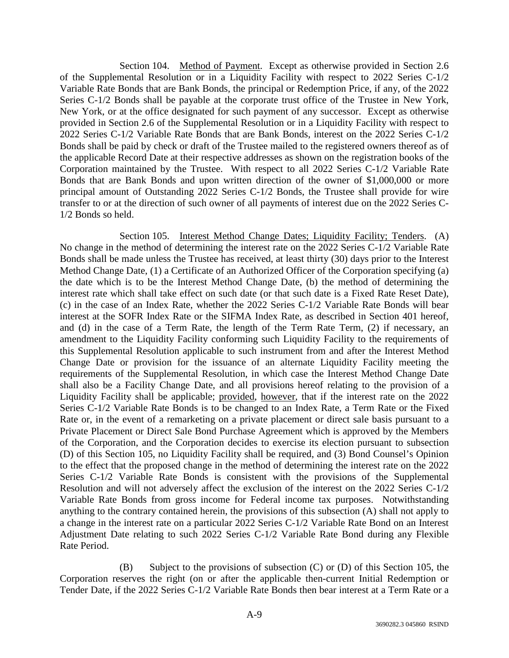Section 104. Method of Payment. Except as otherwise provided in Section 2.6 of the Supplemental Resolution or in a Liquidity Facility with respect to 2022 Series C-1/2 Variable Rate Bonds that are Bank Bonds, the principal or Redemption Price, if any, of the 2022 Series C-1/2 Bonds shall be payable at the corporate trust office of the Trustee in New York, New York, or at the office designated for such payment of any successor. Except as otherwise provided in Section 2.6 of the Supplemental Resolution or in a Liquidity Facility with respect to 2022 Series C-1/2 Variable Rate Bonds that are Bank Bonds, interest on the 2022 Series C-1/2 Bonds shall be paid by check or draft of the Trustee mailed to the registered owners thereof as of the applicable Record Date at their respective addresses as shown on the registration books of the Corporation maintained by the Trustee. With respect to all 2022 Series C-1/2 Variable Rate Bonds that are Bank Bonds and upon written direction of the owner of \$1,000,000 or more principal amount of Outstanding 2022 Series C-1/2 Bonds, the Trustee shall provide for wire transfer to or at the direction of such owner of all payments of interest due on the 2022 Series C-1/2 Bonds so held.

Section 105. Interest Method Change Dates; Liquidity Facility; Tenders. (A) No change in the method of determining the interest rate on the 2022 Series C-1/2 Variable Rate Bonds shall be made unless the Trustee has received, at least thirty (30) days prior to the Interest Method Change Date, (1) a Certificate of an Authorized Officer of the Corporation specifying (a) the date which is to be the Interest Method Change Date, (b) the method of determining the interest rate which shall take effect on such date (or that such date is a Fixed Rate Reset Date), (c) in the case of an Index Rate, whether the 2022 Series C-1/2 Variable Rate Bonds will bear interest at the SOFR Index Rate or the SIFMA Index Rate, as described in Section 401 hereof, and (d) in the case of a Term Rate, the length of the Term Rate Term, (2) if necessary, an amendment to the Liquidity Facility conforming such Liquidity Facility to the requirements of this Supplemental Resolution applicable to such instrument from and after the Interest Method Change Date or provision for the issuance of an alternate Liquidity Facility meeting the requirements of the Supplemental Resolution, in which case the Interest Method Change Date shall also be a Facility Change Date, and all provisions hereof relating to the provision of a Liquidity Facility shall be applicable; provided, however, that if the interest rate on the 2022 Series C-1/2 Variable Rate Bonds is to be changed to an Index Rate, a Term Rate or the Fixed Rate or, in the event of a remarketing on a private placement or direct sale basis pursuant to a Private Placement or Direct Sale Bond Purchase Agreement which is approved by the Members of the Corporation, and the Corporation decides to exercise its election pursuant to subsection (D) of this Section 105, no Liquidity Facility shall be required, and (3) Bond Counsel's Opinion to the effect that the proposed change in the method of determining the interest rate on the 2022 Series C-1/2 Variable Rate Bonds is consistent with the provisions of the Supplemental Resolution and will not adversely affect the exclusion of the interest on the 2022 Series C-1/2 Variable Rate Bonds from gross income for Federal income tax purposes. Notwithstanding anything to the contrary contained herein, the provisions of this subsection (A) shall not apply to a change in the interest rate on a particular 2022 Series C-1/2 Variable Rate Bond on an Interest Adjustment Date relating to such 2022 Series C-1/2 Variable Rate Bond during any Flexible Rate Period.

(B) Subject to the provisions of subsection (C) or (D) of this Section 105, the Corporation reserves the right (on or after the applicable then-current Initial Redemption or Tender Date, if the 2022 Series C-1/2 Variable Rate Bonds then bear interest at a Term Rate or a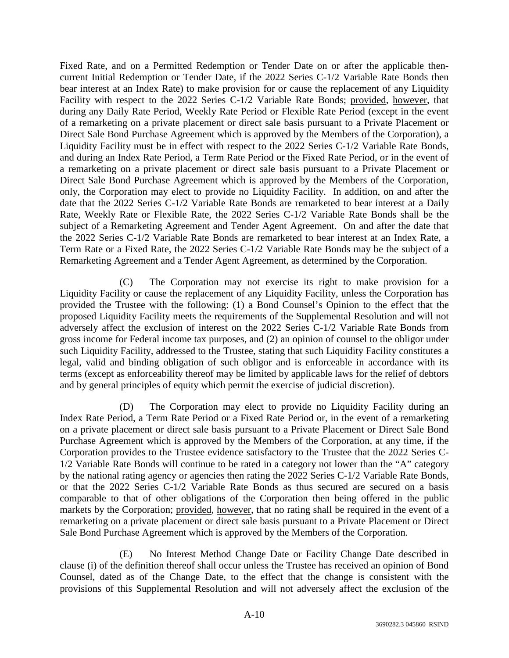Fixed Rate, and on a Permitted Redemption or Tender Date on or after the applicable thencurrent Initial Redemption or Tender Date, if the 2022 Series C-1/2 Variable Rate Bonds then bear interest at an Index Rate) to make provision for or cause the replacement of any Liquidity Facility with respect to the 2022 Series C-1/2 Variable Rate Bonds; provided, however, that during any Daily Rate Period, Weekly Rate Period or Flexible Rate Period (except in the event of a remarketing on a private placement or direct sale basis pursuant to a Private Placement or Direct Sale Bond Purchase Agreement which is approved by the Members of the Corporation), a Liquidity Facility must be in effect with respect to the 2022 Series C-1/2 Variable Rate Bonds, and during an Index Rate Period, a Term Rate Period or the Fixed Rate Period, or in the event of a remarketing on a private placement or direct sale basis pursuant to a Private Placement or Direct Sale Bond Purchase Agreement which is approved by the Members of the Corporation, only, the Corporation may elect to provide no Liquidity Facility. In addition, on and after the date that the 2022 Series C-1/2 Variable Rate Bonds are remarketed to bear interest at a Daily Rate, Weekly Rate or Flexible Rate, the 2022 Series C-1/2 Variable Rate Bonds shall be the subject of a Remarketing Agreement and Tender Agent Agreement. On and after the date that the 2022 Series C-1/2 Variable Rate Bonds are remarketed to bear interest at an Index Rate, a Term Rate or a Fixed Rate, the 2022 Series C-1/2 Variable Rate Bonds may be the subject of a Remarketing Agreement and a Tender Agent Agreement, as determined by the Corporation.

(C) The Corporation may not exercise its right to make provision for a Liquidity Facility or cause the replacement of any Liquidity Facility, unless the Corporation has provided the Trustee with the following: (1) a Bond Counsel's Opinion to the effect that the proposed Liquidity Facility meets the requirements of the Supplemental Resolution and will not adversely affect the exclusion of interest on the 2022 Series C-1/2 Variable Rate Bonds from gross income for Federal income tax purposes, and (2) an opinion of counsel to the obligor under such Liquidity Facility, addressed to the Trustee, stating that such Liquidity Facility constitutes a legal, valid and binding obligation of such obligor and is enforceable in accordance with its terms (except as enforceability thereof may be limited by applicable laws for the relief of debtors and by general principles of equity which permit the exercise of judicial discretion).

(D) The Corporation may elect to provide no Liquidity Facility during an Index Rate Period, a Term Rate Period or a Fixed Rate Period or, in the event of a remarketing on a private placement or direct sale basis pursuant to a Private Placement or Direct Sale Bond Purchase Agreement which is approved by the Members of the Corporation, at any time, if the Corporation provides to the Trustee evidence satisfactory to the Trustee that the 2022 Series C-1/2 Variable Rate Bonds will continue to be rated in a category not lower than the "A" category by the national rating agency or agencies then rating the 2022 Series C-1/2 Variable Rate Bonds, or that the 2022 Series C-1/2 Variable Rate Bonds as thus secured are secured on a basis comparable to that of other obligations of the Corporation then being offered in the public markets by the Corporation; provided, however, that no rating shall be required in the event of a remarketing on a private placement or direct sale basis pursuant to a Private Placement or Direct Sale Bond Purchase Agreement which is approved by the Members of the Corporation.

(E) No Interest Method Change Date or Facility Change Date described in clause (i) of the definition thereof shall occur unless the Trustee has received an opinion of Bond Counsel, dated as of the Change Date, to the effect that the change is consistent with the provisions of this Supplemental Resolution and will not adversely affect the exclusion of the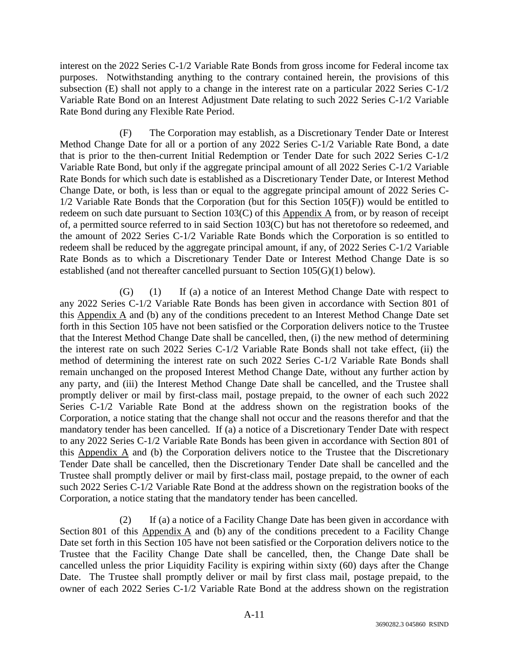interest on the 2022 Series C-1/2 Variable Rate Bonds from gross income for Federal income tax purposes. Notwithstanding anything to the contrary contained herein, the provisions of this subsection (E) shall not apply to a change in the interest rate on a particular  $2022$  Series C-1/2 Variable Rate Bond on an Interest Adjustment Date relating to such 2022 Series C-1/2 Variable Rate Bond during any Flexible Rate Period.

(F) The Corporation may establish, as a Discretionary Tender Date or Interest Method Change Date for all or a portion of any 2022 Series C-1/2 Variable Rate Bond, a date that is prior to the then-current Initial Redemption or Tender Date for such 2022 Series C-1/2 Variable Rate Bond, but only if the aggregate principal amount of all 2022 Series C-1/2 Variable Rate Bonds for which such date is established as a Discretionary Tender Date, or Interest Method Change Date, or both, is less than or equal to the aggregate principal amount of 2022 Series C-1/2 Variable Rate Bonds that the Corporation (but for this Section 105(F)) would be entitled to redeem on such date pursuant to Section 103(C) of this Appendix A from, or by reason of receipt of, a permitted source referred to in said Section 103(C) but has not theretofore so redeemed, and the amount of 2022 Series C-1/2 Variable Rate Bonds which the Corporation is so entitled to redeem shall be reduced by the aggregate principal amount, if any, of 2022 Series C-1/2 Variable Rate Bonds as to which a Discretionary Tender Date or Interest Method Change Date is so established (and not thereafter cancelled pursuant to Section 105(G)(1) below).

(G) (1) If (a) a notice of an Interest Method Change Date with respect to any 2022 Series C-1/2 Variable Rate Bonds has been given in accordance with Section 801 of this Appendix A and (b) any of the conditions precedent to an Interest Method Change Date set forth in this Section 105 have not been satisfied or the Corporation delivers notice to the Trustee that the Interest Method Change Date shall be cancelled, then, (i) the new method of determining the interest rate on such 2022 Series C-1/2 Variable Rate Bonds shall not take effect, (ii) the method of determining the interest rate on such 2022 Series C-1/2 Variable Rate Bonds shall remain unchanged on the proposed Interest Method Change Date, without any further action by any party, and (iii) the Interest Method Change Date shall be cancelled, and the Trustee shall promptly deliver or mail by first-class mail, postage prepaid, to the owner of each such 2022 Series C-1/2 Variable Rate Bond at the address shown on the registration books of the Corporation, a notice stating that the change shall not occur and the reasons therefor and that the mandatory tender has been cancelled. If (a) a notice of a Discretionary Tender Date with respect to any 2022 Series C-1/2 Variable Rate Bonds has been given in accordance with Section 801 of this Appendix A and (b) the Corporation delivers notice to the Trustee that the Discretionary Tender Date shall be cancelled, then the Discretionary Tender Date shall be cancelled and the Trustee shall promptly deliver or mail by first-class mail, postage prepaid, to the owner of each such 2022 Series C-1/2 Variable Rate Bond at the address shown on the registration books of the Corporation, a notice stating that the mandatory tender has been cancelled.

(2) If (a) a notice of a Facility Change Date has been given in accordance with Section 801 of this Appendix A and (b) any of the conditions precedent to a Facility Change Date set forth in this Section 105 have not been satisfied or the Corporation delivers notice to the Trustee that the Facility Change Date shall be cancelled, then, the Change Date shall be cancelled unless the prior Liquidity Facility is expiring within sixty (60) days after the Change Date. The Trustee shall promptly deliver or mail by first class mail, postage prepaid, to the owner of each 2022 Series C-1/2 Variable Rate Bond at the address shown on the registration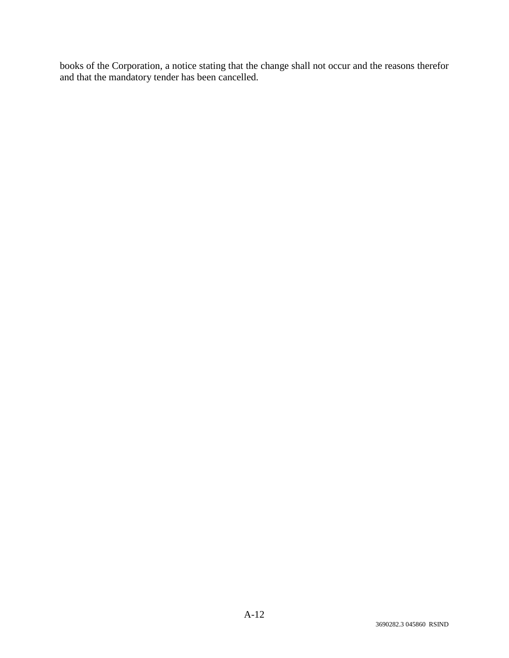books of the Corporation, a notice stating that the change shall not occur and the reasons therefor and that the mandatory tender has been cancelled.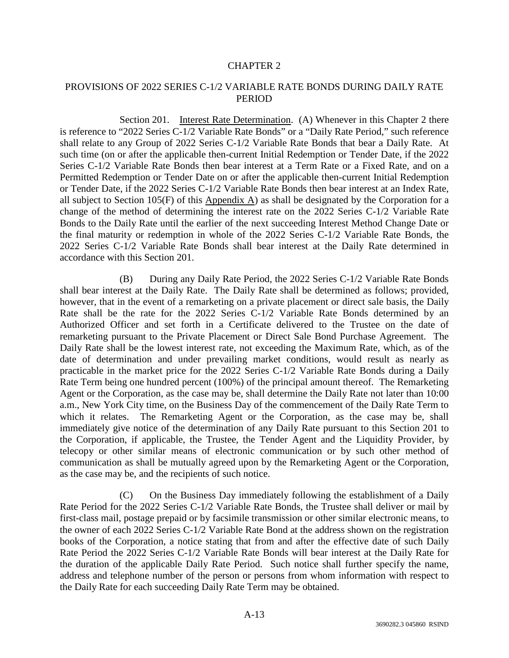### PROVISIONS OF 2022 SERIES C-1/2 VARIABLE RATE BONDS DURING DAILY RATE **PERIOD**

Section 201. Interest Rate Determination. (A) Whenever in this Chapter 2 there is reference to "2022 Series C-1/2 Variable Rate Bonds" or a "Daily Rate Period," such reference shall relate to any Group of 2022 Series C-1/2 Variable Rate Bonds that bear a Daily Rate. At such time (on or after the applicable then-current Initial Redemption or Tender Date, if the 2022 Series C-1/2 Variable Rate Bonds then bear interest at a Term Rate or a Fixed Rate, and on a Permitted Redemption or Tender Date on or after the applicable then-current Initial Redemption or Tender Date, if the 2022 Series C-1/2 Variable Rate Bonds then bear interest at an Index Rate, all subject to Section 105(F) of this Appendix A) as shall be designated by the Corporation for a change of the method of determining the interest rate on the 2022 Series C-1/2 Variable Rate Bonds to the Daily Rate until the earlier of the next succeeding Interest Method Change Date or the final maturity or redemption in whole of the 2022 Series C-1/2 Variable Rate Bonds, the 2022 Series C-1/2 Variable Rate Bonds shall bear interest at the Daily Rate determined in accordance with this Section 201.

(B) During any Daily Rate Period, the 2022 Series C-1/2 Variable Rate Bonds shall bear interest at the Daily Rate. The Daily Rate shall be determined as follows; provided, however, that in the event of a remarketing on a private placement or direct sale basis, the Daily Rate shall be the rate for the 2022 Series C-1/2 Variable Rate Bonds determined by an Authorized Officer and set forth in a Certificate delivered to the Trustee on the date of remarketing pursuant to the Private Placement or Direct Sale Bond Purchase Agreement. The Daily Rate shall be the lowest interest rate, not exceeding the Maximum Rate, which, as of the date of determination and under prevailing market conditions, would result as nearly as practicable in the market price for the 2022 Series C-1/2 Variable Rate Bonds during a Daily Rate Term being one hundred percent (100%) of the principal amount thereof. The Remarketing Agent or the Corporation, as the case may be, shall determine the Daily Rate not later than 10:00 a.m., New York City time, on the Business Day of the commencement of the Daily Rate Term to which it relates. The Remarketing Agent or the Corporation, as the case may be, shall immediately give notice of the determination of any Daily Rate pursuant to this Section 201 to the Corporation, if applicable, the Trustee, the Tender Agent and the Liquidity Provider, by telecopy or other similar means of electronic communication or by such other method of communication as shall be mutually agreed upon by the Remarketing Agent or the Corporation, as the case may be, and the recipients of such notice.

(C) On the Business Day immediately following the establishment of a Daily Rate Period for the 2022 Series C-1/2 Variable Rate Bonds, the Trustee shall deliver or mail by first-class mail, postage prepaid or by facsimile transmission or other similar electronic means, to the owner of each 2022 Series C-1/2 Variable Rate Bond at the address shown on the registration books of the Corporation, a notice stating that from and after the effective date of such Daily Rate Period the 2022 Series C-1/2 Variable Rate Bonds will bear interest at the Daily Rate for the duration of the applicable Daily Rate Period. Such notice shall further specify the name, address and telephone number of the person or persons from whom information with respect to the Daily Rate for each succeeding Daily Rate Term may be obtained.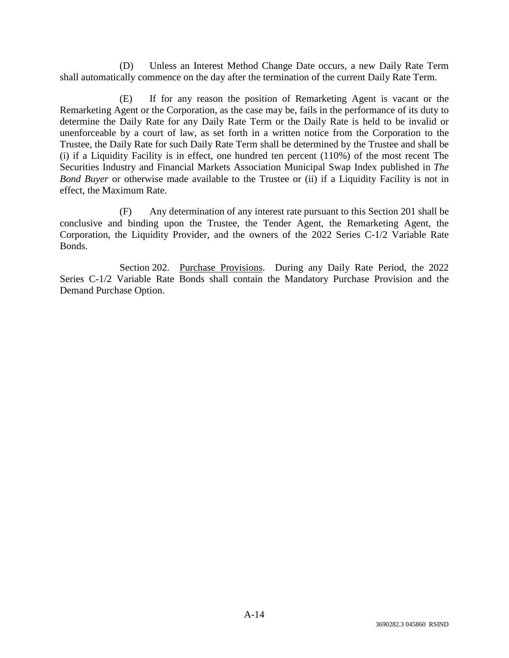(D) Unless an Interest Method Change Date occurs, a new Daily Rate Term shall automatically commence on the day after the termination of the current Daily Rate Term.

(E) If for any reason the position of Remarketing Agent is vacant or the Remarketing Agent or the Corporation, as the case may be, fails in the performance of its duty to determine the Daily Rate for any Daily Rate Term or the Daily Rate is held to be invalid or unenforceable by a court of law, as set forth in a written notice from the Corporation to the Trustee, the Daily Rate for such Daily Rate Term shall be determined by the Trustee and shall be (i) if a Liquidity Facility is in effect, one hundred ten percent (110%) of the most recent The Securities Industry and Financial Markets Association Municipal Swap Index published in *The Bond Buyer* or otherwise made available to the Trustee or (ii) if a Liquidity Facility is not in effect, the Maximum Rate.

(F) Any determination of any interest rate pursuant to this Section 201 shall be conclusive and binding upon the Trustee, the Tender Agent, the Remarketing Agent, the Corporation, the Liquidity Provider, and the owners of the 2022 Series C-1/2 Variable Rate Bonds.

Section 202. Purchase Provisions. During any Daily Rate Period, the 2022 Series C-1/2 Variable Rate Bonds shall contain the Mandatory Purchase Provision and the Demand Purchase Option.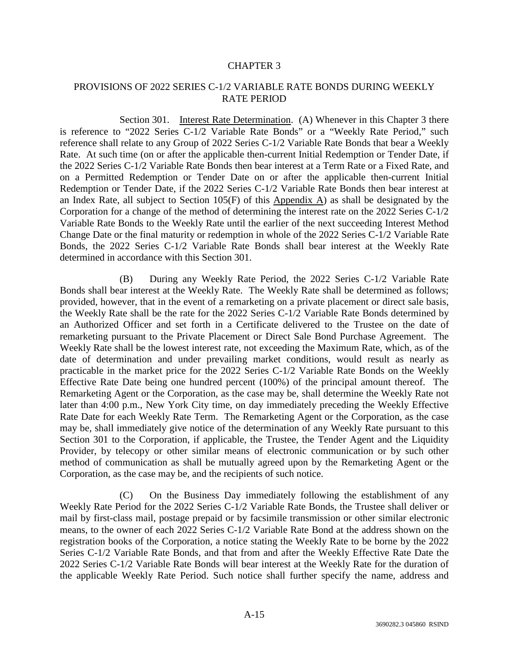## PROVISIONS OF 2022 SERIES C-1/2 VARIABLE RATE BONDS DURING WEEKLY RATE PERIOD

Section 301. Interest Rate Determination. (A) Whenever in this Chapter 3 there is reference to "2022 Series C-1/2 Variable Rate Bonds" or a "Weekly Rate Period," such reference shall relate to any Group of 2022 Series C-1/2 Variable Rate Bonds that bear a Weekly Rate. At such time (on or after the applicable then-current Initial Redemption or Tender Date, if the 2022 Series C-1/2 Variable Rate Bonds then bear interest at a Term Rate or a Fixed Rate, and on a Permitted Redemption or Tender Date on or after the applicable then-current Initial Redemption or Tender Date, if the 2022 Series C-1/2 Variable Rate Bonds then bear interest at an Index Rate, all subject to Section  $105(F)$  of this Appendix A) as shall be designated by the Corporation for a change of the method of determining the interest rate on the 2022 Series C-1/2 Variable Rate Bonds to the Weekly Rate until the earlier of the next succeeding Interest Method Change Date or the final maturity or redemption in whole of the 2022 Series C-1/2 Variable Rate Bonds, the 2022 Series C-1/2 Variable Rate Bonds shall bear interest at the Weekly Rate determined in accordance with this Section 301.

(B) During any Weekly Rate Period, the 2022 Series C-1/2 Variable Rate Bonds shall bear interest at the Weekly Rate. The Weekly Rate shall be determined as follows; provided, however, that in the event of a remarketing on a private placement or direct sale basis, the Weekly Rate shall be the rate for the 2022 Series C-1/2 Variable Rate Bonds determined by an Authorized Officer and set forth in a Certificate delivered to the Trustee on the date of remarketing pursuant to the Private Placement or Direct Sale Bond Purchase Agreement. The Weekly Rate shall be the lowest interest rate, not exceeding the Maximum Rate, which, as of the date of determination and under prevailing market conditions, would result as nearly as practicable in the market price for the 2022 Series C-1/2 Variable Rate Bonds on the Weekly Effective Rate Date being one hundred percent (100%) of the principal amount thereof. The Remarketing Agent or the Corporation, as the case may be, shall determine the Weekly Rate not later than 4:00 p.m., New York City time, on day immediately preceding the Weekly Effective Rate Date for each Weekly Rate Term. The Remarketing Agent or the Corporation, as the case may be, shall immediately give notice of the determination of any Weekly Rate pursuant to this Section 301 to the Corporation, if applicable, the Trustee, the Tender Agent and the Liquidity Provider, by telecopy or other similar means of electronic communication or by such other method of communication as shall be mutually agreed upon by the Remarketing Agent or the Corporation, as the case may be, and the recipients of such notice.

(C) On the Business Day immediately following the establishment of any Weekly Rate Period for the 2022 Series C-1/2 Variable Rate Bonds, the Trustee shall deliver or mail by first-class mail, postage prepaid or by facsimile transmission or other similar electronic means, to the owner of each 2022 Series C-1/2 Variable Rate Bond at the address shown on the registration books of the Corporation, a notice stating the Weekly Rate to be borne by the 2022 Series C-1/2 Variable Rate Bonds, and that from and after the Weekly Effective Rate Date the 2022 Series C-1/2 Variable Rate Bonds will bear interest at the Weekly Rate for the duration of the applicable Weekly Rate Period. Such notice shall further specify the name, address and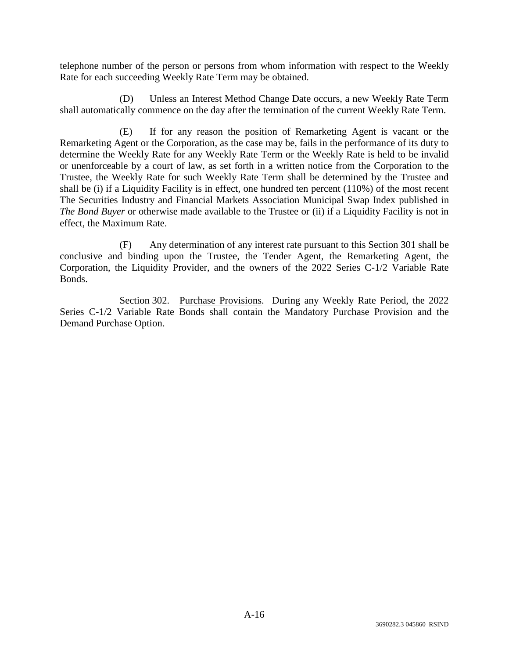telephone number of the person or persons from whom information with respect to the Weekly Rate for each succeeding Weekly Rate Term may be obtained.

(D) Unless an Interest Method Change Date occurs, a new Weekly Rate Term shall automatically commence on the day after the termination of the current Weekly Rate Term.

(E) If for any reason the position of Remarketing Agent is vacant or the Remarketing Agent or the Corporation, as the case may be, fails in the performance of its duty to determine the Weekly Rate for any Weekly Rate Term or the Weekly Rate is held to be invalid or unenforceable by a court of law, as set forth in a written notice from the Corporation to the Trustee, the Weekly Rate for such Weekly Rate Term shall be determined by the Trustee and shall be (i) if a Liquidity Facility is in effect, one hundred ten percent (110%) of the most recent The Securities Industry and Financial Markets Association Municipal Swap Index published in *The Bond Buyer* or otherwise made available to the Trustee or (ii) if a Liquidity Facility is not in effect, the Maximum Rate.

(F) Any determination of any interest rate pursuant to this Section 301 shall be conclusive and binding upon the Trustee, the Tender Agent, the Remarketing Agent, the Corporation, the Liquidity Provider, and the owners of the 2022 Series C-1/2 Variable Rate Bonds.

Section 302. Purchase Provisions. During any Weekly Rate Period, the 2022 Series C-1/2 Variable Rate Bonds shall contain the Mandatory Purchase Provision and the Demand Purchase Option.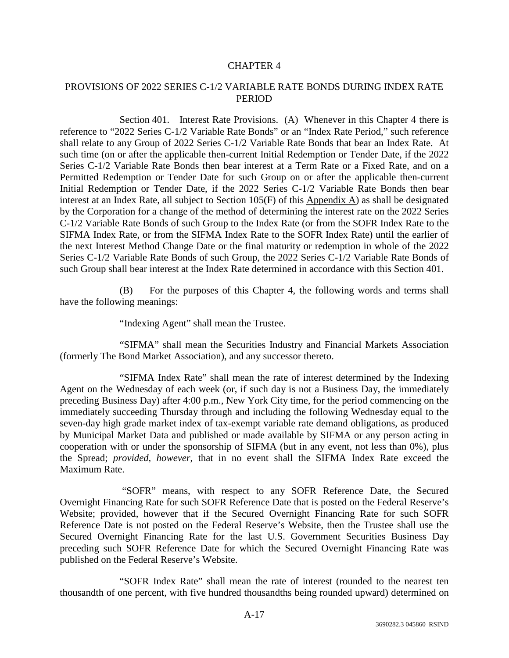## PROVISIONS OF 2022 SERIES C-1/2 VARIABLE RATE BONDS DURING INDEX RATE PERIOD

Section 401. Interest Rate Provisions. (A) Whenever in this Chapter 4 there is reference to "2022 Series C-1/2 Variable Rate Bonds" or an "Index Rate Period," such reference shall relate to any Group of 2022 Series C-1/2 Variable Rate Bonds that bear an Index Rate. At such time (on or after the applicable then-current Initial Redemption or Tender Date, if the 2022 Series C-1/2 Variable Rate Bonds then bear interest at a Term Rate or a Fixed Rate, and on a Permitted Redemption or Tender Date for such Group on or after the applicable then-current Initial Redemption or Tender Date, if the 2022 Series C-1/2 Variable Rate Bonds then bear interest at an Index Rate, all subject to Section  $105(F)$  of this Appendix A) as shall be designated by the Corporation for a change of the method of determining the interest rate on the 2022 Series C-1/2 Variable Rate Bonds of such Group to the Index Rate (or from the SOFR Index Rate to the SIFMA Index Rate, or from the SIFMA Index Rate to the SOFR Index Rate) until the earlier of the next Interest Method Change Date or the final maturity or redemption in whole of the 2022 Series C-1/2 Variable Rate Bonds of such Group, the 2022 Series C-1/2 Variable Rate Bonds of such Group shall bear interest at the Index Rate determined in accordance with this Section 401.

(B) For the purposes of this Chapter 4, the following words and terms shall have the following meanings:

"Indexing Agent" shall mean the Trustee.

"SIFMA" shall mean the Securities Industry and Financial Markets Association (formerly The Bond Market Association), and any successor thereto.

"SIFMA Index Rate" shall mean the rate of interest determined by the Indexing Agent on the Wednesday of each week (or, if such day is not a Business Day, the immediately preceding Business Day) after 4:00 p.m., New York City time, for the period commencing on the immediately succeeding Thursday through and including the following Wednesday equal to the seven-day high grade market index of tax-exempt variable rate demand obligations, as produced by Municipal Market Data and published or made available by SIFMA or any person acting in cooperation with or under the sponsorship of SIFMA (but in any event, not less than 0%), plus the Spread; *provided, however*, that in no event shall the SIFMA Index Rate exceed the Maximum Rate.

 "SOFR" means, with respect to any SOFR Reference Date, the Secured Overnight Financing Rate for such SOFR Reference Date that is posted on the Federal Reserve's Website; provided, however that if the Secured Overnight Financing Rate for such SOFR Reference Date is not posted on the Federal Reserve's Website, then the Trustee shall use the Secured Overnight Financing Rate for the last U.S. Government Securities Business Day preceding such SOFR Reference Date for which the Secured Overnight Financing Rate was published on the Federal Reserve's Website.

"SOFR Index Rate" shall mean the rate of interest (rounded to the nearest ten thousandth of one percent, with five hundred thousandths being rounded upward) determined on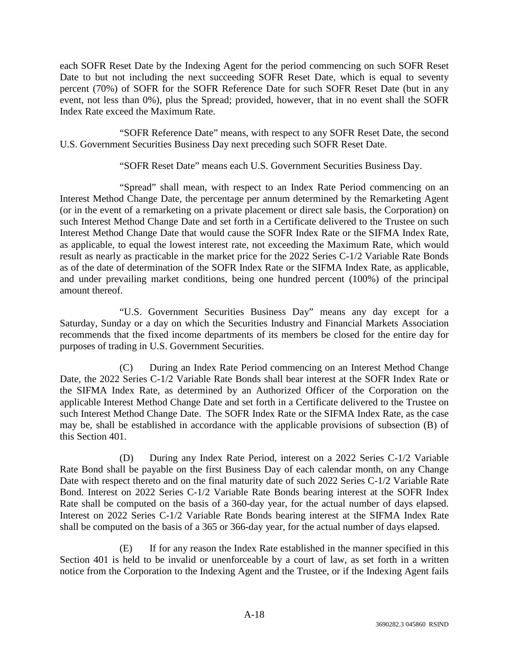each SOFR Reset Date by the Indexing Agent for the period commencing on such SOFR Reset Date to but not including the next succeeding SOFR Reset Date, which is equal to seventy percent (70%) of SOFR for the SOFR Reference Date for such SOFR Reset Date (but in any event, not less than 0%), plus the Spread; provided, however, that in no event shall the SOFR Index Rate exceed the Maximum Rate.

"SOFR Reference Date" means, with respect to any SOFR Reset Date, the second U.S. Government Securities Business Day next preceding such SOFR Reset Date.

"SOFR Reset Date" means each U.S. Government Securities Business Day.

"Spread" shall mean, with respect to an Index Rate Period commencing on an Interest Method Change Date, the percentage per annum determined by the Remarketing Agent (or in the event of a remarketing on a private placement or direct sale basis, the Corporation) on such Interest Method Change Date and set forth in a Certificate delivered to the Trustee on such Interest Method Change Date that would cause the SOFR Index Rate or the SIFMA Index Rate, as applicable, to equal the lowest interest rate, not exceeding the Maximum Rate, which would result as nearly as practicable in the market price for the 2022 Series C-1/2 Variable Rate Bonds as of the date of determination of the SOFR Index Rate or the SIFMA Index Rate, as applicable, and under prevailing market conditions, being one hundred percent (100%) of the principal amount thereof.

"U.S. Government Securities Business Day" means any day except for a Saturday, Sunday or a day on which the Securities Industry and Financial Markets Association recommends that the fixed income departments of its members be closed for the entire day for purposes of trading in U.S. Government Securities.

(C) During an Index Rate Period commencing on an Interest Method Change Date, the 2022 Series C-1/2 Variable Rate Bonds shall bear interest at the SOFR Index Rate or the SIFMA Index Rate, as determined by an Authorized Officer of the Corporation on the applicable Interest Method Change Date and set forth in a Certificate delivered to the Trustee on such Interest Method Change Date. The SOFR Index Rate or the SIFMA Index Rate, as the case may be, shall be established in accordance with the applicable provisions of subsection (B) of this Section 401.

(D) During any Index Rate Period, interest on a 2022 Series C-1/2 Variable Rate Bond shall be payable on the first Business Day of each calendar month, on any Change Date with respect thereto and on the final maturity date of such 2022 Series C-1/2 Variable Rate Bond. Interest on 2022 Series C-1/2 Variable Rate Bonds bearing interest at the SOFR Index Rate shall be computed on the basis of a 360-day year, for the actual number of days elapsed. Interest on 2022 Series C-1/2 Variable Rate Bonds bearing interest at the SIFMA Index Rate shall be computed on the basis of a 365 or 366-day year, for the actual number of days elapsed.

(E) If for any reason the Index Rate established in the manner specified in this Section 401 is held to be invalid or unenforceable by a court of law, as set forth in a written notice from the Corporation to the Indexing Agent and the Trustee, or if the Indexing Agent fails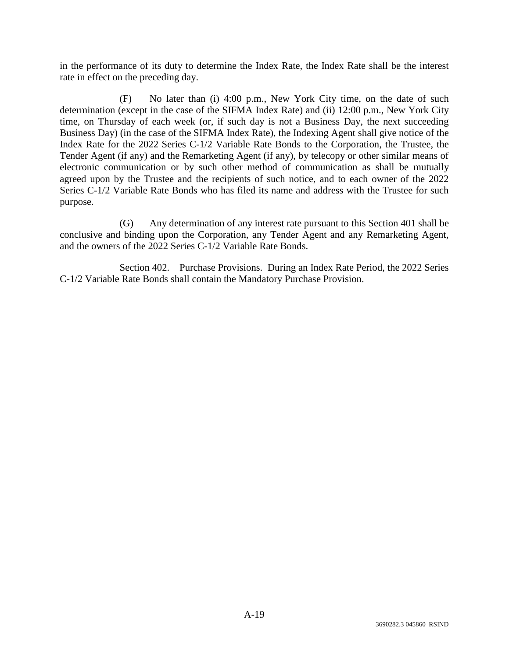in the performance of its duty to determine the Index Rate, the Index Rate shall be the interest rate in effect on the preceding day.

(F) No later than (i) 4:00 p.m., New York City time, on the date of such determination (except in the case of the SIFMA Index Rate) and (ii) 12:00 p.m., New York City time, on Thursday of each week (or, if such day is not a Business Day, the next succeeding Business Day) (in the case of the SIFMA Index Rate), the Indexing Agent shall give notice of the Index Rate for the 2022 Series C-1/2 Variable Rate Bonds to the Corporation, the Trustee, the Tender Agent (if any) and the Remarketing Agent (if any), by telecopy or other similar means of electronic communication or by such other method of communication as shall be mutually agreed upon by the Trustee and the recipients of such notice, and to each owner of the 2022 Series C-1/2 Variable Rate Bonds who has filed its name and address with the Trustee for such purpose.

(G) Any determination of any interest rate pursuant to this Section 401 shall be conclusive and binding upon the Corporation, any Tender Agent and any Remarketing Agent, and the owners of the 2022 Series C-1/2 Variable Rate Bonds.

Section 402. Purchase Provisions. During an Index Rate Period, the 2022 Series C-1/2 Variable Rate Bonds shall contain the Mandatory Purchase Provision.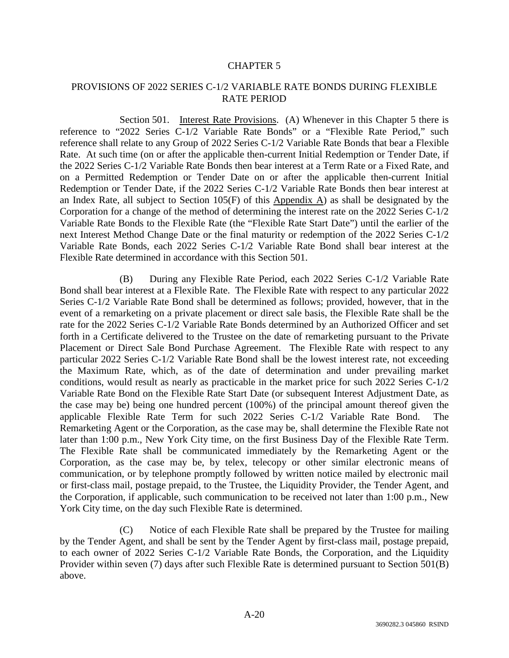## PROVISIONS OF 2022 SERIES C-1/2 VARIABLE RATE BONDS DURING FLEXIBLE RATE PERIOD

Section 501. Interest Rate Provisions. (A) Whenever in this Chapter 5 there is reference to "2022 Series C-1/2 Variable Rate Bonds" or a "Flexible Rate Period," such reference shall relate to any Group of 2022 Series C-1/2 Variable Rate Bonds that bear a Flexible Rate. At such time (on or after the applicable then-current Initial Redemption or Tender Date, if the 2022 Series C-1/2 Variable Rate Bonds then bear interest at a Term Rate or a Fixed Rate, and on a Permitted Redemption or Tender Date on or after the applicable then-current Initial Redemption or Tender Date, if the 2022 Series C-1/2 Variable Rate Bonds then bear interest at an Index Rate, all subject to Section  $105(F)$  of this Appendix A) as shall be designated by the Corporation for a change of the method of determining the interest rate on the 2022 Series C-1/2 Variable Rate Bonds to the Flexible Rate (the "Flexible Rate Start Date") until the earlier of the next Interest Method Change Date or the final maturity or redemption of the 2022 Series C-1/2 Variable Rate Bonds, each 2022 Series C-1/2 Variable Rate Bond shall bear interest at the Flexible Rate determined in accordance with this Section 501.

(B) During any Flexible Rate Period, each 2022 Series C-1/2 Variable Rate Bond shall bear interest at a Flexible Rate. The Flexible Rate with respect to any particular 2022 Series C-1/2 Variable Rate Bond shall be determined as follows; provided, however, that in the event of a remarketing on a private placement or direct sale basis, the Flexible Rate shall be the rate for the 2022 Series C-1/2 Variable Rate Bonds determined by an Authorized Officer and set forth in a Certificate delivered to the Trustee on the date of remarketing pursuant to the Private Placement or Direct Sale Bond Purchase Agreement. The Flexible Rate with respect to any particular 2022 Series C-1/2 Variable Rate Bond shall be the lowest interest rate, not exceeding the Maximum Rate, which, as of the date of determination and under prevailing market conditions, would result as nearly as practicable in the market price for such 2022 Series C-1/2 Variable Rate Bond on the Flexible Rate Start Date (or subsequent Interest Adjustment Date, as the case may be) being one hundred percent (100%) of the principal amount thereof given the applicable Flexible Rate Term for such 2022 Series C-1/2 Variable Rate Bond. The Remarketing Agent or the Corporation, as the case may be, shall determine the Flexible Rate not later than 1:00 p.m., New York City time, on the first Business Day of the Flexible Rate Term. The Flexible Rate shall be communicated immediately by the Remarketing Agent or the Corporation, as the case may be, by telex, telecopy or other similar electronic means of communication, or by telephone promptly followed by written notice mailed by electronic mail or first-class mail, postage prepaid, to the Trustee, the Liquidity Provider, the Tender Agent, and the Corporation, if applicable, such communication to be received not later than 1:00 p.m., New York City time, on the day such Flexible Rate is determined.

(C) Notice of each Flexible Rate shall be prepared by the Trustee for mailing by the Tender Agent, and shall be sent by the Tender Agent by first-class mail, postage prepaid, to each owner of 2022 Series C-1/2 Variable Rate Bonds, the Corporation, and the Liquidity Provider within seven (7) days after such Flexible Rate is determined pursuant to Section 501(B) above.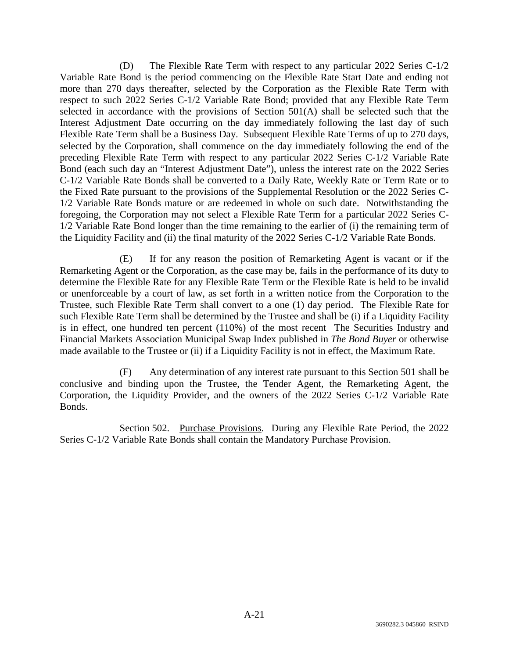(D) The Flexible Rate Term with respect to any particular 2022 Series C-1/2 Variable Rate Bond is the period commencing on the Flexible Rate Start Date and ending not more than 270 days thereafter, selected by the Corporation as the Flexible Rate Term with respect to such 2022 Series C-1/2 Variable Rate Bond; provided that any Flexible Rate Term selected in accordance with the provisions of Section 501(A) shall be selected such that the Interest Adjustment Date occurring on the day immediately following the last day of such Flexible Rate Term shall be a Business Day. Subsequent Flexible Rate Terms of up to 270 days, selected by the Corporation, shall commence on the day immediately following the end of the preceding Flexible Rate Term with respect to any particular 2022 Series C-1/2 Variable Rate Bond (each such day an "Interest Adjustment Date"), unless the interest rate on the 2022 Series C-1/2 Variable Rate Bonds shall be converted to a Daily Rate, Weekly Rate or Term Rate or to the Fixed Rate pursuant to the provisions of the Supplemental Resolution or the 2022 Series C-1/2 Variable Rate Bonds mature or are redeemed in whole on such date. Notwithstanding the foregoing, the Corporation may not select a Flexible Rate Term for a particular 2022 Series C-1/2 Variable Rate Bond longer than the time remaining to the earlier of (i) the remaining term of the Liquidity Facility and (ii) the final maturity of the 2022 Series C-1/2 Variable Rate Bonds.

(E) If for any reason the position of Remarketing Agent is vacant or if the Remarketing Agent or the Corporation, as the case may be, fails in the performance of its duty to determine the Flexible Rate for any Flexible Rate Term or the Flexible Rate is held to be invalid or unenforceable by a court of law, as set forth in a written notice from the Corporation to the Trustee, such Flexible Rate Term shall convert to a one (1) day period. The Flexible Rate for such Flexible Rate Term shall be determined by the Trustee and shall be (i) if a Liquidity Facility is in effect, one hundred ten percent (110%) of the most recent The Securities Industry and Financial Markets Association Municipal Swap Index published in *The Bond Buyer* or otherwise made available to the Trustee or (ii) if a Liquidity Facility is not in effect, the Maximum Rate.

(F) Any determination of any interest rate pursuant to this Section 501 shall be conclusive and binding upon the Trustee, the Tender Agent, the Remarketing Agent, the Corporation, the Liquidity Provider, and the owners of the 2022 Series C-1/2 Variable Rate Bonds.

Section 502. Purchase Provisions. During any Flexible Rate Period, the 2022 Series C-1/2 Variable Rate Bonds shall contain the Mandatory Purchase Provision.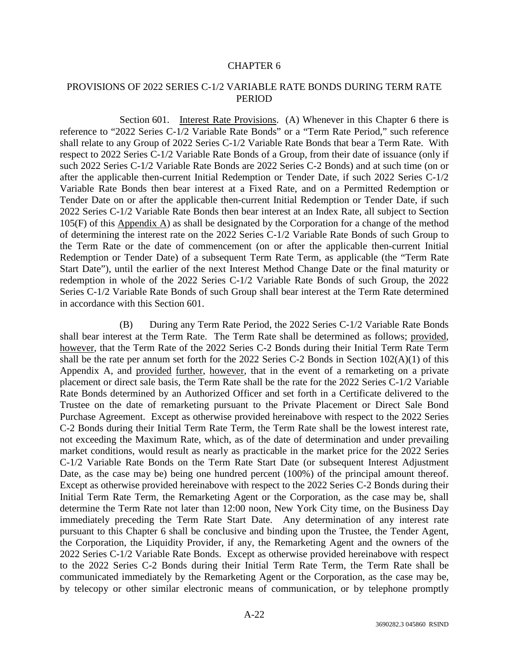## PROVISIONS OF 2022 SERIES C-1/2 VARIABLE RATE BONDS DURING TERM RATE **PERIOD**

Section 601. Interest Rate Provisions. (A) Whenever in this Chapter 6 there is reference to "2022 Series C-1/2 Variable Rate Bonds" or a "Term Rate Period," such reference shall relate to any Group of 2022 Series C-1/2 Variable Rate Bonds that bear a Term Rate. With respect to 2022 Series C-1/2 Variable Rate Bonds of a Group, from their date of issuance (only if such 2022 Series C-1/2 Variable Rate Bonds are 2022 Series C-2 Bonds) and at such time (on or after the applicable then-current Initial Redemption or Tender Date, if such 2022 Series C-1/2 Variable Rate Bonds then bear interest at a Fixed Rate, and on a Permitted Redemption or Tender Date on or after the applicable then-current Initial Redemption or Tender Date, if such 2022 Series C-1/2 Variable Rate Bonds then bear interest at an Index Rate, all subject to Section 105(F) of this Appendix A) as shall be designated by the Corporation for a change of the method of determining the interest rate on the 2022 Series C-1/2 Variable Rate Bonds of such Group to the Term Rate or the date of commencement (on or after the applicable then-current Initial Redemption or Tender Date) of a subsequent Term Rate Term, as applicable (the "Term Rate Start Date"), until the earlier of the next Interest Method Change Date or the final maturity or redemption in whole of the 2022 Series C-1/2 Variable Rate Bonds of such Group, the 2022 Series C-1/2 Variable Rate Bonds of such Group shall bear interest at the Term Rate determined in accordance with this Section 601.

(B) During any Term Rate Period, the 2022 Series C-1/2 Variable Rate Bonds shall bear interest at the Term Rate. The Term Rate shall be determined as follows; provided, however, that the Term Rate of the 2022 Series C-2 Bonds during their Initial Term Rate Term shall be the rate per annum set forth for the 2022 Series C-2 Bonds in Section 102(A)(1) of this Appendix A, and provided further, however, that in the event of a remarketing on a private placement or direct sale basis, the Term Rate shall be the rate for the 2022 Series C-1/2 Variable Rate Bonds determined by an Authorized Officer and set forth in a Certificate delivered to the Trustee on the date of remarketing pursuant to the Private Placement or Direct Sale Bond Purchase Agreement. Except as otherwise provided hereinabove with respect to the 2022 Series C-2 Bonds during their Initial Term Rate Term, the Term Rate shall be the lowest interest rate, not exceeding the Maximum Rate, which, as of the date of determination and under prevailing market conditions, would result as nearly as practicable in the market price for the 2022 Series C-1/2 Variable Rate Bonds on the Term Rate Start Date (or subsequent Interest Adjustment Date, as the case may be) being one hundred percent (100%) of the principal amount thereof. Except as otherwise provided hereinabove with respect to the 2022 Series C-2 Bonds during their Initial Term Rate Term, the Remarketing Agent or the Corporation, as the case may be, shall determine the Term Rate not later than 12:00 noon, New York City time, on the Business Day immediately preceding the Term Rate Start Date. Any determination of any interest rate pursuant to this Chapter 6 shall be conclusive and binding upon the Trustee, the Tender Agent, the Corporation, the Liquidity Provider, if any, the Remarketing Agent and the owners of the 2022 Series C-1/2 Variable Rate Bonds. Except as otherwise provided hereinabove with respect to the 2022 Series C-2 Bonds during their Initial Term Rate Term, the Term Rate shall be communicated immediately by the Remarketing Agent or the Corporation, as the case may be, by telecopy or other similar electronic means of communication, or by telephone promptly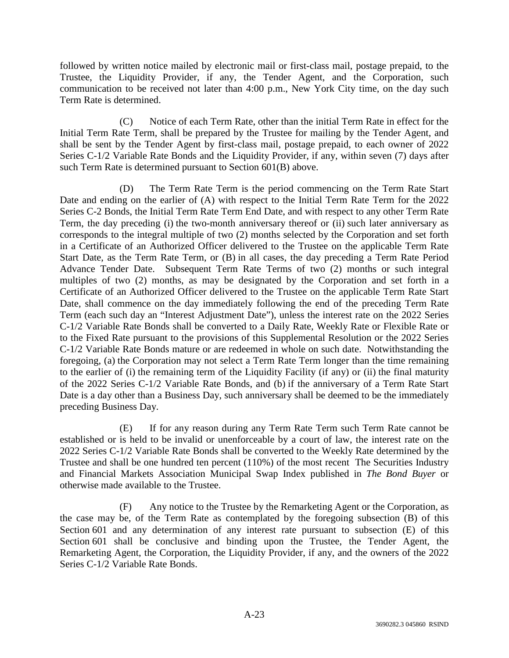followed by written notice mailed by electronic mail or first-class mail, postage prepaid, to the Trustee, the Liquidity Provider, if any, the Tender Agent, and the Corporation, such communication to be received not later than 4:00 p.m., New York City time, on the day such Term Rate is determined.

(C) Notice of each Term Rate, other than the initial Term Rate in effect for the Initial Term Rate Term, shall be prepared by the Trustee for mailing by the Tender Agent, and shall be sent by the Tender Agent by first-class mail, postage prepaid, to each owner of 2022 Series C-1/2 Variable Rate Bonds and the Liquidity Provider, if any, within seven (7) days after such Term Rate is determined pursuant to Section 601(B) above.

(D) The Term Rate Term is the period commencing on the Term Rate Start Date and ending on the earlier of (A) with respect to the Initial Term Rate Term for the 2022 Series C-2 Bonds, the Initial Term Rate Term End Date, and with respect to any other Term Rate Term, the day preceding (i) the two-month anniversary thereof or (ii) such later anniversary as corresponds to the integral multiple of two (2) months selected by the Corporation and set forth in a Certificate of an Authorized Officer delivered to the Trustee on the applicable Term Rate Start Date, as the Term Rate Term, or (B) in all cases, the day preceding a Term Rate Period Advance Tender Date. Subsequent Term Rate Terms of two (2) months or such integral multiples of two (2) months, as may be designated by the Corporation and set forth in a Certificate of an Authorized Officer delivered to the Trustee on the applicable Term Rate Start Date, shall commence on the day immediately following the end of the preceding Term Rate Term (each such day an "Interest Adjustment Date"), unless the interest rate on the 2022 Series C-1/2 Variable Rate Bonds shall be converted to a Daily Rate, Weekly Rate or Flexible Rate or to the Fixed Rate pursuant to the provisions of this Supplemental Resolution or the 2022 Series C-1/2 Variable Rate Bonds mature or are redeemed in whole on such date. Notwithstanding the foregoing, (a) the Corporation may not select a Term Rate Term longer than the time remaining to the earlier of (i) the remaining term of the Liquidity Facility (if any) or (ii) the final maturity of the 2022 Series C-1/2 Variable Rate Bonds, and (b) if the anniversary of a Term Rate Start Date is a day other than a Business Day, such anniversary shall be deemed to be the immediately preceding Business Day.

(E) If for any reason during any Term Rate Term such Term Rate cannot be established or is held to be invalid or unenforceable by a court of law, the interest rate on the 2022 Series C-1/2 Variable Rate Bonds shall be converted to the Weekly Rate determined by the Trustee and shall be one hundred ten percent (110%) of the most recent The Securities Industry and Financial Markets Association Municipal Swap Index published in *The Bond Buyer* or otherwise made available to the Trustee.

(F) Any notice to the Trustee by the Remarketing Agent or the Corporation, as the case may be, of the Term Rate as contemplated by the foregoing subsection (B) of this Section 601 and any determination of any interest rate pursuant to subsection (E) of this Section 601 shall be conclusive and binding upon the Trustee, the Tender Agent, the Remarketing Agent, the Corporation, the Liquidity Provider, if any, and the owners of the 2022 Series C-1/2 Variable Rate Bonds.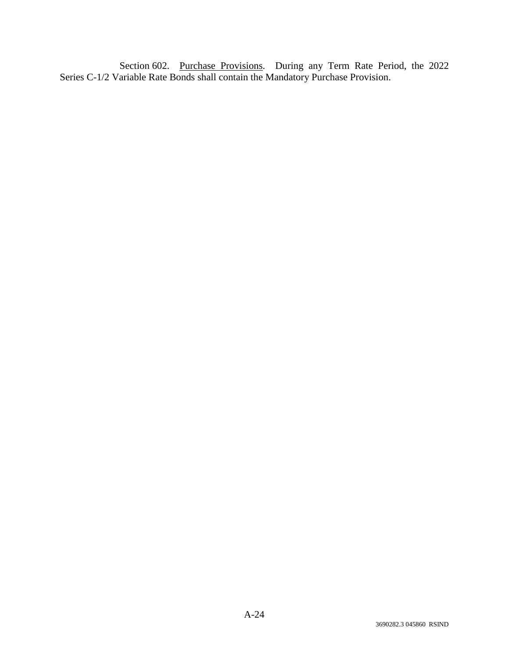Section 602. Purchase Provisions. During any Term Rate Period, the 2022 Series C-1/2 Variable Rate Bonds shall contain the Mandatory Purchase Provision.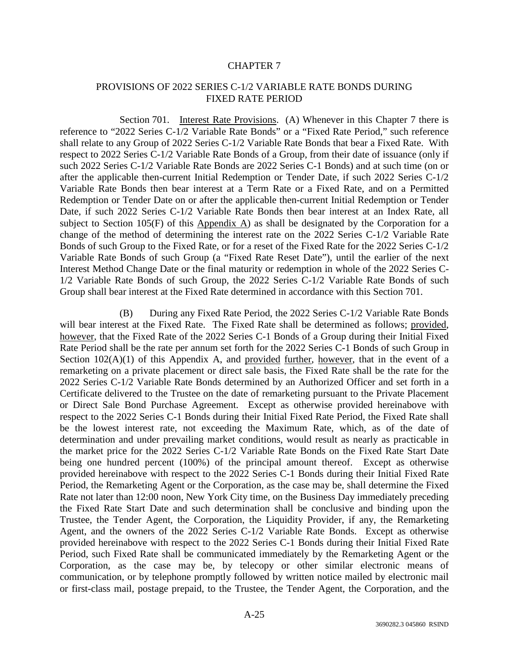## PROVISIONS OF 2022 SERIES C-1/2 VARIABLE RATE BONDS DURING FIXED RATE PERIOD

Section 701. Interest Rate Provisions. (A) Whenever in this Chapter 7 there is reference to "2022 Series C-1/2 Variable Rate Bonds" or a "Fixed Rate Period," such reference shall relate to any Group of 2022 Series C-1/2 Variable Rate Bonds that bear a Fixed Rate. With respect to 2022 Series C-1/2 Variable Rate Bonds of a Group, from their date of issuance (only if such 2022 Series C-1/2 Variable Rate Bonds are 2022 Series C-1 Bonds) and at such time (on or after the applicable then-current Initial Redemption or Tender Date, if such 2022 Series C-1/2 Variable Rate Bonds then bear interest at a Term Rate or a Fixed Rate, and on a Permitted Redemption or Tender Date on or after the applicable then-current Initial Redemption or Tender Date, if such 2022 Series C-1/2 Variable Rate Bonds then bear interest at an Index Rate, all subject to Section 105(F) of this Appendix A) as shall be designated by the Corporation for a change of the method of determining the interest rate on the 2022 Series C-1/2 Variable Rate Bonds of such Group to the Fixed Rate, or for a reset of the Fixed Rate for the 2022 Series C-1/2 Variable Rate Bonds of such Group (a "Fixed Rate Reset Date"), until the earlier of the next Interest Method Change Date or the final maturity or redemption in whole of the 2022 Series C-1/2 Variable Rate Bonds of such Group, the 2022 Series C-1/2 Variable Rate Bonds of such Group shall bear interest at the Fixed Rate determined in accordance with this Section 701.

(B) During any Fixed Rate Period, the 2022 Series C-1/2 Variable Rate Bonds will bear interest at the Fixed Rate. The Fixed Rate shall be determined as follows; provided, however, that the Fixed Rate of the 2022 Series C-1 Bonds of a Group during their Initial Fixed Rate Period shall be the rate per annum set forth for the 2022 Series C-1 Bonds of such Group in Section  $102(A)(1)$  of this Appendix A, and provided further, however, that in the event of a remarketing on a private placement or direct sale basis, the Fixed Rate shall be the rate for the 2022 Series C-1/2 Variable Rate Bonds determined by an Authorized Officer and set forth in a Certificate delivered to the Trustee on the date of remarketing pursuant to the Private Placement or Direct Sale Bond Purchase Agreement. Except as otherwise provided hereinabove with respect to the 2022 Series C-1 Bonds during their Initial Fixed Rate Period, the Fixed Rate shall be the lowest interest rate, not exceeding the Maximum Rate, which, as of the date of determination and under prevailing market conditions, would result as nearly as practicable in the market price for the 2022 Series C-1/2 Variable Rate Bonds on the Fixed Rate Start Date being one hundred percent (100%) of the principal amount thereof. Except as otherwise provided hereinabove with respect to the 2022 Series C-1 Bonds during their Initial Fixed Rate Period, the Remarketing Agent or the Corporation, as the case may be, shall determine the Fixed Rate not later than 12:00 noon, New York City time, on the Business Day immediately preceding the Fixed Rate Start Date and such determination shall be conclusive and binding upon the Trustee, the Tender Agent, the Corporation, the Liquidity Provider, if any, the Remarketing Agent, and the owners of the 2022 Series C-1/2 Variable Rate Bonds. Except as otherwise provided hereinabove with respect to the 2022 Series C-1 Bonds during their Initial Fixed Rate Period, such Fixed Rate shall be communicated immediately by the Remarketing Agent or the Corporation, as the case may be, by telecopy or other similar electronic means of communication, or by telephone promptly followed by written notice mailed by electronic mail or first-class mail, postage prepaid, to the Trustee, the Tender Agent, the Corporation, and the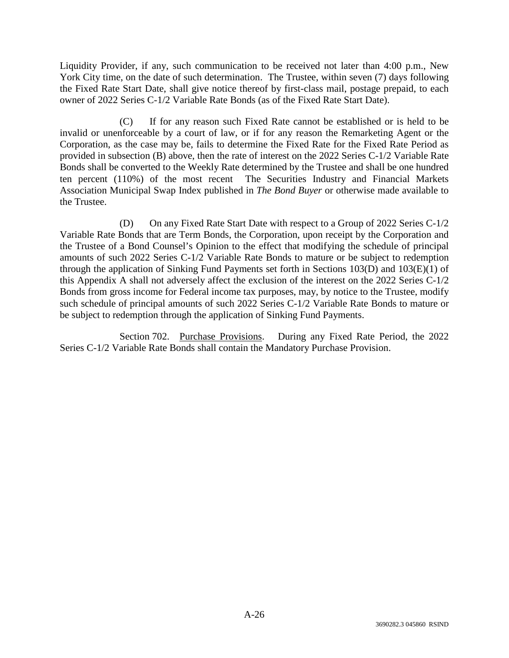Liquidity Provider, if any, such communication to be received not later than 4:00 p.m., New York City time, on the date of such determination. The Trustee, within seven (7) days following the Fixed Rate Start Date, shall give notice thereof by first-class mail, postage prepaid, to each owner of 2022 Series C-1/2 Variable Rate Bonds (as of the Fixed Rate Start Date).

(C) If for any reason such Fixed Rate cannot be established or is held to be invalid or unenforceable by a court of law, or if for any reason the Remarketing Agent or the Corporation, as the case may be, fails to determine the Fixed Rate for the Fixed Rate Period as provided in subsection (B) above, then the rate of interest on the 2022 Series C-1/2 Variable Rate Bonds shall be converted to the Weekly Rate determined by the Trustee and shall be one hundred ten percent (110%) of the most recent The Securities Industry and Financial Markets Association Municipal Swap Index published in *The Bond Buyer* or otherwise made available to the Trustee.

(D) On any Fixed Rate Start Date with respect to a Group of 2022 Series C-1/2 Variable Rate Bonds that are Term Bonds, the Corporation, upon receipt by the Corporation and the Trustee of a Bond Counsel's Opinion to the effect that modifying the schedule of principal amounts of such 2022 Series C-1/2 Variable Rate Bonds to mature or be subject to redemption through the application of Sinking Fund Payments set forth in Sections 103(D) and 103(E)(1) of this Appendix A shall not adversely affect the exclusion of the interest on the 2022 Series C-1/2 Bonds from gross income for Federal income tax purposes, may, by notice to the Trustee, modify such schedule of principal amounts of such 2022 Series C-1/2 Variable Rate Bonds to mature or be subject to redemption through the application of Sinking Fund Payments.

Section 702. Purchase Provisions. During any Fixed Rate Period, the 2022 Series C-1/2 Variable Rate Bonds shall contain the Mandatory Purchase Provision.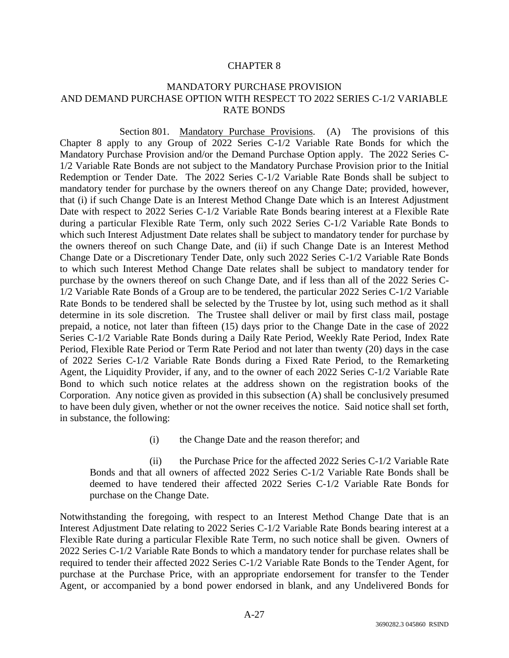# MANDATORY PURCHASE PROVISION AND DEMAND PURCHASE OPTION WITH RESPECT TO 2022 SERIES C-1/2 VARIABLE RATE BONDS

Section 801. Mandatory Purchase Provisions. (A) The provisions of this Chapter 8 apply to any Group of 2022 Series C-1/2 Variable Rate Bonds for which the Mandatory Purchase Provision and/or the Demand Purchase Option apply. The 2022 Series C-1/2 Variable Rate Bonds are not subject to the Mandatory Purchase Provision prior to the Initial Redemption or Tender Date. The 2022 Series C-1/2 Variable Rate Bonds shall be subject to mandatory tender for purchase by the owners thereof on any Change Date; provided, however, that (i) if such Change Date is an Interest Method Change Date which is an Interest Adjustment Date with respect to 2022 Series C-1/2 Variable Rate Bonds bearing interest at a Flexible Rate during a particular Flexible Rate Term, only such 2022 Series C-1/2 Variable Rate Bonds to which such Interest Adjustment Date relates shall be subject to mandatory tender for purchase by the owners thereof on such Change Date, and (ii) if such Change Date is an Interest Method Change Date or a Discretionary Tender Date, only such 2022 Series C-1/2 Variable Rate Bonds to which such Interest Method Change Date relates shall be subject to mandatory tender for purchase by the owners thereof on such Change Date, and if less than all of the 2022 Series C-1/2 Variable Rate Bonds of a Group are to be tendered, the particular 2022 Series C-1/2 Variable Rate Bonds to be tendered shall be selected by the Trustee by lot, using such method as it shall determine in its sole discretion. The Trustee shall deliver or mail by first class mail, postage prepaid, a notice, not later than fifteen (15) days prior to the Change Date in the case of 2022 Series C-1/2 Variable Rate Bonds during a Daily Rate Period, Weekly Rate Period, Index Rate Period, Flexible Rate Period or Term Rate Period and not later than twenty (20) days in the case of 2022 Series C-1/2 Variable Rate Bonds during a Fixed Rate Period, to the Remarketing Agent, the Liquidity Provider, if any, and to the owner of each 2022 Series C-1/2 Variable Rate Bond to which such notice relates at the address shown on the registration books of the Corporation. Any notice given as provided in this subsection (A) shall be conclusively presumed to have been duly given, whether or not the owner receives the notice. Said notice shall set forth, in substance, the following:

(i) the Change Date and the reason therefor; and

(ii) the Purchase Price for the affected 2022 Series C-1/2 Variable Rate Bonds and that all owners of affected 2022 Series C-1/2 Variable Rate Bonds shall be deemed to have tendered their affected 2022 Series C-1/2 Variable Rate Bonds for purchase on the Change Date.

Notwithstanding the foregoing, with respect to an Interest Method Change Date that is an Interest Adjustment Date relating to 2022 Series C-1/2 Variable Rate Bonds bearing interest at a Flexible Rate during a particular Flexible Rate Term, no such notice shall be given. Owners of 2022 Series C-1/2 Variable Rate Bonds to which a mandatory tender for purchase relates shall be required to tender their affected 2022 Series C-1/2 Variable Rate Bonds to the Tender Agent, for purchase at the Purchase Price, with an appropriate endorsement for transfer to the Tender Agent, or accompanied by a bond power endorsed in blank, and any Undelivered Bonds for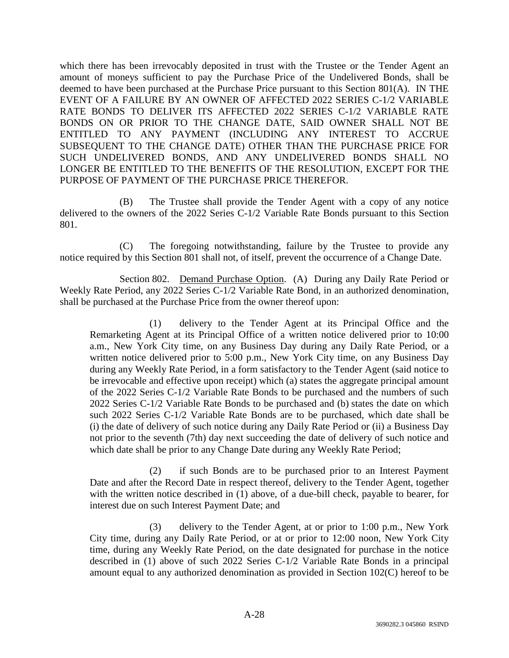which there has been irrevocably deposited in trust with the Trustee or the Tender Agent an amount of moneys sufficient to pay the Purchase Price of the Undelivered Bonds, shall be deemed to have been purchased at the Purchase Price pursuant to this Section 801(A). IN THE EVENT OF A FAILURE BY AN OWNER OF AFFECTED 2022 SERIES C-1/2 VARIABLE RATE BONDS TO DELIVER ITS AFFECTED 2022 SERIES C-1/2 VARIABLE RATE BONDS ON OR PRIOR TO THE CHANGE DATE, SAID OWNER SHALL NOT BE ENTITLED TO ANY PAYMENT (INCLUDING ANY INTEREST TO ACCRUE SUBSEQUENT TO THE CHANGE DATE) OTHER THAN THE PURCHASE PRICE FOR SUCH UNDELIVERED BONDS, AND ANY UNDELIVERED BONDS SHALL NO LONGER BE ENTITLED TO THE BENEFITS OF THE RESOLUTION, EXCEPT FOR THE PURPOSE OF PAYMENT OF THE PURCHASE PRICE THEREFOR.

(B) The Trustee shall provide the Tender Agent with a copy of any notice delivered to the owners of the 2022 Series C-1/2 Variable Rate Bonds pursuant to this Section 801.

(C) The foregoing notwithstanding, failure by the Trustee to provide any notice required by this Section 801 shall not, of itself, prevent the occurrence of a Change Date.

Section 802. Demand Purchase Option. (A) During any Daily Rate Period or Weekly Rate Period, any 2022 Series C-1/2 Variable Rate Bond, in an authorized denomination, shall be purchased at the Purchase Price from the owner thereof upon:

(1) delivery to the Tender Agent at its Principal Office and the Remarketing Agent at its Principal Office of a written notice delivered prior to 10:00 a.m., New York City time, on any Business Day during any Daily Rate Period, or a written notice delivered prior to 5:00 p.m., New York City time, on any Business Day during any Weekly Rate Period, in a form satisfactory to the Tender Agent (said notice to be irrevocable and effective upon receipt) which (a) states the aggregate principal amount of the 2022 Series C-1/2 Variable Rate Bonds to be purchased and the numbers of such 2022 Series C-1/2 Variable Rate Bonds to be purchased and (b) states the date on which such 2022 Series C-1/2 Variable Rate Bonds are to be purchased, which date shall be (i) the date of delivery of such notice during any Daily Rate Period or (ii) a Business Day not prior to the seventh (7th) day next succeeding the date of delivery of such notice and which date shall be prior to any Change Date during any Weekly Rate Period;

(2) if such Bonds are to be purchased prior to an Interest Payment Date and after the Record Date in respect thereof, delivery to the Tender Agent, together with the written notice described in (1) above, of a due-bill check, payable to bearer, for interest due on such Interest Payment Date; and

(3) delivery to the Tender Agent, at or prior to 1:00 p.m., New York City time, during any Daily Rate Period, or at or prior to 12:00 noon, New York City time, during any Weekly Rate Period, on the date designated for purchase in the notice described in (1) above of such 2022 Series C-1/2 Variable Rate Bonds in a principal amount equal to any authorized denomination as provided in Section 102(C) hereof to be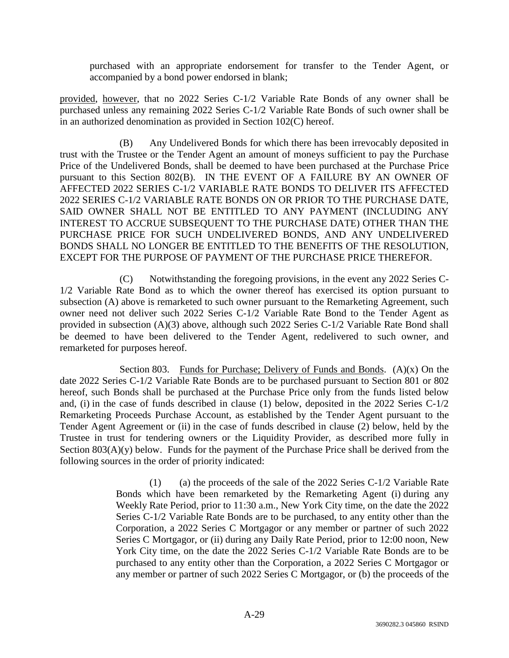purchased with an appropriate endorsement for transfer to the Tender Agent, or accompanied by a bond power endorsed in blank;

provided, however, that no 2022 Series C-1/2 Variable Rate Bonds of any owner shall be purchased unless any remaining 2022 Series C-1/2 Variable Rate Bonds of such owner shall be in an authorized denomination as provided in Section 102(C) hereof.

(B) Any Undelivered Bonds for which there has been irrevocably deposited in trust with the Trustee or the Tender Agent an amount of moneys sufficient to pay the Purchase Price of the Undelivered Bonds, shall be deemed to have been purchased at the Purchase Price pursuant to this Section 802(B). IN THE EVENT OF A FAILURE BY AN OWNER OF AFFECTED 2022 SERIES C-1/2 VARIABLE RATE BONDS TO DELIVER ITS AFFECTED 2022 SERIES C-1/2 VARIABLE RATE BONDS ON OR PRIOR TO THE PURCHASE DATE, SAID OWNER SHALL NOT BE ENTITLED TO ANY PAYMENT (INCLUDING ANY INTEREST TO ACCRUE SUBSEQUENT TO THE PURCHASE DATE) OTHER THAN THE PURCHASE PRICE FOR SUCH UNDELIVERED BONDS, AND ANY UNDELIVERED BONDS SHALL NO LONGER BE ENTITLED TO THE BENEFITS OF THE RESOLUTION, EXCEPT FOR THE PURPOSE OF PAYMENT OF THE PURCHASE PRICE THEREFOR.

(C) Notwithstanding the foregoing provisions, in the event any 2022 Series C-1/2 Variable Rate Bond as to which the owner thereof has exercised its option pursuant to subsection (A) above is remarketed to such owner pursuant to the Remarketing Agreement, such owner need not deliver such 2022 Series C-1/2 Variable Rate Bond to the Tender Agent as provided in subsection (A)(3) above, although such 2022 Series C-1/2 Variable Rate Bond shall be deemed to have been delivered to the Tender Agent, redelivered to such owner, and remarketed for purposes hereof.

Section 803. Funds for Purchase; Delivery of Funds and Bonds.  $(A)(x)$  On the date 2022 Series C-1/2 Variable Rate Bonds are to be purchased pursuant to Section 801 or 802 hereof, such Bonds shall be purchased at the Purchase Price only from the funds listed below and, (i) in the case of funds described in clause (1) below, deposited in the 2022 Series C-1/2 Remarketing Proceeds Purchase Account, as established by the Tender Agent pursuant to the Tender Agent Agreement or (ii) in the case of funds described in clause (2) below, held by the Trustee in trust for tendering owners or the Liquidity Provider, as described more fully in Section  $803(A)(y)$  below. Funds for the payment of the Purchase Price shall be derived from the following sources in the order of priority indicated:

> (1) (a) the proceeds of the sale of the 2022 Series C-1/2 Variable Rate Bonds which have been remarketed by the Remarketing Agent (i) during any Weekly Rate Period, prior to 11:30 a.m., New York City time, on the date the 2022 Series C-1/2 Variable Rate Bonds are to be purchased, to any entity other than the Corporation, a 2022 Series C Mortgagor or any member or partner of such 2022 Series C Mortgagor, or (ii) during any Daily Rate Period, prior to 12:00 noon, New York City time, on the date the 2022 Series C-1/2 Variable Rate Bonds are to be purchased to any entity other than the Corporation, a 2022 Series C Mortgagor or any member or partner of such 2022 Series C Mortgagor, or (b) the proceeds of the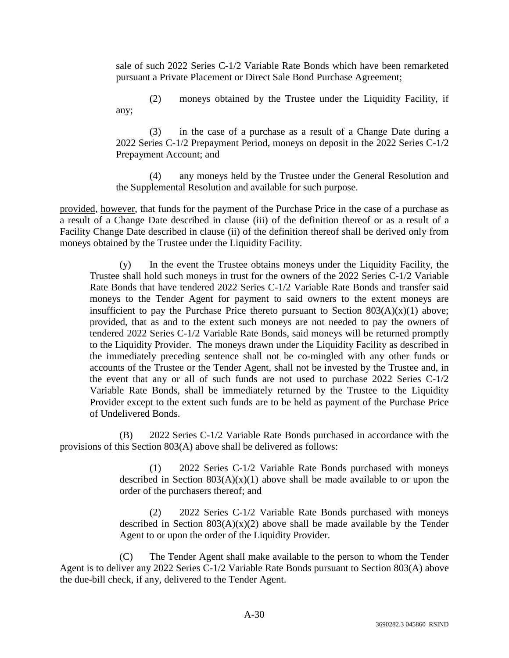sale of such 2022 Series C-1/2 Variable Rate Bonds which have been remarketed pursuant a Private Placement or Direct Sale Bond Purchase Agreement;

(2) moneys obtained by the Trustee under the Liquidity Facility, if any;

(3) in the case of a purchase as a result of a Change Date during a 2022 Series C-1/2 Prepayment Period, moneys on deposit in the 2022 Series C-1/2 Prepayment Account; and

(4) any moneys held by the Trustee under the General Resolution and the Supplemental Resolution and available for such purpose.

provided, however, that funds for the payment of the Purchase Price in the case of a purchase as a result of a Change Date described in clause (iii) of the definition thereof or as a result of a Facility Change Date described in clause (ii) of the definition thereof shall be derived only from moneys obtained by the Trustee under the Liquidity Facility.

(y) In the event the Trustee obtains moneys under the Liquidity Facility, the Trustee shall hold such moneys in trust for the owners of the 2022 Series C-1/2 Variable Rate Bonds that have tendered 2022 Series C-1/2 Variable Rate Bonds and transfer said moneys to the Tender Agent for payment to said owners to the extent moneys are insufficient to pay the Purchase Price thereto pursuant to Section  $803(A)(x)(1)$  above; provided, that as and to the extent such moneys are not needed to pay the owners of tendered 2022 Series C-1/2 Variable Rate Bonds, said moneys will be returned promptly to the Liquidity Provider. The moneys drawn under the Liquidity Facility as described in the immediately preceding sentence shall not be co-mingled with any other funds or accounts of the Trustee or the Tender Agent, shall not be invested by the Trustee and, in the event that any or all of such funds are not used to purchase 2022 Series C-1/2 Variable Rate Bonds, shall be immediately returned by the Trustee to the Liquidity Provider except to the extent such funds are to be held as payment of the Purchase Price of Undelivered Bonds.

(B) 2022 Series C-1/2 Variable Rate Bonds purchased in accordance with the provisions of this Section 803(A) above shall be delivered as follows:

> (1) 2022 Series C-1/2 Variable Rate Bonds purchased with moneys described in Section  $803(A)(x)(1)$  above shall be made available to or upon the order of the purchasers thereof; and

> (2) 2022 Series C-1/2 Variable Rate Bonds purchased with moneys described in Section  $803(A)(x)(2)$  above shall be made available by the Tender Agent to or upon the order of the Liquidity Provider.

(C) The Tender Agent shall make available to the person to whom the Tender Agent is to deliver any 2022 Series C-1/2 Variable Rate Bonds pursuant to Section 803(A) above the due-bill check, if any, delivered to the Tender Agent.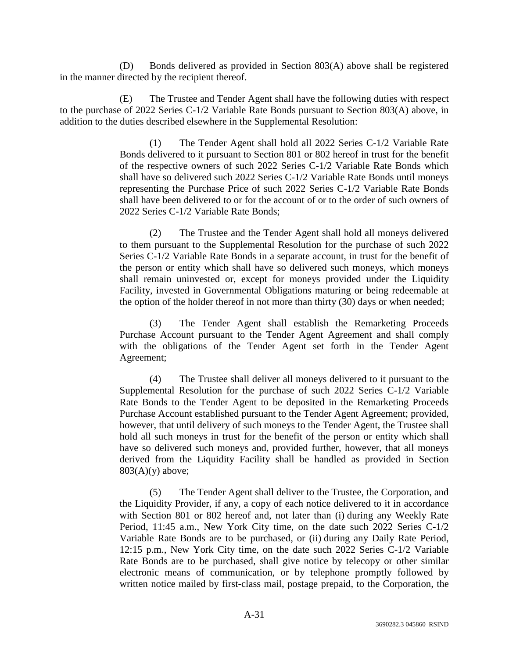(D) Bonds delivered as provided in Section 803(A) above shall be registered in the manner directed by the recipient thereof.

(E) The Trustee and Tender Agent shall have the following duties with respect to the purchase of 2022 Series C-1/2 Variable Rate Bonds pursuant to Section 803(A) above, in addition to the duties described elsewhere in the Supplemental Resolution:

> (1) The Tender Agent shall hold all 2022 Series C-1/2 Variable Rate Bonds delivered to it pursuant to Section 801 or 802 hereof in trust for the benefit of the respective owners of such 2022 Series C-1/2 Variable Rate Bonds which shall have so delivered such 2022 Series C-1/2 Variable Rate Bonds until moneys representing the Purchase Price of such 2022 Series C-1/2 Variable Rate Bonds shall have been delivered to or for the account of or to the order of such owners of 2022 Series C-1/2 Variable Rate Bonds;

> (2) The Trustee and the Tender Agent shall hold all moneys delivered to them pursuant to the Supplemental Resolution for the purchase of such 2022 Series C-1/2 Variable Rate Bonds in a separate account, in trust for the benefit of the person or entity which shall have so delivered such moneys, which moneys shall remain uninvested or, except for moneys provided under the Liquidity Facility, invested in Governmental Obligations maturing or being redeemable at the option of the holder thereof in not more than thirty (30) days or when needed;

> (3) The Tender Agent shall establish the Remarketing Proceeds Purchase Account pursuant to the Tender Agent Agreement and shall comply with the obligations of the Tender Agent set forth in the Tender Agent Agreement;

> (4) The Trustee shall deliver all moneys delivered to it pursuant to the Supplemental Resolution for the purchase of such 2022 Series C-1/2 Variable Rate Bonds to the Tender Agent to be deposited in the Remarketing Proceeds Purchase Account established pursuant to the Tender Agent Agreement; provided, however, that until delivery of such moneys to the Tender Agent, the Trustee shall hold all such moneys in trust for the benefit of the person or entity which shall have so delivered such moneys and, provided further, however, that all moneys derived from the Liquidity Facility shall be handled as provided in Section  $803(A)(y)$  above;

> (5) The Tender Agent shall deliver to the Trustee, the Corporation, and the Liquidity Provider, if any, a copy of each notice delivered to it in accordance with Section 801 or 802 hereof and, not later than (i) during any Weekly Rate Period, 11:45 a.m., New York City time, on the date such 2022 Series C-1/2 Variable Rate Bonds are to be purchased, or (ii) during any Daily Rate Period, 12:15 p.m., New York City time, on the date such 2022 Series C-1/2 Variable Rate Bonds are to be purchased, shall give notice by telecopy or other similar electronic means of communication, or by telephone promptly followed by written notice mailed by first-class mail, postage prepaid, to the Corporation, the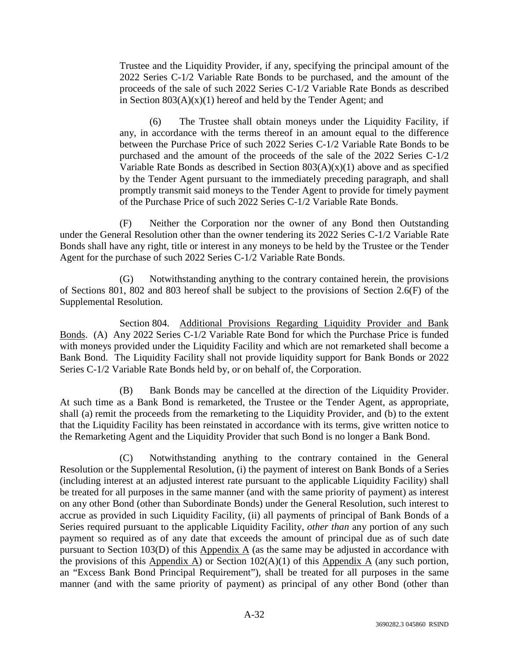Trustee and the Liquidity Provider, if any, specifying the principal amount of the 2022 Series C-1/2 Variable Rate Bonds to be purchased, and the amount of the proceeds of the sale of such 2022 Series C-1/2 Variable Rate Bonds as described in Section  $803(A)(x)(1)$  hereof and held by the Tender Agent; and

(6) The Trustee shall obtain moneys under the Liquidity Facility, if any, in accordance with the terms thereof in an amount equal to the difference between the Purchase Price of such 2022 Series C-1/2 Variable Rate Bonds to be purchased and the amount of the proceeds of the sale of the 2022 Series C-1/2 Variable Rate Bonds as described in Section  $803(A)(x)(1)$  above and as specified by the Tender Agent pursuant to the immediately preceding paragraph, and shall promptly transmit said moneys to the Tender Agent to provide for timely payment of the Purchase Price of such 2022 Series C-1/2 Variable Rate Bonds.

(F) Neither the Corporation nor the owner of any Bond then Outstanding under the General Resolution other than the owner tendering its 2022 Series C-1/2 Variable Rate Bonds shall have any right, title or interest in any moneys to be held by the Trustee or the Tender Agent for the purchase of such 2022 Series C-1/2 Variable Rate Bonds.

(G) Notwithstanding anything to the contrary contained herein, the provisions of Sections 801, 802 and 803 hereof shall be subject to the provisions of Section 2.6(F) of the Supplemental Resolution.

Section 804. Additional Provisions Regarding Liquidity Provider and Bank Bonds. (A) Any 2022 Series C-1/2 Variable Rate Bond for which the Purchase Price is funded with moneys provided under the Liquidity Facility and which are not remarketed shall become a Bank Bond. The Liquidity Facility shall not provide liquidity support for Bank Bonds or 2022 Series C-1/2 Variable Rate Bonds held by, or on behalf of, the Corporation.

(B) Bank Bonds may be cancelled at the direction of the Liquidity Provider. At such time as a Bank Bond is remarketed, the Trustee or the Tender Agent, as appropriate, shall (a) remit the proceeds from the remarketing to the Liquidity Provider, and (b) to the extent that the Liquidity Facility has been reinstated in accordance with its terms, give written notice to the Remarketing Agent and the Liquidity Provider that such Bond is no longer a Bank Bond.

(C) Notwithstanding anything to the contrary contained in the General Resolution or the Supplemental Resolution, (i) the payment of interest on Bank Bonds of a Series (including interest at an adjusted interest rate pursuant to the applicable Liquidity Facility) shall be treated for all purposes in the same manner (and with the same priority of payment) as interest on any other Bond (other than Subordinate Bonds) under the General Resolution, such interest to accrue as provided in such Liquidity Facility, (ii) all payments of principal of Bank Bonds of a Series required pursuant to the applicable Liquidity Facility, *other than* any portion of any such payment so required as of any date that exceeds the amount of principal due as of such date pursuant to Section 103(D) of this Appendix A (as the same may be adjusted in accordance with the provisions of this Appendix A) or Section  $102(A)(1)$  of this Appendix A (any such portion, an "Excess Bank Bond Principal Requirement"), shall be treated for all purposes in the same manner (and with the same priority of payment) as principal of any other Bond (other than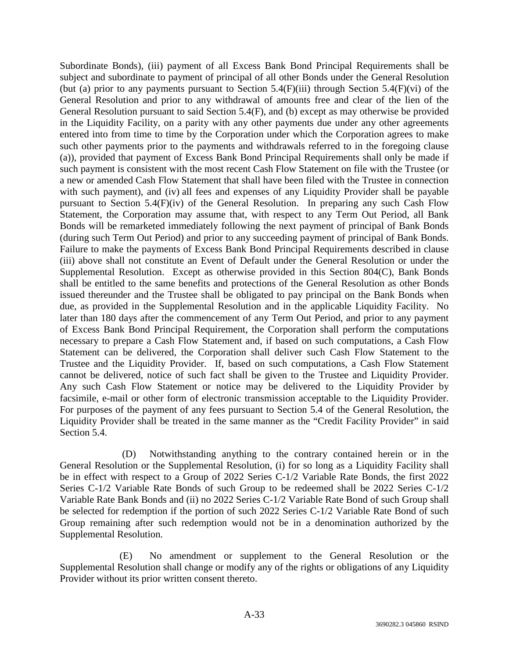Subordinate Bonds), (iii) payment of all Excess Bank Bond Principal Requirements shall be subject and subordinate to payment of principal of all other Bonds under the General Resolution (but (a) prior to any payments pursuant to Section  $5.4(F)$ (iii) through Section  $5.4(F)$ (vi) of the General Resolution and prior to any withdrawal of amounts free and clear of the lien of the General Resolution pursuant to said Section 5.4(F), and (b) except as may otherwise be provided in the Liquidity Facility, on a parity with any other payments due under any other agreements entered into from time to time by the Corporation under which the Corporation agrees to make such other payments prior to the payments and withdrawals referred to in the foregoing clause (a)), provided that payment of Excess Bank Bond Principal Requirements shall only be made if such payment is consistent with the most recent Cash Flow Statement on file with the Trustee (or a new or amended Cash Flow Statement that shall have been filed with the Trustee in connection with such payment), and (iv) all fees and expenses of any Liquidity Provider shall be payable pursuant to Section 5.4(F)(iv) of the General Resolution. In preparing any such Cash Flow Statement, the Corporation may assume that, with respect to any Term Out Period, all Bank Bonds will be remarketed immediately following the next payment of principal of Bank Bonds (during such Term Out Period) and prior to any succeeding payment of principal of Bank Bonds. Failure to make the payments of Excess Bank Bond Principal Requirements described in clause (iii) above shall not constitute an Event of Default under the General Resolution or under the Supplemental Resolution. Except as otherwise provided in this Section 804(C), Bank Bonds shall be entitled to the same benefits and protections of the General Resolution as other Bonds issued thereunder and the Trustee shall be obligated to pay principal on the Bank Bonds when due, as provided in the Supplemental Resolution and in the applicable Liquidity Facility. No later than 180 days after the commencement of any Term Out Period, and prior to any payment of Excess Bank Bond Principal Requirement, the Corporation shall perform the computations necessary to prepare a Cash Flow Statement and, if based on such computations, a Cash Flow Statement can be delivered, the Corporation shall deliver such Cash Flow Statement to the Trustee and the Liquidity Provider. If, based on such computations, a Cash Flow Statement cannot be delivered, notice of such fact shall be given to the Trustee and Liquidity Provider. Any such Cash Flow Statement or notice may be delivered to the Liquidity Provider by facsimile, e-mail or other form of electronic transmission acceptable to the Liquidity Provider. For purposes of the payment of any fees pursuant to Section 5.4 of the General Resolution, the Liquidity Provider shall be treated in the same manner as the "Credit Facility Provider" in said Section 5.4.

 (D) Notwithstanding anything to the contrary contained herein or in the General Resolution or the Supplemental Resolution, (i) for so long as a Liquidity Facility shall be in effect with respect to a Group of 2022 Series C-1/2 Variable Rate Bonds, the first 2022 Series C-1/2 Variable Rate Bonds of such Group to be redeemed shall be 2022 Series C-1/2 Variable Rate Bank Bonds and (ii) no 2022 Series C-1/2 Variable Rate Bond of such Group shall be selected for redemption if the portion of such 2022 Series C-1/2 Variable Rate Bond of such Group remaining after such redemption would not be in a denomination authorized by the Supplemental Resolution.

(E) No amendment or supplement to the General Resolution or the Supplemental Resolution shall change or modify any of the rights or obligations of any Liquidity Provider without its prior written consent thereto.